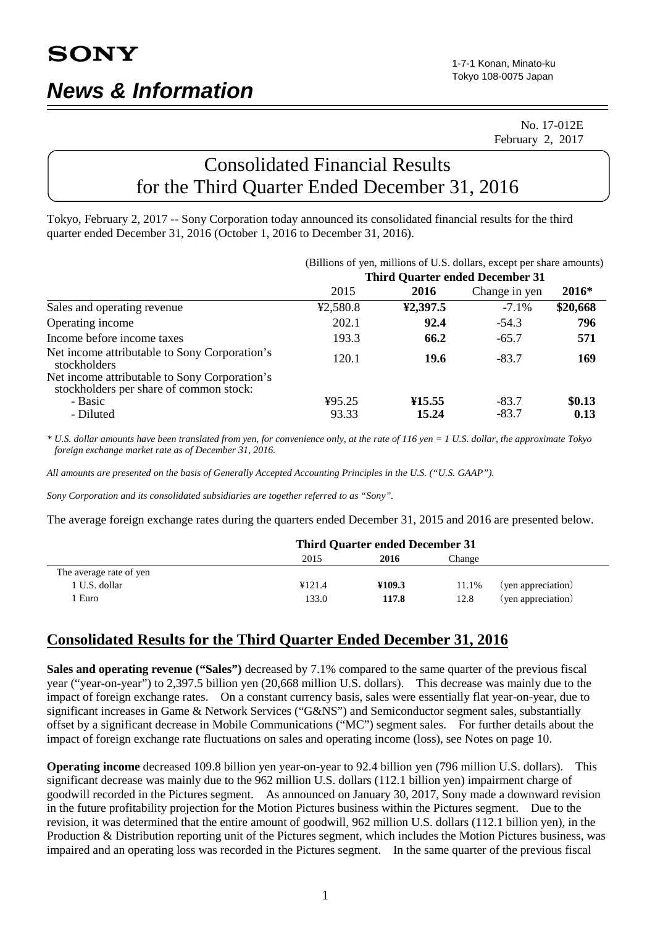No. 17-012E February 2, 2017

# Consolidated Financial Results for the Third Quarter Ended December 31, 2016

Tokyo, February 2, 2017 -- Sony Corporation today announced its consolidated financial results for the third quarter ended December 31, 2016 (October 1, 2016 to December 31, 2016).

|                                                                                          |                                        |          | (Billions of yen, millions of U.S. dollars, except per share amounts) |          |
|------------------------------------------------------------------------------------------|----------------------------------------|----------|-----------------------------------------------------------------------|----------|
|                                                                                          | <b>Third Quarter ended December 31</b> |          |                                                                       |          |
|                                                                                          | 2015                                   | 2016     | Change in yen                                                         | 2016*    |
| Sales and operating revenue                                                              | ¥2,580.8                               | 42,397.5 | $-7.1\%$                                                              | \$20,668 |
| Operating income                                                                         | 202.1                                  | 92.4     | $-54.3$                                                               | 796      |
| Income before income taxes                                                               | 193.3                                  | 66.2     | $-65.7$                                                               | 571      |
| Net income attributable to Sony Corporation's<br>stockholders                            | 120.1                                  | 19.6     | $-83.7$                                                               | 169      |
| Net income attributable to Sony Corporation's<br>stockholders per share of common stock: |                                        |          |                                                                       |          |
| - Basic                                                                                  | 495.25                                 | Y15.55   | $-83.7$                                                               | \$0.13   |
| - Diluted                                                                                | 93.33                                  | 15.24    | $-83.7$                                                               | 0.13     |

*\* U.S. dollar amounts have been translated from yen, for convenience only, at the rate of 116 yen = 1 U.S. dollar, the approximate Tokyo foreign exchange market rate as of December 31, 2016.*

*All amounts are presented on the basis of Generally Accepted Accounting Principles in the U.S. ("U.S. GAAP").*

*Sony Corporation and its consolidated subsidiaries are together referred to as "Sony".*

The average foreign exchange rates during the quarters ended December 31, 2015 and 2016 are presented below.

|                         |        | <b>Third Quarter ended December 31</b> |        |                    |  |
|-------------------------|--------|----------------------------------------|--------|--------------------|--|
|                         | 2015   | 2016                                   | Change |                    |  |
| The average rate of yen |        |                                        |        |                    |  |
| 1 U.S. dollar           | ¥121.4 | ¥109.3                                 | 11.1%  | (yen appreciation) |  |
| Euro                    | 133.0  | 117.8                                  | 12.8   | (yen appreciation) |  |

## **Consolidated Results for the Third Quarter Ended December 31, 2016**

**Sales and operating revenue ("Sales")** decreased by 7.1% compared to the same quarter of the previous fiscal year ("year-on-year") to 2,397.5 billion yen (20,668 million U.S. dollars). This decrease was mainly due to the impact of foreign exchange rates. On a constant currency basis, sales were essentially flat year-on-year, due to significant increases in Game & Network Services ("G&NS") and Semiconductor segment sales, substantially offset by a significant decrease in Mobile Communications ("MC") segment sales. For further details about the impact of foreign exchange rate fluctuations on sales and operating income (loss), see Notes on page 10.

**Operating income** decreased 109.8 billion yen year-on-year to 92.4 billion yen (796 million U.S. dollars). This significant decrease was mainly due to the 962 million U.S. dollars (112.1 billion yen) impairment charge of goodwill recorded in the Pictures segment. As announced on January 30, 2017, Sony made a downward revision in the future profitability projection for the Motion Pictures business within the Pictures segment. Due to the revision, it was determined that the entire amount of goodwill, 962 million U.S. dollars (112.1 billion yen), in the Production & Distribution reporting unit of the Pictures segment, which includes the Motion Pictures business, was impaired and an operating loss was recorded in the Pictures segment. In the same quarter of the previous fiscal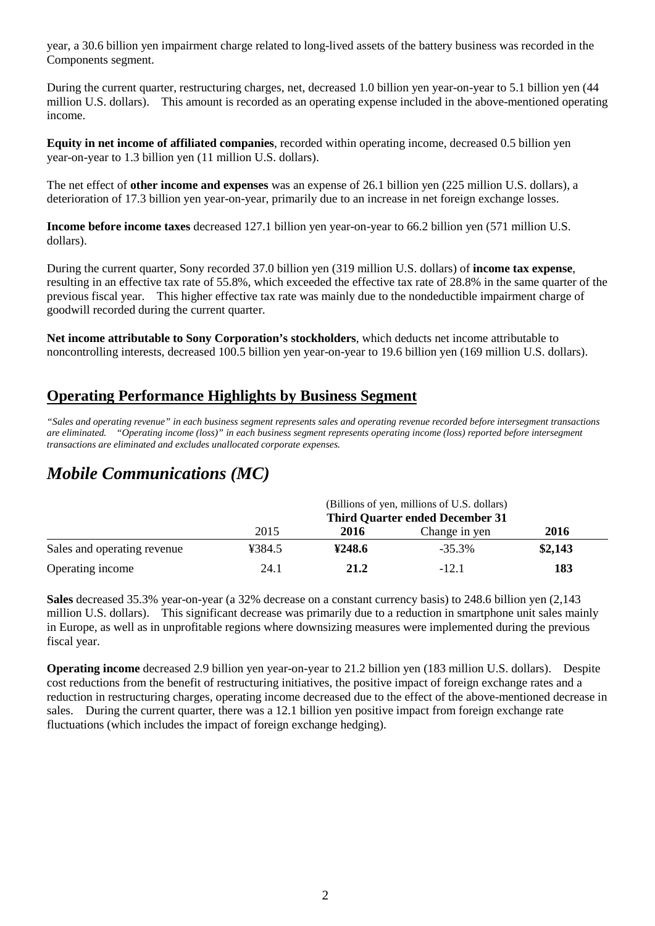year, a 30.6 billion yen impairment charge related to long-lived assets of the battery business was recorded in the Components segment.

During the current quarter, restructuring charges, net, decreased 1.0 billion yen year-on-year to 5.1 billion yen (44 million U.S. dollars). This amount is recorded as an operating expense included in the above-mentioned operating income.

**Equity in net income of affiliated companies**, recorded within operating income, decreased 0.5 billion yen year-on-year to 1.3 billion yen (11 million U.S. dollars).

The net effect of **other income and expenses** was an expense of 26.1 billion yen (225 million U.S. dollars), a deterioration of 17.3 billion yen year-on-year, primarily due to an increase in net foreign exchange losses.

**Income before income taxes** decreased 127.1 billion yen year-on-year to 66.2 billion yen (571 million U.S. dollars).

During the current quarter, Sony recorded 37.0 billion yen (319 million U.S. dollars) of **income tax expense**, resulting in an effective tax rate of 55.8%, which exceeded the effective tax rate of 28.8% in the same quarter of the previous fiscal year. This higher effective tax rate was mainly due to the nondeductible impairment charge of goodwill recorded during the current quarter.

**Net income attributable to Sony Corporation's stockholders**, which deducts net income attributable to noncontrolling interests, decreased 100.5 billion yen year-on-year to 19.6 billion yen (169 million U.S. dollars).

## **Operating Performance Highlights by Business Segment**

*"Sales and operating revenue" in each business segment represents sales and operating revenue recorded before intersegment transactions are eliminated. "Operating income (loss)" in each business segment represents operating income (loss) reported before intersegment transactions are eliminated and excludes unallocated corporate expenses.*

## *Mobile Communications (MC)*

|                             | (Billions of yen, millions of U.S. dollars)<br><b>Third Quarter ended December 31</b> |        |               |         |  |  |
|-----------------------------|---------------------------------------------------------------------------------------|--------|---------------|---------|--|--|
|                             | 2015                                                                                  | 2016   | Change in yen | 2016    |  |  |
| Sales and operating revenue | ¥384.5                                                                                | ¥248.6 | $-35.3%$      | \$2,143 |  |  |
| Operating income            | 24.1                                                                                  | 21.2   | $-12.1$       | 183     |  |  |

**Sales** decreased 35.3% year-on-year (a 32% decrease on a constant currency basis) to 248.6 billion yen (2,143 million U.S. dollars). This significant decrease was primarily due to a reduction in smartphone unit sales mainly in Europe, as well as in unprofitable regions where downsizing measures were implemented during the previous fiscal year.

**Operating income** decreased 2.9 billion yen year-on-year to 21.2 billion yen (183 million U.S. dollars). Despite cost reductions from the benefit of restructuring initiatives, the positive impact of foreign exchange rates and a reduction in restructuring charges, operating income decreased due to the effect of the above-mentioned decrease in sales. During the current quarter, there was a 12.1 billion yen positive impact from foreign exchange rate fluctuations (which includes the impact of foreign exchange hedging).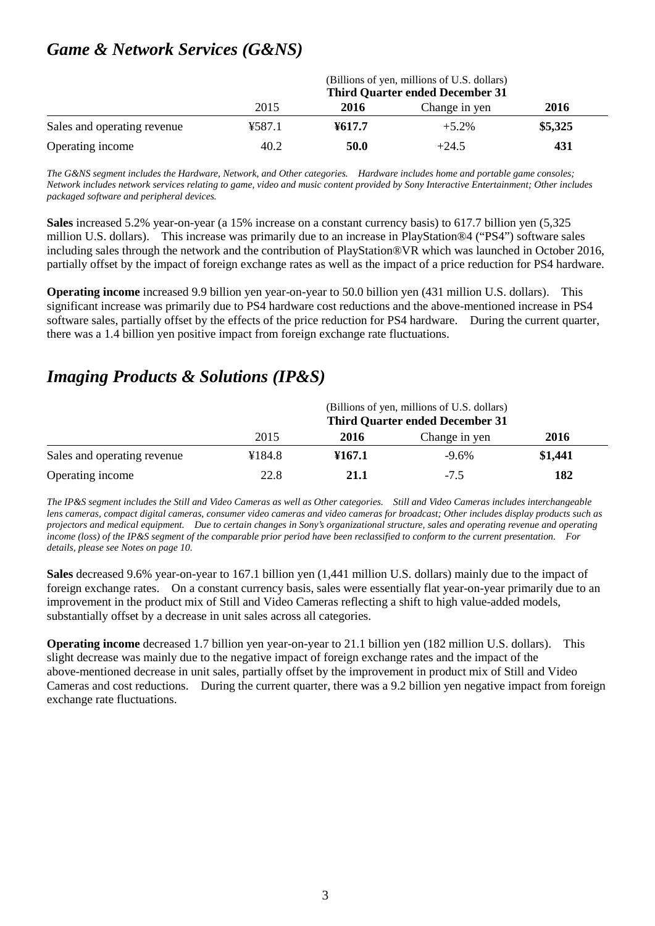## *Game & Network Services (G&NS)*

|                             | (Billions of yen, millions of U.S. dollars)<br><b>Third Quarter ended December 31</b> |        |               |         |  |
|-----------------------------|---------------------------------------------------------------------------------------|--------|---------------|---------|--|
|                             | 2015                                                                                  | 2016   | Change in yen | 2016    |  |
| Sales and operating revenue | 4587.1                                                                                | ¥617.7 | $+5.2\%$      | \$5,325 |  |
| Operating income            | 40.2                                                                                  | 50.0   | $+24.5$       | 431     |  |

*The G&NS segment includes the Hardware, Network, and Other categories. Hardware includes home and portable game consoles; Network includes network services relating to game, video and music content provided by Sony Interactive Entertainment; Other includes packaged software and peripheral devices.*

**Sales** increased 5.2% year-on-year (a 15% increase on a constant currency basis) to 617.7 billion yen (5,325 million U.S. dollars). This increase was primarily due to an increase in PlayStation®4 ("PS4") software sales including sales through the network and the contribution of PlayStation®VR which was launched in October 2016, partially offset by the impact of foreign exchange rates as well as the impact of a price reduction for PS4 hardware.

**Operating income** increased 9.9 billion yen year-on-year to 50.0 billion yen (431 million U.S. dollars). This significant increase was primarily due to PS4 hardware cost reductions and the above-mentioned increase in PS4 software sales, partially offset by the effects of the price reduction for PS4 hardware. During the current quarter, there was a 1.4 billion yen positive impact from foreign exchange rate fluctuations.

## *Imaging Products & Solutions (IP&S)*

|                             | (Billions of yen, millions of U.S. dollars)<br><b>Third Quarter ended December 31</b> |        |               |         |  |
|-----------------------------|---------------------------------------------------------------------------------------|--------|---------------|---------|--|
|                             | 2015                                                                                  | 2016   | Change in yen | 2016    |  |
| Sales and operating revenue | ¥184.8                                                                                | ¥167.1 | $-9.6\%$      | \$1,441 |  |
| Operating income            | 22.8                                                                                  | 21.1   | $-7.5$        | 182     |  |

*The IP&S segment includes the Still and Video Cameras as well as Other categories. Still and Video Cameras includes interchangeable lens cameras, compact digital cameras, consumer video cameras and video cameras for broadcast; Other includes display products such as projectors and medical equipment. Due to certain changes in Sony's organizational structure, sales and operating revenue and operating income (loss) of the IP&S segment of the comparable prior period have been reclassified to conform to the current presentation. For details, please see Notes on page 10.*

**Sales** decreased 9.6% year-on-year to 167.1 billion yen (1,441 million U.S. dollars) mainly due to the impact of foreign exchange rates. On a constant currency basis, sales were essentially flat year-on-year primarily due to an improvement in the product mix of Still and Video Cameras reflecting a shift to high value-added models, substantially offset by a decrease in unit sales across all categories.

**Operating income** decreased 1.7 billion yen year-on-year to 21.1 billion yen (182 million U.S. dollars). This slight decrease was mainly due to the negative impact of foreign exchange rates and the impact of the above-mentioned decrease in unit sales, partially offset by the improvement in product mix of Still and Video Cameras and cost reductions. During the current quarter, there was a 9.2 billion yen negative impact from foreign exchange rate fluctuations.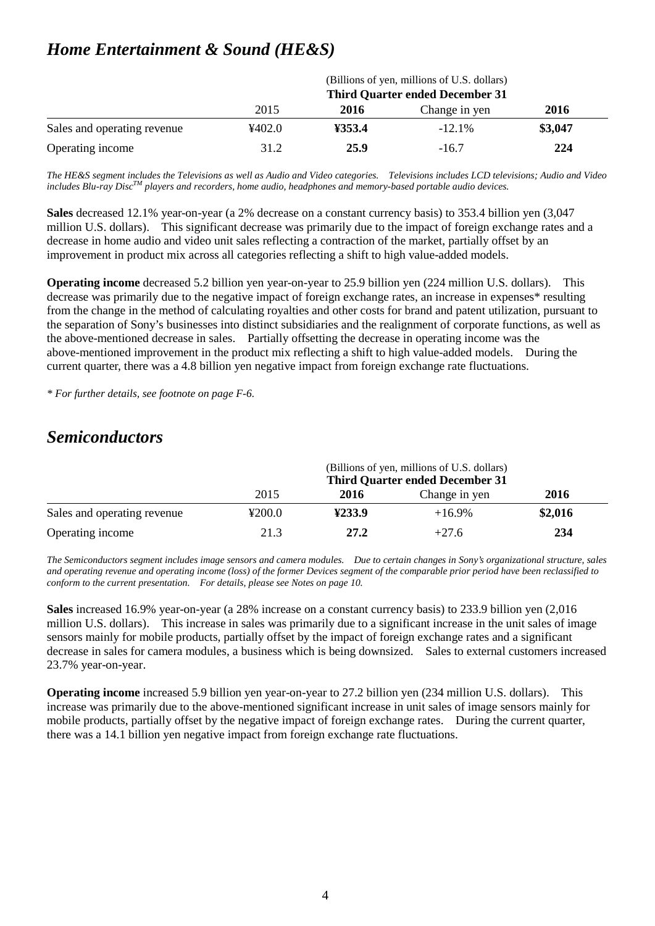# *Home Entertainment & Sound (HE&S)*

|                             | (Billions of yen, millions of U.S. dollars)<br><b>Third Quarter ended December 31</b> |        |               |         |
|-----------------------------|---------------------------------------------------------------------------------------|--------|---------------|---------|
|                             | 2015                                                                                  | 2016   | Change in yen | 2016    |
| Sales and operating revenue | ¥402.0                                                                                | ¥353.4 | $-12.1\%$     | \$3,047 |
| Operating income            | 31.2                                                                                  | 25.9   | $-16.7$       | 224     |

*The HE&S segment includes the Televisions as well as Audio and Video categories. Televisions includes LCD televisions; Audio and Video includes Blu-ray DiscTM players and recorders, home audio, headphones and memory-based portable audio devices.*

**Sales** decreased 12.1% year-on-year (a 2% decrease on a constant currency basis) to 353.4 billion yen (3,047 million U.S. dollars). This significant decrease was primarily due to the impact of foreign exchange rates and a decrease in home audio and video unit sales reflecting a contraction of the market, partially offset by an improvement in product mix across all categories reflecting a shift to high value-added models.

**Operating income** decreased 5.2 billion yen year-on-year to 25.9 billion yen (224 million U.S. dollars). This decrease was primarily due to the negative impact of foreign exchange rates, an increase in expenses\* resulting from the change in the method of calculating royalties and other costs for brand and patent utilization, pursuant to the separation of Sony's businesses into distinct subsidiaries and the realignment of corporate functions, as well as the above-mentioned decrease in sales. Partially offsetting the decrease in operating income was the above-mentioned improvement in the product mix reflecting a shift to high value-added models. During the current quarter, there was a 4.8 billion yen negative impact from foreign exchange rate fluctuations.

*\* For further details, see footnote on page F-6.*

## *Semiconductors*

|                             | (Billions of yen, millions of U.S. dollars)<br><b>Third Quarter ended December 31</b> |        |               |         |  |
|-----------------------------|---------------------------------------------------------------------------------------|--------|---------------|---------|--|
|                             | 2015                                                                                  | 2016   | Change in yen | 2016    |  |
| Sales and operating revenue | ¥200.0                                                                                | 4233.9 | $+16.9%$      | \$2,016 |  |
| Operating income            | 21.3                                                                                  | 27.2   | $+27.6$       | 234     |  |

*The Semiconductors segment includes image sensors and camera modules. Due to certain changes in Sony's organizational structure, sales and operating revenue and operating income (loss) of the former Devices segment of the comparable prior period have been reclassified to conform to the current presentation. For details, please see Notes on page 10.*

**Sales** increased 16.9% year-on-year (a 28% increase on a constant currency basis) to 233.9 billion yen (2,016 million U.S. dollars). This increase in sales was primarily due to a significant increase in the unit sales of image sensors mainly for mobile products, partially offset by the impact of foreign exchange rates and a significant decrease in sales for camera modules, a business which is being downsized. Sales to external customers increased 23.7% year-on-year.

**Operating income** increased 5.9 billion yen year-on-year to 27.2 billion yen (234 million U.S. dollars). This increase was primarily due to the above-mentioned significant increase in unit sales of image sensors mainly for mobile products, partially offset by the negative impact of foreign exchange rates. During the current quarter, there was a 14.1 billion yen negative impact from foreign exchange rate fluctuations.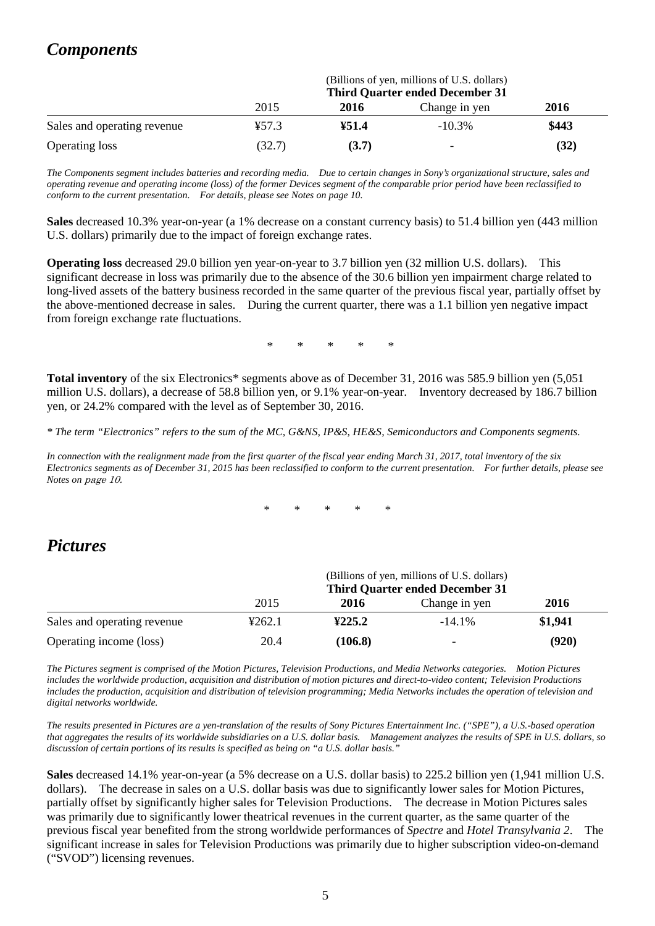# *Components*

|                             | (Billions of yen, millions of U.S. dollars)<br><b>Third Quarter ended December 31</b> |       |                          |       |  |
|-----------------------------|---------------------------------------------------------------------------------------|-------|--------------------------|-------|--|
|                             | 2015                                                                                  | 2016  | Change in yen            | 2016  |  |
| Sales and operating revenue | ¥57.3                                                                                 | ¥51.4 | $-10.3\%$                | \$443 |  |
| <b>Operating loss</b>       | (32.7)                                                                                | (3.7) | $\overline{\phantom{a}}$ | (32)  |  |

*The Components segment includes batteries and recording media. Due to certain changes in Sony's organizational structure, sales and operating revenue and operating income (loss) of the former Devices segment of the comparable prior period have been reclassified to conform to the current presentation. For details, please see Notes on page 10.*

**Sales** decreased 10.3% year-on-year (a 1% decrease on a constant currency basis) to 51.4 billion yen (443 million U.S. dollars) primarily due to the impact of foreign exchange rates.

**Operating loss** decreased 29.0 billion yen year-on-year to 3.7 billion yen (32 million U.S. dollars). This significant decrease in loss was primarily due to the absence of the 30.6 billion yen impairment charge related to long-lived assets of the battery business recorded in the same quarter of the previous fiscal year, partially offset by the above-mentioned decrease in sales. During the current quarter, there was a 1.1 billion yen negative impact from foreign exchange rate fluctuations.

\* \* \* \* \*

**Total inventory** of the six Electronics\* segments above as of December 31, 2016 was 585.9 billion yen (5,051 million U.S. dollars), a decrease of 58.8 billion yen, or 9.1% year-on-year. Inventory decreased by 186.7 billion yen, or 24.2% compared with the level as of September 30, 2016.

*\* The term "Electronics" refers to the sum of the MC, G&NS, IP&S, HE&S, Semiconductors and Components segments.*

*In connection with the realignment made from the first quarter of the fiscal year ending March 31, 2017, total inventory of the six Electronics segments as of December 31, 2015 has been reclassified to conform to the current presentation. For further details, please see Notes on* page 10.

\* \* \* \* \*

# *Pictures*

|                             | (Billions of yen, millions of U.S. dollars)<br><b>Third Quarter ended December 31</b> |         |                          |         |
|-----------------------------|---------------------------------------------------------------------------------------|---------|--------------------------|---------|
|                             | 2015                                                                                  | 2016    | Change in yen            | 2016    |
| Sales and operating revenue | 4262.1                                                                                | 4225.2  | $-14.1\%$                | \$1,941 |
| Operating income (loss)     | 20.4                                                                                  | (106.8) | $\overline{\phantom{0}}$ | (920)   |

*The Pictures segment is comprised of the Motion Pictures, Television Productions, and Media Networks categories. Motion Pictures includes the worldwide production, acquisition and distribution of motion pictures and direct-to-video content; Television Productions includes the production, acquisition and distribution of television programming; Media Networks includes the operation of television and digital networks worldwide.*

*The results presented in Pictures are a yen-translation of the results of Sony Pictures Entertainment Inc. ("SPE"), a U.S.-based operation that aggregates the results of its worldwide subsidiaries on a U.S. dollar basis. Management analyzes the results of SPE in U.S. dollars, so discussion of certain portions of its results is specified as being on "a U.S. dollar basis."*

**Sales** decreased 14.1% year-on-year (a 5% decrease on a U.S. dollar basis) to 225.2 billion yen (1,941 million U.S. dollars). The decrease in sales on a U.S. dollar basis was due to significantly lower sales for Motion Pictures, partially offset by significantly higher sales for Television Productions. The decrease in Motion Pictures sales was primarily due to significantly lower theatrical revenues in the current quarter, as the same quarter of the previous fiscal year benefited from the strong worldwide performances of *Spectre* and *Hotel Transylvania 2*. The significant increase in sales for Television Productions was primarily due to higher subscription video-on-demand ("SVOD") licensing revenues.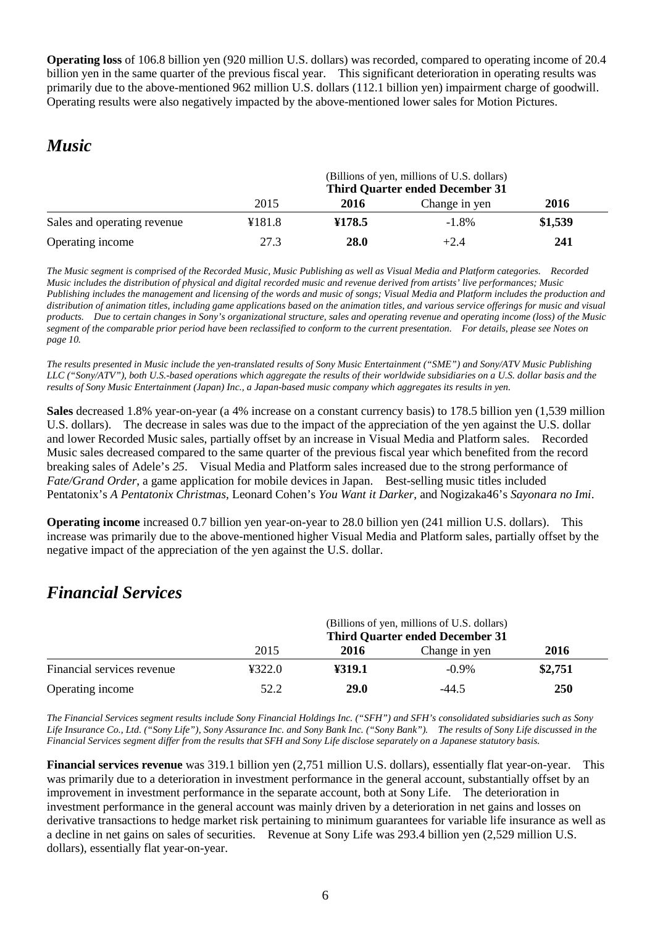**Operating loss** of 106.8 billion yen (920 million U.S. dollars) was recorded, compared to operating income of 20.4 billion yen in the same quarter of the previous fiscal year. This significant deterioration in operating results was primarily due to the above-mentioned 962 million U.S. dollars (112.1 billion yen) impairment charge of goodwill. Operating results were also negatively impacted by the above-mentioned lower sales for Motion Pictures.

## *Music*

|                             | (Billions of yen, millions of U.S. dollars)<br><b>Third Quarter ended December 31</b> |        |               |         |  |
|-----------------------------|---------------------------------------------------------------------------------------|--------|---------------|---------|--|
|                             | 2015                                                                                  | 2016   | Change in yen | 2016    |  |
| Sales and operating revenue | ¥181.8                                                                                | ¥178.5 | $-1.8\%$      | \$1,539 |  |
| Operating income            | 27.3                                                                                  | 28.0   | $+2.4$        | 241     |  |

*The Music segment is comprised of the Recorded Music, Music Publishing as well as Visual Media and Platform categories. Recorded Music includes the distribution of physical and digital recorded music and revenue derived from artists' live performances; Music Publishing includes the management and licensing of the words and music of songs; Visual Media and Platform includes the production and distribution of animation titles, including game applications based on the animation titles, and various service offerings for music and visual products. Due to certain changes in Sony's organizational structure, sales and operating revenue and operating income (loss) of the Music segment of the comparable prior period have been reclassified to conform to the current presentation. For details, please see Notes on page 10.*

*The results presented in Music include the yen-translated results of Sony Music Entertainment ("SME") and Sony/ATV Music Publishing LLC ("Sony/ATV"), both U.S.-based operations which aggregate the results of their worldwide subsidiaries on a U.S. dollar basis and the results of Sony Music Entertainment (Japan) Inc., a Japan-based music company which aggregates its results in yen.*

**Sales** decreased 1.8% year-on-year (a 4% increase on a constant currency basis) to 178.5 billion yen (1,539 million U.S. dollars). The decrease in sales was due to the impact of the appreciation of the yen against the U.S. dollar and lower Recorded Music sales, partially offset by an increase in Visual Media and Platform sales. Recorded Music sales decreased compared to the same quarter of the previous fiscal year which benefited from the record breaking sales of Adele's *25*. Visual Media and Platform sales increased due to the strong performance of *Fate/Grand Order*, a game application for mobile devices in Japan. Best-selling music titles included Pentatonix's *A Pentatonix Christmas*, Leonard Cohen's *You Want it Darker*, and Nogizaka46's *Sayonara no Imi*.

**Operating income** increased 0.7 billion yen year-on-year to 28.0 billion yen (241 million U.S. dollars). This increase was primarily due to the above-mentioned higher Visual Media and Platform sales, partially offset by the negative impact of the appreciation of the yen against the U.S. dollar.

# *Financial Services*

|                            | (Billions of yen, millions of U.S. dollars)<br><b>Third Quarter ended December 31</b> |             |               |            |
|----------------------------|---------------------------------------------------------------------------------------|-------------|---------------|------------|
|                            | 2015                                                                                  | 2016        | Change in yen | 2016       |
| Financial services revenue | ¥322.0                                                                                | ¥319.1      | $-0.9\%$      | \$2,751    |
| Operating income           | 52.2                                                                                  | <b>29.0</b> | $-44.5$       | <b>250</b> |

*The Financial Services segment results include Sony Financial Holdings Inc. ("SFH") and SFH's consolidated subsidiaries such as Sony Life Insurance Co., Ltd. ("Sony Life"), Sony Assurance Inc. and Sony Bank Inc. ("Sony Bank"). The results of Sony Life discussed in the Financial Services segment differ from the results that SFH and Sony Life disclose separately on a Japanese statutory basis.*

**Financial services revenue** was 319.1 billion yen (2,751 million U.S. dollars), essentially flat year-on-year. This was primarily due to a deterioration in investment performance in the general account, substantially offset by an improvement in investment performance in the separate account, both at Sony Life. The deterioration in investment performance in the general account was mainly driven by a deterioration in net gains and losses on derivative transactions to hedge market risk pertaining to minimum guarantees for variable life insurance as well as a decline in net gains on sales of securities. Revenue at Sony Life was 293.4 billion yen (2,529 million U.S. dollars), essentially flat year-on-year.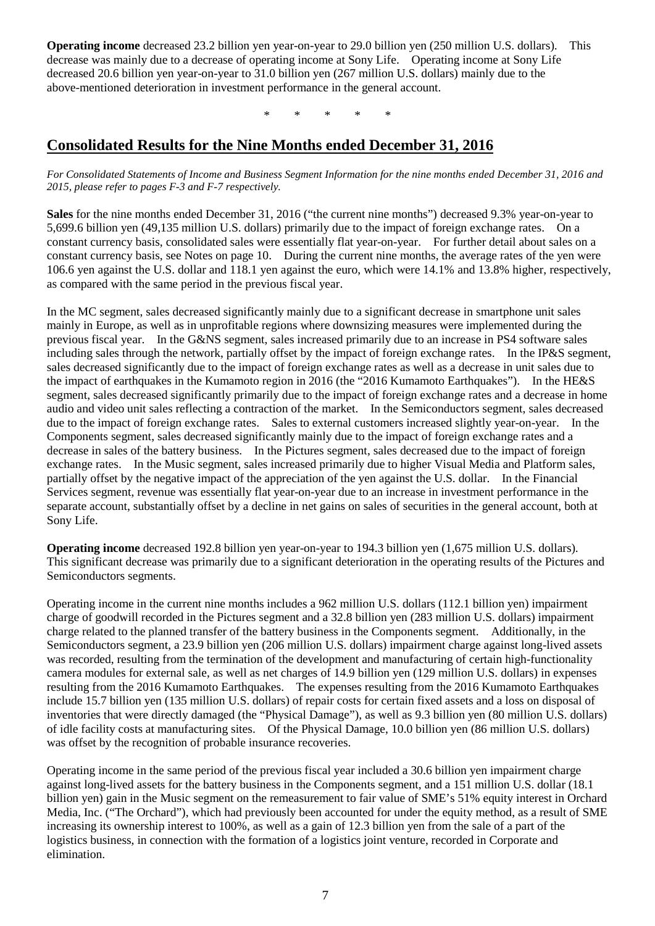**Operating income** decreased 23.2 billion yen year-on-year to 29.0 billion yen (250 million U.S. dollars). This decrease was mainly due to a decrease of operating income at Sony Life. Operating income at Sony Life decreased 20.6 billion yen year-on-year to 31.0 billion yen (267 million U.S. dollars) mainly due to the above-mentioned deterioration in investment performance in the general account.

\* \* \* \* \*

## **Consolidated Results for the Nine Months ended December 31, 2016**

## *For Consolidated Statements of Income and Business Segment Information for the nine months ended December 31, 2016 and 2015, please refer to pages F-3 and F-7 respectively.*

**Sales** for the nine months ended December 31, 2016 ("the current nine months") decreased 9.3% year-on-year to 5,699.6 billion yen (49,135 million U.S. dollars) primarily due to the impact of foreign exchange rates. On a constant currency basis, consolidated sales were essentially flat year-on-year. For further detail about sales on a constant currency basis, see Notes on page 10. During the current nine months, the average rates of the yen were 106.6 yen against the U.S. dollar and 118.1 yen against the euro, which were 14.1% and 13.8% higher, respectively, as compared with the same period in the previous fiscal year.

In the MC segment, sales decreased significantly mainly due to a significant decrease in smartphone unit sales mainly in Europe, as well as in unprofitable regions where downsizing measures were implemented during the previous fiscal year. In the G&NS segment, sales increased primarily due to an increase in PS4 software sales including sales through the network, partially offset by the impact of foreign exchange rates. In the IP&S segment, sales decreased significantly due to the impact of foreign exchange rates as well as a decrease in unit sales due to the impact of earthquakes in the Kumamoto region in 2016 (the "2016 Kumamoto Earthquakes"). In the HE&S segment, sales decreased significantly primarily due to the impact of foreign exchange rates and a decrease in home audio and video unit sales reflecting a contraction of the market. In the Semiconductors segment, sales decreased due to the impact of foreign exchange rates. Sales to external customers increased slightly year-on-year. In the Components segment, sales decreased significantly mainly due to the impact of foreign exchange rates and a decrease in sales of the battery business. In the Pictures segment, sales decreased due to the impact of foreign exchange rates. In the Music segment, sales increased primarily due to higher Visual Media and Platform sales, partially offset by the negative impact of the appreciation of the yen against the U.S. dollar. In the Financial Services segment, revenue was essentially flat year-on-year due to an increase in investment performance in the separate account, substantially offset by a decline in net gains on sales of securities in the general account, both at Sony Life.

**Operating income** decreased 192.8 billion yen year-on-year to 194.3 billion yen (1,675 million U.S. dollars). This significant decrease was primarily due to a significant deterioration in the operating results of the Pictures and Semiconductors segments.

Operating income in the current nine months includes a 962 million U.S. dollars (112.1 billion yen) impairment charge of goodwill recorded in the Pictures segment and a 32.8 billion yen (283 million U.S. dollars) impairment charge related to the planned transfer of the battery business in the Components segment. Additionally, in the Semiconductors segment, a 23.9 billion yen (206 million U.S. dollars) impairment charge against long-lived assets was recorded, resulting from the termination of the development and manufacturing of certain high-functionality camera modules for external sale, as well as net charges of 14.9 billion yen (129 million U.S. dollars) in expenses resulting from the 2016 Kumamoto Earthquakes. The expenses resulting from the 2016 Kumamoto Earthquakes include 15.7 billion yen (135 million U.S. dollars) of repair costs for certain fixed assets and a loss on disposal of inventories that were directly damaged (the "Physical Damage"), as well as 9.3 billion yen (80 million U.S. dollars) of idle facility costs at manufacturing sites. Of the Physical Damage, 10.0 billion yen (86 million U.S. dollars) was offset by the recognition of probable insurance recoveries.

Operating income in the same period of the previous fiscal year included a 30.6 billion yen impairment charge against long-lived assets for the battery business in the Components segment, and a 151 million U.S. dollar (18.1 billion yen) gain in the Music segment on the remeasurement to fair value of SME's 51% equity interest in Orchard Media, Inc. ("The Orchard"), which had previously been accounted for under the equity method, as a result of SME increasing its ownership interest to 100%, as well as a gain of 12.3 billion yen from the sale of a part of the logistics business, in connection with the formation of a logistics joint venture, recorded in Corporate and elimination.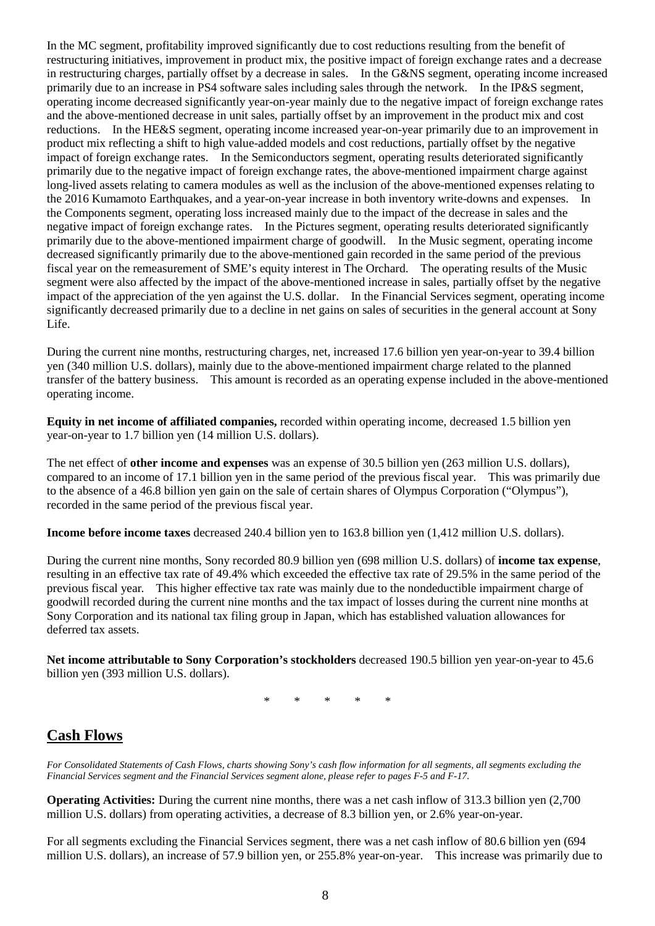In the MC segment, profitability improved significantly due to cost reductions resulting from the benefit of restructuring initiatives, improvement in product mix, the positive impact of foreign exchange rates and a decrease in restructuring charges, partially offset by a decrease in sales. In the G&NS segment, operating income increased primarily due to an increase in PS4 software sales including sales through the network. In the IP&S segment, operating income decreased significantly year-on-year mainly due to the negative impact of foreign exchange rates and the above-mentioned decrease in unit sales, partially offset by an improvement in the product mix and cost reductions. In the HE&S segment, operating income increased year-on-year primarily due to an improvement in product mix reflecting a shift to high value-added models and cost reductions, partially offset by the negative impact of foreign exchange rates. In the Semiconductors segment, operating results deteriorated significantly primarily due to the negative impact of foreign exchange rates, the above-mentioned impairment charge against long-lived assets relating to camera modules as well as the inclusion of the above-mentioned expenses relating to the 2016 Kumamoto Earthquakes, and a year-on-year increase in both inventory write-downs and expenses. In the Components segment, operating loss increased mainly due to the impact of the decrease in sales and the negative impact of foreign exchange rates. In the Pictures segment, operating results deteriorated significantly primarily due to the above-mentioned impairment charge of goodwill. In the Music segment, operating income decreased significantly primarily due to the above-mentioned gain recorded in the same period of the previous fiscal year on the remeasurement of SME's equity interest in The Orchard. The operating results of the Music segment were also affected by the impact of the above-mentioned increase in sales, partially offset by the negative impact of the appreciation of the yen against the U.S. dollar. In the Financial Services segment, operating income significantly decreased primarily due to a decline in net gains on sales of securities in the general account at Sony Life.

During the current nine months, restructuring charges, net, increased 17.6 billion yen year-on-year to 39.4 billion yen (340 million U.S. dollars), mainly due to the above-mentioned impairment charge related to the planned transfer of the battery business. This amount is recorded as an operating expense included in the above-mentioned operating income.

**Equity in net income of affiliated companies,** recorded within operating income, decreased 1.5 billion yen year-on-year to 1.7 billion yen (14 million U.S. dollars).

The net effect of **other income and expenses** was an expense of 30.5 billion yen (263 million U.S. dollars), compared to an income of 17.1 billion yen in the same period of the previous fiscal year. This was primarily due to the absence of a 46.8 billion yen gain on the sale of certain shares of Olympus Corporation ("Olympus"), recorded in the same period of the previous fiscal year.

**Income before income taxes** decreased 240.4 billion yen to 163.8 billion yen (1,412 million U.S. dollars).

During the current nine months, Sony recorded 80.9 billion yen (698 million U.S. dollars) of **income tax expense**, resulting in an effective tax rate of 49.4% which exceeded the effective tax rate of 29.5% in the same period of the previous fiscal year. This higher effective tax rate was mainly due to the nondeductible impairment charge of goodwill recorded during the current nine months and the tax impact of losses during the current nine months at Sony Corporation and its national tax filing group in Japan, which has established valuation allowances for deferred tax assets.

**Net income attributable to Sony Corporation's stockholders** decreased 190.5 billion yen year-on-year to 45.6 billion yen (393 million U.S. dollars).

\* \* \* \* \*

## **Cash Flows**

*For Consolidated Statements of Cash Flows, charts showing Sony's cash flow information for all segments, all segments excluding the Financial Services segment and the Financial Services segment alone, please refer to pages F-5 and F-17.*

**Operating Activities:** During the current nine months, there was a net cash inflow of 313.3 billion yen (2,700 million U.S. dollars) from operating activities, a decrease of 8.3 billion yen, or 2.6% year-on-year.

For all segments excluding the Financial Services segment, there was a net cash inflow of 80.6 billion yen (694 million U.S. dollars), an increase of 57.9 billion yen, or 255.8% year-on-year. This increase was primarily due to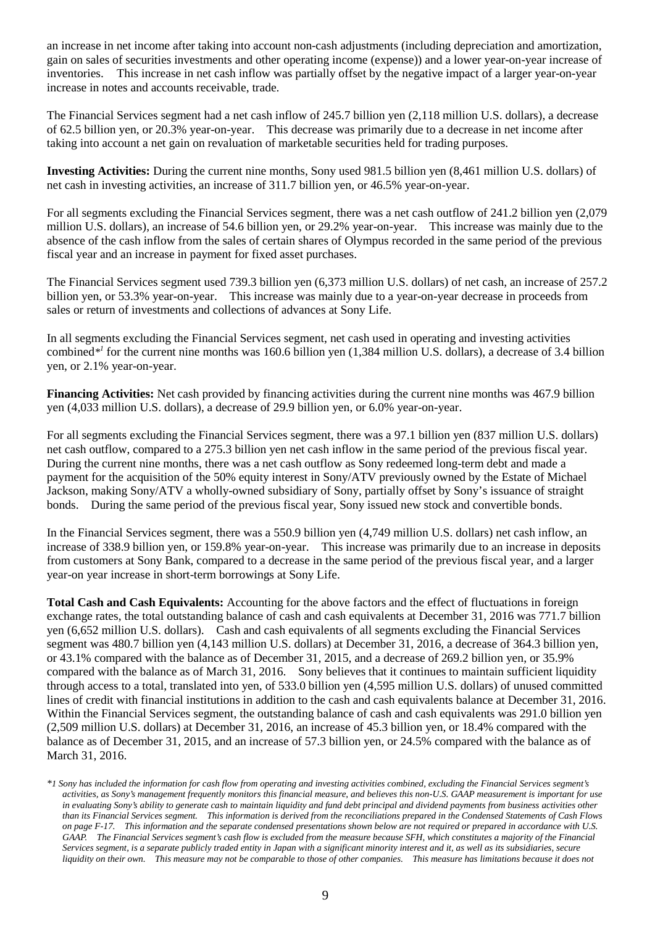an increase in net income after taking into account non-cash adjustments (including depreciation and amortization, gain on sales of securities investments and other operating income (expense)) and a lower year-on-year increase of inventories. This increase in net cash inflow was partially offset by the negative impact of a larger year-on-year increase in notes and accounts receivable, trade.

The Financial Services segment had a net cash inflow of 245.7 billion yen (2,118 million U.S. dollars), a decrease of 62.5 billion yen, or 20.3% year-on-year. This decrease was primarily due to a decrease in net income after taking into account a net gain on revaluation of marketable securities held for trading purposes.

**Investing Activities:** During the current nine months, Sony used 981.5 billion yen (8,461 million U.S. dollars) of net cash in investing activities, an increase of 311.7 billion yen, or 46.5% year-on-year.

For all segments excluding the Financial Services segment, there was a net cash outflow of 241.2 billion yen (2,079 million U.S. dollars), an increase of 54.6 billion yen, or 29.2% year-on-year. This increase was mainly due to the absence of the cash inflow from the sales of certain shares of Olympus recorded in the same period of the previous fiscal year and an increase in payment for fixed asset purchases.

The Financial Services segment used 739.3 billion yen (6,373 million U.S. dollars) of net cash, an increase of 257.2 billion yen, or 53.3% year-on-year. This increase was mainly due to a year-on-year decrease in proceeds from sales or return of investments and collections of advances at Sony Life.

In all segments excluding the Financial Services segment, net cash used in operating and investing activities combined*\*1* for the current nine months was 160.6 billion yen (1,384 million U.S. dollars), a decrease of 3.4 billion yen, or 2.1% year-on-year.

**Financing Activities:** Net cash provided by financing activities during the current nine months was 467.9 billion yen (4,033 million U.S. dollars), a decrease of 29.9 billion yen, or 6.0% year-on-year.

For all segments excluding the Financial Services segment, there was a 97.1 billion yen (837 million U.S. dollars) net cash outflow, compared to a 275.3 billion yen net cash inflow in the same period of the previous fiscal year. During the current nine months, there was a net cash outflow as Sony redeemed long-term debt and made a payment for the acquisition of the 50% equity interest in Sony/ATV previously owned by the Estate of Michael Jackson, making Sony/ATV a wholly-owned subsidiary of Sony, partially offset by Sony's issuance of straight bonds. During the same period of the previous fiscal year, Sony issued new stock and convertible bonds.

In the Financial Services segment, there was a 550.9 billion yen (4,749 million U.S. dollars) net cash inflow, an increase of 338.9 billion yen, or 159.8% year-on-year. This increase was primarily due to an increase in deposits from customers at Sony Bank, compared to a decrease in the same period of the previous fiscal year, and a larger year-on year increase in short-term borrowings at Sony Life.

**Total Cash and Cash Equivalents:** Accounting for the above factors and the effect of fluctuations in foreign exchange rates, the total outstanding balance of cash and cash equivalents at December 31, 2016 was 771.7 billion yen (6,652 million U.S. dollars). Cash and cash equivalents of all segments excluding the Financial Services segment was 480.7 billion yen (4,143 million U.S. dollars) at December 31, 2016, a decrease of 364.3 billion yen, or 43.1% compared with the balance as of December 31, 2015, and a decrease of 269.2 billion yen, or 35.9% compared with the balance as of March 31, 2016. Sony believes that it continues to maintain sufficient liquidity through access to a total, translated into yen, of 533.0 billion yen (4,595 million U.S. dollars) of unused committed lines of credit with financial institutions in addition to the cash and cash equivalents balance at December 31, 2016. Within the Financial Services segment, the outstanding balance of cash and cash equivalents was 291.0 billion yen (2,509 million U.S. dollars) at December 31, 2016, an increase of 45.3 billion yen, or 18.4% compared with the balance as of December 31, 2015, and an increase of 57.3 billion yen, or 24.5% compared with the balance as of March 31, 2016.

*<sup>\*1</sup> Sony has included the information for cash flow from operating and investing activities combined, excluding the Financial Services segment's activities, as Sony's management frequently monitors this financial measure, and believes this non-U.S. GAAP measurement is important for use in evaluating Sony's ability to generate cash to maintain liquidity and fund debt principal and dividend payments from business activities other than its Financial Services segment. This information is derived from the reconciliations prepared in the Condensed Statements of Cash Flows on page F-17. This information and the separate condensed presentations shown below are not required or prepared in accordance with U.S. GAAP. The Financial Services segment's cash flow is excluded from the measure because SFH, which constitutes a majority of the Financial Services segment, is a separate publicly traded entity in Japan with a significant minority interest and it, as well as its subsidiaries, secure liquidity on their own.* This measure may not be comparable to those of other companies. This measure has limitations because it does not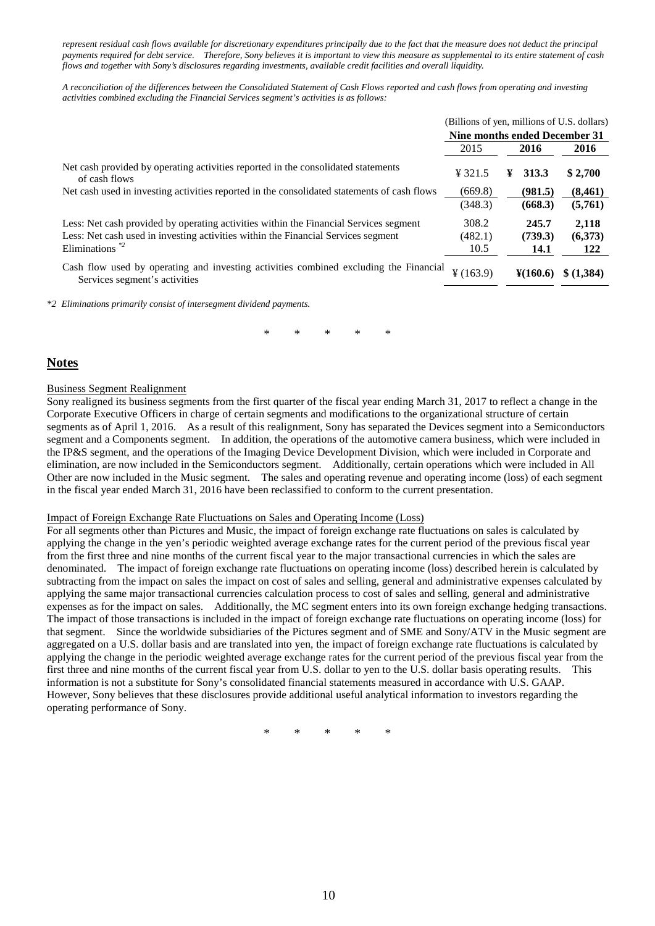*represent residual cash flows available for discretionary expenditures principally due to the fact that the measure does not deduct the principal payments required for debt service. Therefore, Sony believes it is important to view this measure as supplemental to its entire statement of cash flows and together with Sony's disclosures regarding investments, available credit facilities and overall liquidity.*

*A reconciliation of the differences between the Consolidated Statement of Cash Flows reported and cash flows from operating and investing activities combined excluding the Financial Services segment's activities is as follows:*

|                                                                                                                        |           | (Billions of yen, millions of U.S. dollars)<br>Nine months ended December 31 |            |
|------------------------------------------------------------------------------------------------------------------------|-----------|------------------------------------------------------------------------------|------------|
|                                                                                                                        | 2015      | 2016                                                                         | 2016       |
| Net cash provided by operating activities reported in the consolidated statements<br>of cash flows                     | 4321.5    | 313.3<br>¥                                                                   | \$2,700    |
| Net cash used in investing activities reported in the consolidated statements of cash flows                            | (669.8)   | (981.5)                                                                      | (8,461)    |
|                                                                                                                        | (348.3)   | (668.3)                                                                      | (5,761)    |
| Less: Net cash provided by operating activities within the Financial Services segment                                  | 308.2     | 245.7                                                                        | 2,118      |
| Less: Net cash used in investing activities within the Financial Services segment                                      | (482.1)   | (739.3)                                                                      | (6,373)    |
| Eliminations $*$ <sup>2</sup>                                                                                          | 10.5      | 14.1                                                                         | 122        |
| Cash flow used by operating and investing activities combined excluding the Financial<br>Services segment's activities | ¥ (163.9) | $\frac{\text{Y}(160.6)}{}$                                                   | \$ (1.384) |

*\*2 Eliminations primarily consist of intersegment dividend payments.*

\* \* \* \* \*

### **Notes**

#### Business Segment Realignment

Sony realigned its business segments from the first quarter of the fiscal year ending March 31, 2017 to reflect a change in the Corporate Executive Officers in charge of certain segments and modifications to the organizational structure of certain segments as of April 1, 2016. As a result of this realignment, Sony has separated the Devices segment into a Semiconductors segment and a Components segment. In addition, the operations of the automotive camera business, which were included in the IP&S segment, and the operations of the Imaging Device Development Division, which were included in Corporate and elimination, are now included in the Semiconductors segment. Additionally, certain operations which were included in All Other are now included in the Music segment. The sales and operating revenue and operating income (loss) of each segment in the fiscal year ended March 31, 2016 have been reclassified to conform to the current presentation.

#### Impact of Foreign Exchange Rate Fluctuations on Sales and Operating Income (Loss)

For all segments other than Pictures and Music, the impact of foreign exchange rate fluctuations on sales is calculated by applying the change in the yen's periodic weighted average exchange rates for the current period of the previous fiscal year from the first three and nine months of the current fiscal year to the major transactional currencies in which the sales are denominated. The impact of foreign exchange rate fluctuations on operating income (loss) described herein is calculated by subtracting from the impact on sales the impact on cost of sales and selling, general and administrative expenses calculated by applying the same major transactional currencies calculation process to cost of sales and selling, general and administrative expenses as for the impact on sales. Additionally, the MC segment enters into its own foreign exchange hedging transactions. The impact of those transactions is included in the impact of foreign exchange rate fluctuations on operating income (loss) for that segment. Since the worldwide subsidiaries of the Pictures segment and of SME and Sony/ATV in the Music segment are aggregated on a U.S. dollar basis and are translated into yen, the impact of foreign exchange rate fluctuations is calculated by applying the change in the periodic weighted average exchange rates for the current period of the previous fiscal year from the first three and nine months of the current fiscal year from U.S. dollar to yen to the U.S. dollar basis operating results. This information is not a substitute for Sony's consolidated financial statements measured in accordance with U.S. GAAP. However, Sony believes that these disclosures provide additional useful analytical information to investors regarding the operating performance of Sony.

\* \* \* \* \*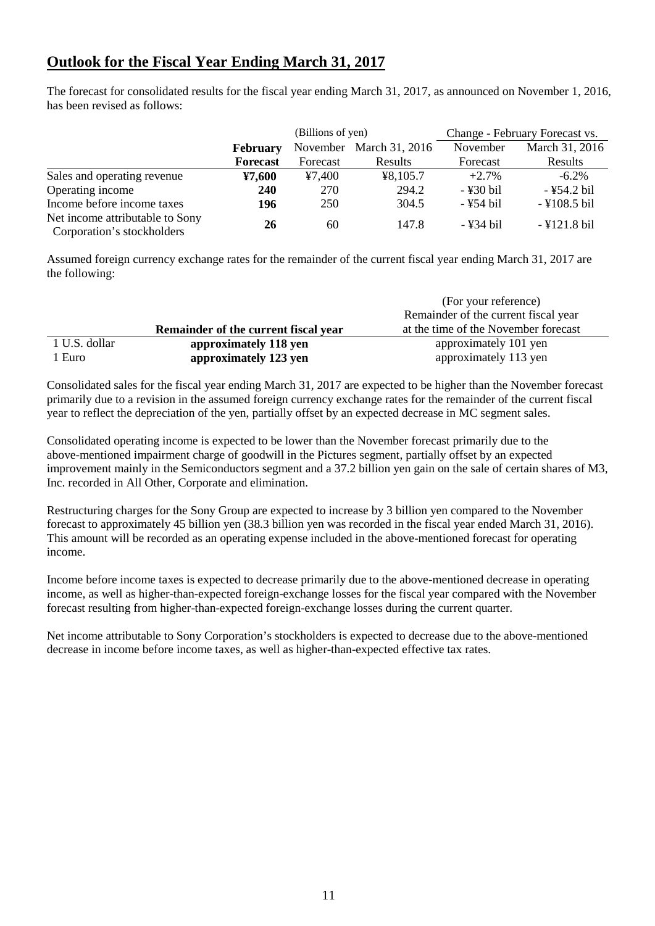## **Outlook for the Fiscal Year Ending March 31, 2017**

The forecast for consolidated results for the fiscal year ending March 31, 2017, as announced on November 1, 2016, has been revised as follows:

|                                                               |                 | (Billions of yen) |                         | Change - February Forecast vs. |                |  |  |
|---------------------------------------------------------------|-----------------|-------------------|-------------------------|--------------------------------|----------------|--|--|
|                                                               | <b>February</b> |                   | November March 31, 2016 | November                       | March 31, 2016 |  |  |
|                                                               | <b>Forecast</b> | Forecast          | Results                 | Forecast                       | Results        |  |  |
| Sales and operating revenue                                   | ¥7,600          | ¥7,400            | 48,105.7                | $+2.7\%$                       | $-6.2\%$       |  |  |
| Operating income                                              | <b>240</b>      | 270               | 294.2                   | - ¥30 bil                      | $-$ ¥54.2 bil  |  |  |
| Income before income taxes                                    | 196             | 250               | 304.5                   | - ¥54 bil                      | -¥108.5 bil    |  |  |
| Net income attributable to Sony<br>Corporation's stockholders | 26              | 60                | 147.8                   | - ¥34 bil                      | $-$ ¥121.8 bil |  |  |

Assumed foreign currency exchange rates for the remainder of the current fiscal year ending March 31, 2017 are the following:

|               |                                      | (For your reference)                 |
|---------------|--------------------------------------|--------------------------------------|
|               |                                      | Remainder of the current fiscal year |
|               | Remainder of the current fiscal year | at the time of the November forecast |
| 1 U.S. dollar | approximately 118 yen                | approximately 101 yen                |
| l Euro        | approximately 123 yen                | approximately 113 yen                |

Consolidated sales for the fiscal year ending March 31, 2017 are expected to be higher than the November forecast primarily due to a revision in the assumed foreign currency exchange rates for the remainder of the current fiscal year to reflect the depreciation of the yen, partially offset by an expected decrease in MC segment sales.

Consolidated operating income is expected to be lower than the November forecast primarily due to the above-mentioned impairment charge of goodwill in the Pictures segment, partially offset by an expected improvement mainly in the Semiconductors segment and a 37.2 billion yen gain on the sale of certain shares of M3, Inc. recorded in All Other, Corporate and elimination.

Restructuring charges for the Sony Group are expected to increase by 3 billion yen compared to the November forecast to approximately 45 billion yen (38.3 billion yen was recorded in the fiscal year ended March 31, 2016). This amount will be recorded as an operating expense included in the above-mentioned forecast for operating income.

Income before income taxes is expected to decrease primarily due to the above-mentioned decrease in operating income, as well as higher-than-expected foreign-exchange losses for the fiscal year compared with the November forecast resulting from higher-than-expected foreign-exchange losses during the current quarter.

Net income attributable to Sony Corporation's stockholders is expected to decrease due to the above-mentioned decrease in income before income taxes, as well as higher-than-expected effective tax rates.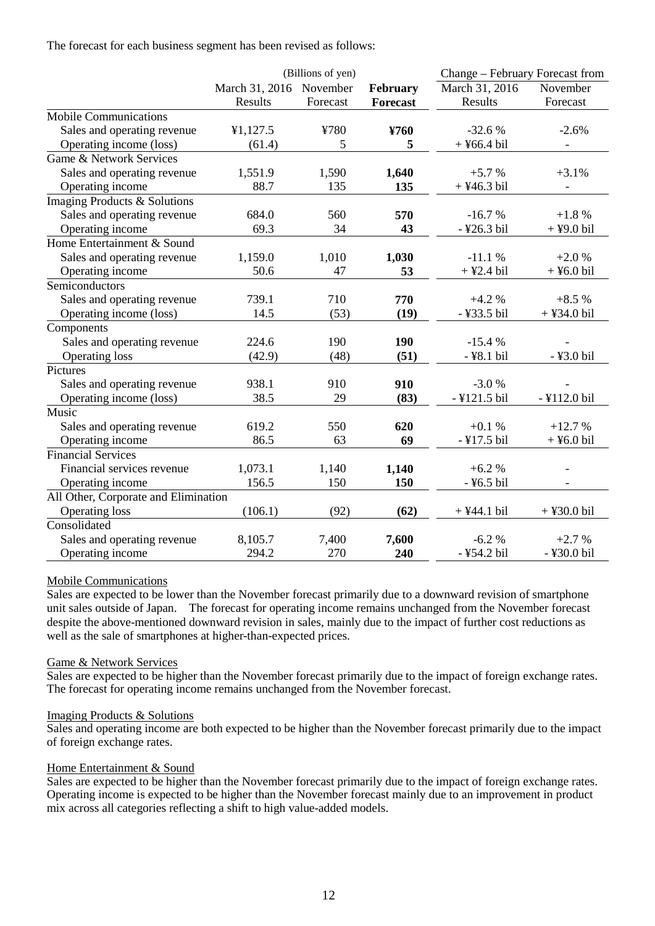The forecast for each business segment has been revised as follows:

|                                      |                         | (Billions of yen) |          |                | Change - February Forecast from |  |  |  |
|--------------------------------------|-------------------------|-------------------|----------|----------------|---------------------------------|--|--|--|
|                                      | March 31, 2016 November |                   | February | March 31, 2016 | November                        |  |  |  |
|                                      | Results                 | Forecast          | Forecast | Results        | Forecast                        |  |  |  |
| <b>Mobile Communications</b>         |                         |                   |          |                |                                 |  |  |  |
| Sales and operating revenue          | ¥1,127.5                | ¥780              | ¥760     | $-32.6%$       | $-2.6%$                         |  |  |  |
| Operating income (loss)              | (61.4)                  | 5                 | 5        | $+$ ¥66.4 bil  |                                 |  |  |  |
| Game & Network Services              |                         |                   |          |                |                                 |  |  |  |
| Sales and operating revenue          | 1,551.9                 | 1,590             | 1,640    | $+5.7%$        | $+3.1%$                         |  |  |  |
| Operating income                     | 88.7                    | 135               | 135      | $+$ ¥46.3 bil  | $\frac{1}{2}$                   |  |  |  |
| Imaging Products & Solutions         |                         |                   |          |                |                                 |  |  |  |
| Sales and operating revenue          | 684.0                   | 560               | 570      | $-16.7%$       | $+1.8%$                         |  |  |  |
| Operating income                     | 69.3                    | 34                | 43       | -¥26.3 bil     | $+$ ¥9.0 bil                    |  |  |  |
| Home Entertainment & Sound           |                         |                   |          |                |                                 |  |  |  |
| Sales and operating revenue          | 1,159.0                 | 1,010             | 1,030    | $-11.1%$       | $+2.0%$                         |  |  |  |
| Operating income                     | 50.6                    | 47                | 53       | $+$ ¥2.4 bil   | $+$ ¥6.0 bil                    |  |  |  |
| Semiconductors                       |                         |                   |          |                |                                 |  |  |  |
| Sales and operating revenue          | 739.1                   | 710               | 770      | $+4.2%$        | $+8.5%$                         |  |  |  |
| Operating income (loss)              | 14.5                    | (53)              | (19)     | -¥33.5 bil     | $+$ ¥34.0 bil                   |  |  |  |
| Components                           |                         |                   |          |                |                                 |  |  |  |
| Sales and operating revenue          | 224.6                   | 190               | 190      | $-15.4%$       |                                 |  |  |  |
| <b>Operating loss</b>                | (42.9)                  | (48)              | (51)     | -¥8.1 bil      | -¥3.0 bil                       |  |  |  |
| Pictures                             |                         |                   |          |                |                                 |  |  |  |
| Sales and operating revenue          | 938.1                   | 910               | 910      | $-3.0%$        |                                 |  |  |  |
| Operating income (loss)              | 38.5                    | 29                | (83)     | -¥121.5 bil    | -¥112.0 bil                     |  |  |  |
| Music                                |                         |                   |          |                |                                 |  |  |  |
| Sales and operating revenue          | 619.2                   | 550               | 620      | $+0.1%$        | $+12.7%$                        |  |  |  |
| Operating income                     | 86.5                    | 63                | 69       | -¥17.5 bil     | $+$ ¥6.0 bil                    |  |  |  |
| <b>Financial Services</b>            |                         |                   |          |                |                                 |  |  |  |
| Financial services revenue           | 1,073.1                 | 1,140             | 1,140    | $+6.2%$        |                                 |  |  |  |
| Operating income                     | 156.5                   | 150               | 150      | -¥6.5 bil      |                                 |  |  |  |
| All Other, Corporate and Elimination |                         |                   |          |                |                                 |  |  |  |
| Operating loss                       | (106.1)                 | (92)              | (62)     | $+$ ¥44.1 bil  | $+$ ¥30.0 bil                   |  |  |  |
| Consolidated                         |                         |                   |          |                |                                 |  |  |  |
| Sales and operating revenue          | 8,105.7                 | 7,400             | 7,600    | $-6.2%$        | $+2.7%$                         |  |  |  |
| Operating income                     | 294.2                   | 270               | 240      | -¥54.2 bil     | -¥30.0 bil                      |  |  |  |

## Mobile Communications

Sales are expected to be lower than the November forecast primarily due to a downward revision of smartphone unit sales outside of Japan. The forecast for operating income remains unchanged from the November forecast despite the above-mentioned downward revision in sales, mainly due to the impact of further cost reductions as well as the sale of smartphones at higher-than-expected prices.

## Game & Network Services

Sales are expected to be higher than the November forecast primarily due to the impact of foreign exchange rates. The forecast for operating income remains unchanged from the November forecast.

## Imaging Products & Solutions

Sales and operating income are both expected to be higher than the November forecast primarily due to the impact of foreign exchange rates.

## Home Entertainment & Sound

Sales are expected to be higher than the November forecast primarily due to the impact of foreign exchange rates. Operating income is expected to be higher than the November forecast mainly due to an improvement in product mix across all categories reflecting a shift to high value-added models.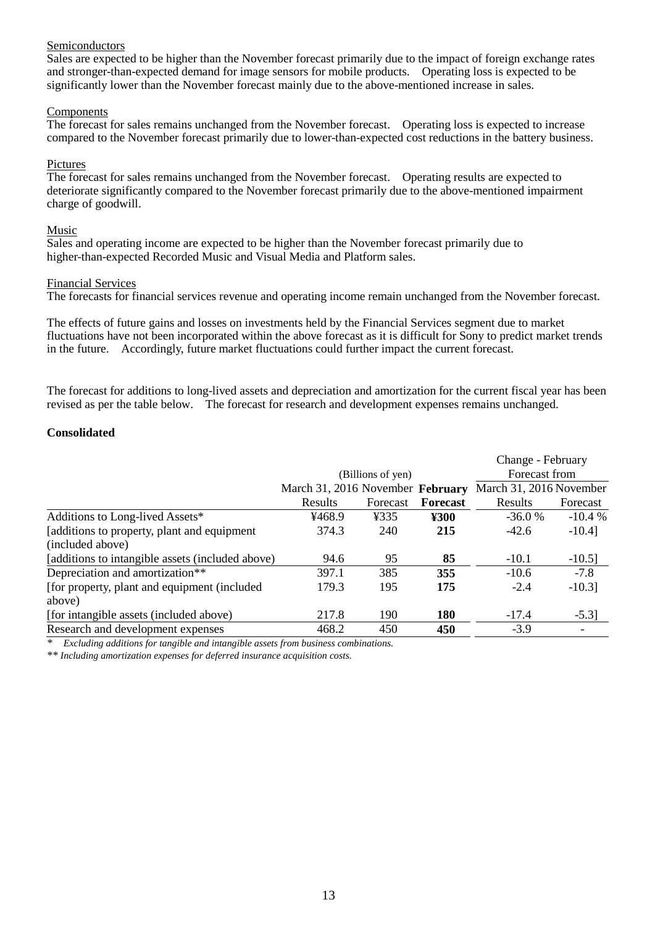## Semiconductors

Sales are expected to be higher than the November forecast primarily due to the impact of foreign exchange rates and stronger-than-expected demand for image sensors for mobile products. Operating loss is expected to be significantly lower than the November forecast mainly due to the above-mentioned increase in sales.

## **Components**

The forecast for sales remains unchanged from the November forecast. Operating loss is expected to increase compared to the November forecast primarily due to lower-than-expected cost reductions in the battery business.

### Pictures

The forecast for sales remains unchanged from the November forecast. Operating results are expected to deteriorate significantly compared to the November forecast primarily due to the above-mentioned impairment charge of goodwill.

### Music

Sales and operating income are expected to be higher than the November forecast primarily due to higher-than-expected Recorded Music and Visual Media and Platform sales.

### Financial Services

The forecasts for financial services revenue and operating income remain unchanged from the November forecast.

The effects of future gains and losses on investments held by the Financial Services segment due to market fluctuations have not been incorporated within the above forecast as it is difficult for Sony to predict market trends in the future. Accordingly, future market fluctuations could further impact the current forecast.

The forecast for additions to long-lived assets and depreciation and amortization for the current fiscal year has been revised as per the table below. The forecast for research and development expenses remains unchanged.

## **Consolidated**

|                                                  |                                  |                   |                 | Change - February       |           |
|--------------------------------------------------|----------------------------------|-------------------|-----------------|-------------------------|-----------|
|                                                  |                                  | (Billions of yen) |                 | Forecast from           |           |
|                                                  | March 31, 2016 November February |                   |                 | March 31, 2016 November |           |
|                                                  | Results                          | Forecast          | <b>Forecast</b> | <b>Results</b>          | Forecast  |
| Additions to Long-lived Assets*                  | ¥468.9                           | ¥335              | ¥300            | $-36.0%$                | $-10.4%$  |
| [additions to property, plant and equipment      | 374.3                            | 240               | 215             | $-42.6$                 | $-10.4$ ] |
| (included above)                                 |                                  |                   |                 |                         |           |
| [additions to intangible assets (included above) | 94.6                             | 95                | 85              | $-10.1$                 | $-10.5$ ] |
| Depreciation and amortization**                  | 397.1                            | 385               | 355             | $-10.6$                 | $-7.8$    |
| [for property, plant and equipment (included)    | 179.3                            | 195               | 175             | $-2.4$                  | $-10.3$ ] |
| above)                                           |                                  |                   |                 |                         |           |
| [for intangible assets (included above)          | 217.8                            | 190               | 180             | $-17.4$                 | $-5.3$ ]  |
| Research and development expenses                | 468.2                            | 450               | 450             | $-3.9$                  |           |
|                                                  |                                  |                   |                 |                         |           |

*\* Excluding additions for tangible and intangible assets from business combinations.*

*\*\* Including amortization expenses for deferred insurance acquisition costs.*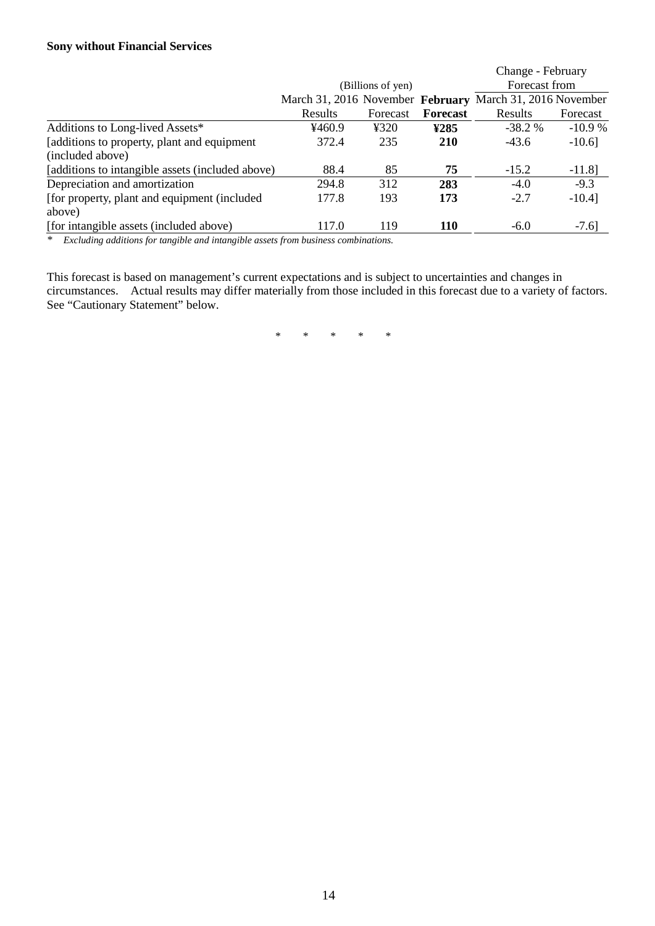## **Sony without Financial Services**

|                                                  |                                  |                   |                 | Change - February       |           |
|--------------------------------------------------|----------------------------------|-------------------|-----------------|-------------------------|-----------|
|                                                  |                                  | (Billions of yen) |                 | Forecast from           |           |
|                                                  | March 31, 2016 November February |                   |                 | March 31, 2016 November |           |
|                                                  | Results                          | Forecast          | <b>Forecast</b> | Results                 | Forecast  |
| Additions to Long-lived Assets*                  | ¥460.9                           | ¥320              | ¥285            | $-38.2%$                | $-10.9%$  |
| [additions to property, plant and equipment      | 372.4                            | 235               | 210             | $-43.6$                 | $-10.6$ ] |
| (included above)                                 |                                  |                   |                 |                         |           |
| [additions to intangible assets (included above) | 88.4                             | 85                | 75              | $-15.2$                 | $-11.8$ ] |
| Depreciation and amortization                    | 294.8                            | 312               | 283             | $-4.0$                  | $-9.3$    |
| [for property, plant and equipment (included)    | 177.8                            | 193               | 173             | $-2.7$                  | $-10.4$ ] |
| above)                                           |                                  |                   |                 |                         |           |
| [for intangible assets (included above)          | 117.0                            | 119               | <b>110</b>      | $-6.0$                  | $-7.6$ ]  |
|                                                  |                                  |                   |                 |                         |           |

*\* Excluding additions for tangible and intangible assets from business combinations.*

This forecast is based on management's current expectations and is subject to uncertainties and changes in circumstances. Actual results may differ materially from those included in this forecast due to a variety of factors. See "Cautionary Statement" below.

\* \* \* \* \*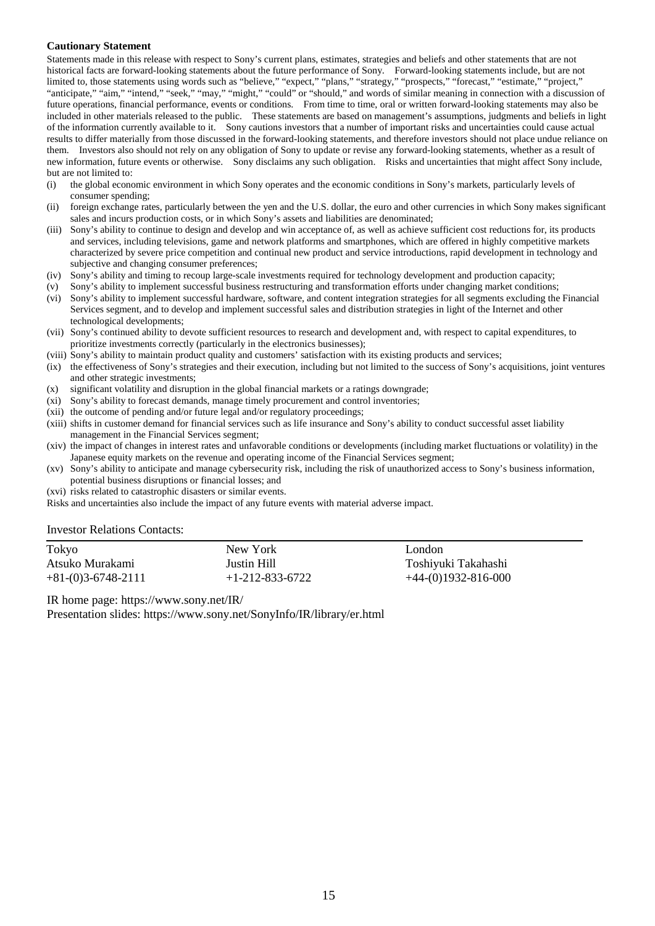#### **Cautionary Statement**

Statements made in this release with respect to Sony's current plans, estimates, strategies and beliefs and other statements that are not historical facts are forward-looking statements about the future performance of Sony. Forward-looking statements include, but are not limited to, those statements using words such as "believe," "expect," "plans," "strategy," "prospects," "forecast," "estimate," "project," "anticipate," "aim," "intend," "seek," "may," "might," "could" or "should," and words of similar meaning in connection with a discussion of future operations, financial performance, events or conditions. From time to time, oral or written forward-looking statements may also be included in other materials released to the public. These statements are based on management's assumptions, judgments and beliefs in light of the information currently available to it. Sony cautions investors that a number of important risks and uncertainties could cause actual results to differ materially from those discussed in the forward-looking statements, and therefore investors should not place undue reliance on them. Investors also should not rely on any obligation of Sony to update or revise any forward-looking statements, whether as a result of new information, future events or otherwise. Sony disclaims any such obligation. Risks and uncertainties that might affect Sony include, but are not limited to:

- (i) the global economic environment in which Sony operates and the economic conditions in Sony's markets, particularly levels of consumer spending;
- (ii) foreign exchange rates, particularly between the yen and the U.S. dollar, the euro and other currencies in which Sony makes significant sales and incurs production costs, or in which Sony's assets and liabilities are denominated;
- (iii) Sony's ability to continue to design and develop and win acceptance of, as well as achieve sufficient cost reductions for, its products and services, including televisions, game and network platforms and smartphones, which are offered in highly competitive markets characterized by severe price competition and continual new product and service introductions, rapid development in technology and subjective and changing consumer preferences;
- (iv) Sony's ability and timing to recoup large-scale investments required for technology development and production capacity;
- (v) Sony's ability to implement successful business restructuring and transformation efforts under changing market conditions;
- (vi) Sony's ability to implement successful hardware, software, and content integration strategies for all segments excluding the Financial Services segment, and to develop and implement successful sales and distribution strategies in light of the Internet and other technological developments;
- (vii) Sony's continued ability to devote sufficient resources to research and development and, with respect to capital expenditures, to prioritize investments correctly (particularly in the electronics businesses);
- (viii) Sony's ability to maintain product quality and customers' satisfaction with its existing products and services;
- (ix) the effectiveness of Sony's strategies and their execution, including but not limited to the success of Sony's acquisitions, joint ventures and other strategic investments;
- (x) significant volatility and disruption in the global financial markets or a ratings downgrade;
- (xi) Sony's ability to forecast demands, manage timely procurement and control inventories;
- (xii) the outcome of pending and/or future legal and/or regulatory proceedings;
- (xiii) shifts in customer demand for financial services such as life insurance and Sony's ability to conduct successful asset liability management in the Financial Services segment;
- (xiv) the impact of changes in interest rates and unfavorable conditions or developments (including market fluctuations or volatility) in the Japanese equity markets on the revenue and operating income of the Financial Services segment;
- (xv) Sony's ability to anticipate and manage cybersecurity risk, including the risk of unauthorized access to Sony's business information, potential business disruptions or financial losses; and
- (xvi) risks related to catastrophic disasters or similar events.

Risks and uncertainties also include the impact of any future events with material adverse impact.

#### Investor Relations Contacts:

| Tokyo                | New York                | London                |
|----------------------|-------------------------|-----------------------|
| Atsuko Murakami      | Justin Hill             | Toshiyuki Takahashi   |
| $+81-(0)3-6748-2111$ | $+1 - 212 - 833 - 6722$ | $+44-(0)1932-816-000$ |

IR home page: https://www.sony.net/IR/

Presentation slides: https://www.sony.net/SonyInfo/IR/library/er.html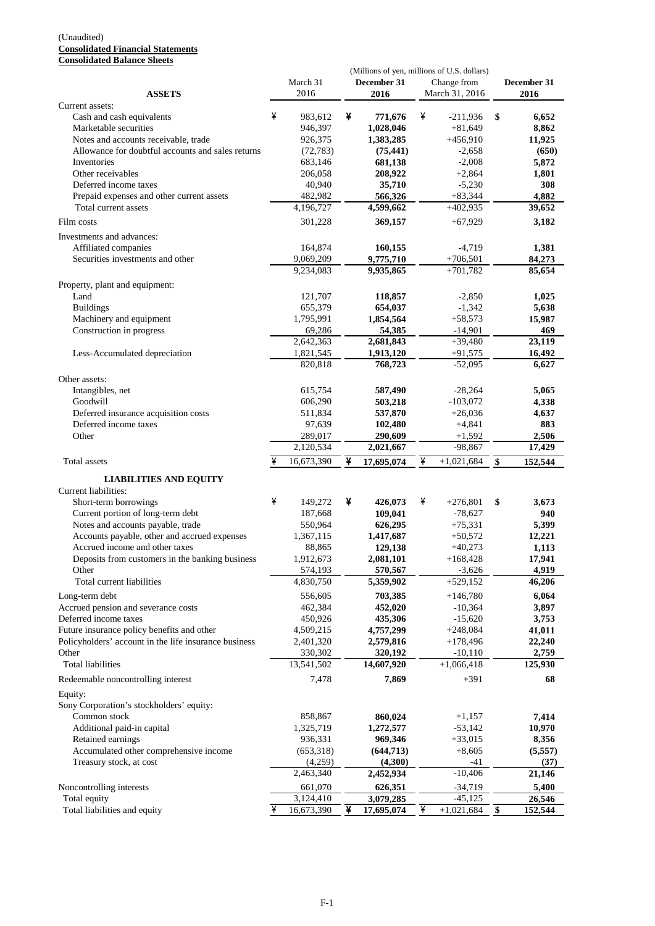#### (Unaudited) **Consolidated Financial Statements Consolidated Balance Sheets**

|                                                                   |   |                         |   |                         |   | (Millions of yen, millions of U.S. dollars) |                         |
|-------------------------------------------------------------------|---|-------------------------|---|-------------------------|---|---------------------------------------------|-------------------------|
|                                                                   |   | March 31                |   | December 31             |   | Change from                                 | December 31             |
| <b>ASSETS</b>                                                     |   | 2016                    |   | 2016                    |   | March 31, 2016                              | 2016                    |
| Current assets:                                                   | ¥ |                         | ¥ |                         | ¥ |                                             |                         |
| Cash and cash equivalents<br>Marketable securities                |   | 983,612<br>946,397      |   | 771,676<br>1,028,046    |   | $-211,936$<br>$+81,649$                     | \$<br>6,652             |
| Notes and accounts receivable, trade                              |   | 926,375                 |   |                         |   | $+456,910$                                  | 8,862<br>11,925         |
|                                                                   |   |                         |   | 1,383,285               |   |                                             |                         |
| Allowance for doubtful accounts and sales returns                 |   | (72, 783)               |   | (75, 441)               |   | $-2,658$                                    | (650)                   |
| Inventories                                                       |   | 683,146                 |   | 681,138                 |   | $-2,008$                                    | 5,872                   |
| Other receivables                                                 |   | 206,058                 |   | 208,922                 |   | $+2,864$                                    | 1,801                   |
| Deferred income taxes                                             |   | 40,940                  |   | 35,710                  |   | $-5,230$                                    | 308                     |
| Prepaid expenses and other current assets<br>Total current assets |   | 482,982                 |   | 566,326                 |   | $+83,344$                                   | 4,882                   |
|                                                                   |   | 4,196,727               |   | 4,599,662               |   | $+402,935$                                  | 39,652                  |
| Film costs                                                        |   | 301,228                 |   | 369,157                 |   | $+67,929$                                   | 3,182                   |
| Investments and advances:                                         |   |                         |   |                         |   |                                             |                         |
| Affiliated companies                                              |   | 164,874                 |   | 160,155                 |   | $-4,719$                                    | 1,381                   |
| Securities investments and other                                  |   | 9,069,209               |   | 9,775,710               |   | $+706,501$                                  | 84,273                  |
|                                                                   |   | 9,234,083               |   | 9,935,865               |   | $+701,782$                                  | 85,654                  |
| Property, plant and equipment:                                    |   |                         |   |                         |   |                                             |                         |
| Land                                                              |   | 121,707                 |   | 118,857                 |   | $-2,850$                                    | 1,025                   |
| <b>Buildings</b>                                                  |   | 655,379                 |   | 654,037                 |   | $-1,342$                                    | 5,638                   |
| Machinery and equipment                                           |   | 1,795,991               |   | 1,854,564               |   | $+58,573$                                   | 15,987                  |
| Construction in progress                                          |   | 69,286                  |   | 54,385                  |   | $-14,901$                                   | 469                     |
|                                                                   |   | 2,642,363               |   | 2,681,843               |   | $+39,480$                                   | 23,119                  |
| Less-Accumulated depreciation                                     |   | 1,821,545               |   | 1,913,120               |   | $+91,575$                                   | 16,492                  |
|                                                                   |   | 820,818                 |   | 768,723                 |   | $-52,095$                                   | 6,627                   |
| Other assets:                                                     |   |                         |   |                         |   |                                             |                         |
| Intangibles, net                                                  |   | 615,754                 |   | 587,490                 |   | $-28,264$                                   | 5,065                   |
| Goodwill                                                          |   | 606,290                 |   | 503,218                 |   | $-103,072$                                  | 4,338                   |
| Deferred insurance acquisition costs                              |   | 511,834                 |   | 537,870                 |   | $+26,036$                                   | 4,637                   |
| Deferred income taxes                                             |   | 97,639                  |   | 102,480                 |   | $+4,841$                                    | 883                     |
| Other                                                             |   | 289,017                 |   | 290,609                 |   | $+1,592$                                    | 2,506                   |
|                                                                   |   | 2,120,534               |   | 2,021,667               |   | $-98,867$                                   | 17,429                  |
|                                                                   | ¥ |                         | ¥ |                         | ¥ |                                             |                         |
| Total assets                                                      |   | 16,673,390              |   | 17,695,074              |   | $+1,021,684$                                | \$<br>152,544           |
| <b>LIABILITIES AND EQUITY</b>                                     |   |                         |   |                         |   |                                             |                         |
| Current liabilities:                                              |   |                         |   |                         |   |                                             |                         |
| Short-term borrowings                                             | ¥ | 149,272                 | ¥ | 426,073                 | ¥ | $+276,801$                                  | \$<br>3,673             |
| Current portion of long-term debt                                 |   | 187,668                 |   | 109,041                 |   | $-78,627$                                   | 940                     |
| Notes and accounts payable, trade                                 |   | 550,964                 |   | 626,295                 |   | $+75,331$                                   | 5,399                   |
| Accounts payable, other and accrued expenses                      |   | 1,367,115               |   | 1,417,687               |   | $+50,572$                                   | 12,221                  |
| Accrued income and other taxes                                    |   | 88,865                  |   | 129,138                 |   | $+40,273$                                   | 1,113                   |
| Deposits from customers in the banking business                   |   | 1,912,673               |   | 2,081,101               |   | $+168,428$                                  | 17,941                  |
| Other                                                             |   | 574,193                 |   | 570,567                 |   | $-3,626$                                    | 4,919                   |
| Total current liabilities                                         |   | 4,830,750               |   | 5,359,902               |   | $+529,152$                                  | 46,206                  |
|                                                                   |   | 556,605                 |   | 703,385                 |   | $+146,780$                                  | 6,064                   |
| Long-term debt<br>Accrued pension and severance costs             |   |                         |   | 452,020                 |   |                                             |                         |
|                                                                   |   | 462,384                 |   |                         |   | $-10,364$                                   | 3,897                   |
| Deferred income taxes                                             |   | 450,926                 |   | 435,306                 |   | $-15,620$                                   | 3,753                   |
| Future insurance policy benefits and other                        |   | 4,509,215               |   | 4,757,299               |   | $+248,084$                                  | 41,011                  |
| Policyholders' account in the life insurance business             |   | 2,401,320               |   | 2,579,816               |   | $+178,496$                                  | 22,240                  |
| Other                                                             |   | 330,302                 |   | 320,192                 |   | $-10,110$                                   | 2,759                   |
| Total liabilities                                                 |   | 13,541,502              |   | 14,607,920              |   | $+1,066,418$                                | 125,930                 |
| Redeemable noncontrolling interest                                |   | 7,478                   |   | 7,869                   |   | $+391$                                      | 68                      |
| Equity:                                                           |   |                         |   |                         |   |                                             |                         |
| Sony Corporation's stockholders' equity:                          |   |                         |   |                         |   |                                             |                         |
|                                                                   |   |                         |   |                         |   |                                             | 7,414                   |
|                                                                   |   |                         |   |                         |   |                                             |                         |
| Common stock                                                      |   | 858,867                 |   | 860,024                 |   | $+1,157$                                    |                         |
| Additional paid-in capital                                        |   | 1,325,719               |   | 1,272,577               |   | $-53,142$                                   | 10,970                  |
| Retained earnings                                                 |   | 936,331                 |   | 969,346                 |   | $+33,015$                                   | 8,356                   |
| Accumulated other comprehensive income                            |   | (653,318)               |   | (644, 713)              |   | $+8,605$                                    | (5, 557)                |
| Treasury stock, at cost                                           |   | (4,259)                 |   | (4,300)                 |   | -41                                         | (37)                    |
|                                                                   |   | 2,463,340               |   | 2,452,934               |   | $-10,406$                                   | 21,146                  |
| Noncontrolling interests                                          |   | 661,070                 |   | 626,351                 |   | $-34,719$                                   | 5,400                   |
| Total equity<br>Total liabilities and equity                      | ¥ | 3,124,410<br>16,673,390 | ¥ | 3,079,285<br>17,695,074 | ¥ | $-45,125$<br>$+1,021,684$                   | \$<br>26,546<br>152,544 |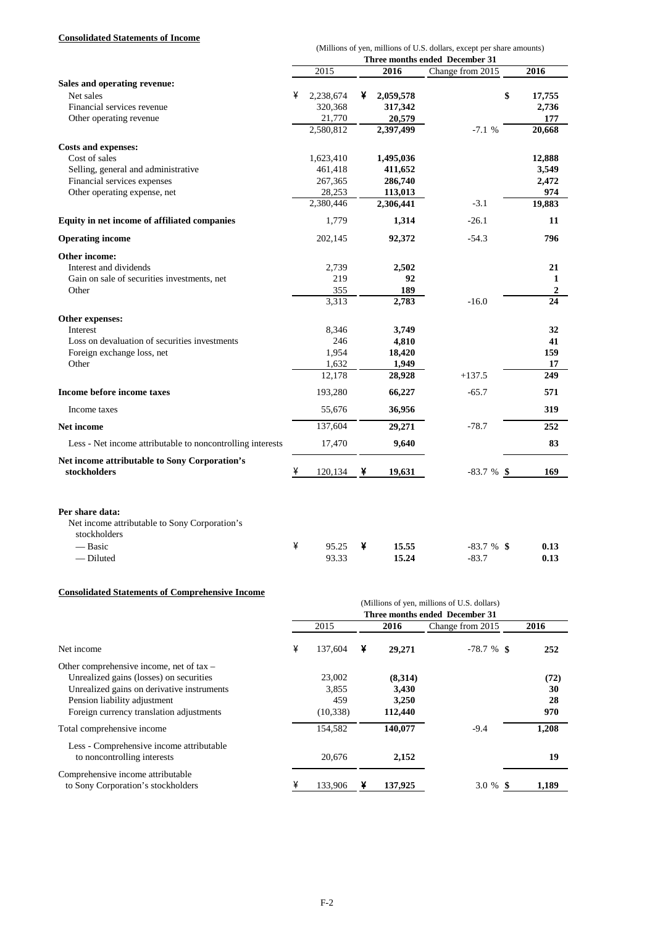### **Consolidated Statements of Income**

| (Millions of yen, millions of U.S. dollars, except per share amounts)<br>Three months ended December 31 |                                             |                                |                                             |                                |                                  |  |  |  |  |
|---------------------------------------------------------------------------------------------------------|---------------------------------------------|--------------------------------|---------------------------------------------|--------------------------------|----------------------------------|--|--|--|--|
|                                                                                                         | 2015                                        |                                | 2016                                        | Change from 2015               | 2016                             |  |  |  |  |
| ¥                                                                                                       | 2,238,674<br>320,368<br>21,770<br>2,580,812 | ¥                              | 2,059,578<br>317,342<br>20,579<br>2,397,499 | \$<br>$-7.1%$                  | 17,755<br>2,736<br>177<br>20,668 |  |  |  |  |
|                                                                                                         | 1,623,410<br>461,418<br>267,365             |                                | 1,495,036<br>411,652<br>286,740             |                                | 12,888<br>3,549<br>2,472         |  |  |  |  |
|                                                                                                         |                                             |                                |                                             |                                | 974                              |  |  |  |  |
|                                                                                                         |                                             |                                |                                             |                                | 19,883                           |  |  |  |  |
|                                                                                                         | 1,779                                       |                                | 1,314                                       | $-26.1$                        | 11                               |  |  |  |  |
|                                                                                                         | 202,145                                     |                                | 92,372                                      | $-54.3$                        | 796                              |  |  |  |  |
|                                                                                                         | 2,739<br>219<br>355<br>3,313                |                                | 2,502<br>92<br>189<br>2,783                 | $-16.0$                        | 21<br>1<br>$\overline{2}$<br>24  |  |  |  |  |
|                                                                                                         | 8,346<br>246<br>1,954<br>1,632<br>12,178    |                                | 3,749<br>4,810<br>18,420<br>1,949<br>28,928 | $+137.5$                       | 32<br>41<br>159<br>17<br>249     |  |  |  |  |
|                                                                                                         |                                             |                                |                                             | $-65.7$                        | 571                              |  |  |  |  |
|                                                                                                         | 55,676                                      |                                | 36,956                                      |                                | 319                              |  |  |  |  |
|                                                                                                         | 137,604                                     |                                | 29,271                                      | $-78.7$                        | 252                              |  |  |  |  |
|                                                                                                         | 17,470                                      |                                | 9,640                                       |                                | 83                               |  |  |  |  |
| ¥                                                                                                       | 120,134                                     | ¥                              | 19,631                                      | $-83.7 \%$ \$                  | 169                              |  |  |  |  |
| ¥                                                                                                       | 95.25<br>93.33                              | ¥                              | 15.55<br>15.24                              | $-83.7%$<br>$-83.7$            | 0.13<br>0.13                     |  |  |  |  |
|                                                                                                         |                                             | 28,253<br>2,380,446<br>193,280 |                                             | 113,013<br>2,306,441<br>66,227 | $-3.1$                           |  |  |  |  |

#### **Consolidated Statements of Comprehensive Income**

|                                                                                                                                                                                                                 |   | (Millions of yen, millions of U.S. dollars)<br>Three months ended December 31 |   |                                      |                  |                         |  |  |  |  |  |
|-----------------------------------------------------------------------------------------------------------------------------------------------------------------------------------------------------------------|---|-------------------------------------------------------------------------------|---|--------------------------------------|------------------|-------------------------|--|--|--|--|--|
|                                                                                                                                                                                                                 |   | 2015                                                                          |   | 2016                                 | Change from 2015 | 2016                    |  |  |  |  |  |
| Net income                                                                                                                                                                                                      | ¥ | 137,604                                                                       | ¥ | 29,271                               | $-78.7%$         | 252                     |  |  |  |  |  |
| Other comprehensive income, net of $tax -$<br>Unrealized gains (losses) on securities<br>Unrealized gains on derivative instruments<br>Pension liability adjustment<br>Foreign currency translation adjustments |   | 23,002<br>3,855<br>459<br>(10, 338)                                           |   | (8,314)<br>3,430<br>3,250<br>112,440 |                  | (72)<br>30<br>28<br>970 |  |  |  |  |  |
| Total comprehensive income<br>Less - Comprehensive income attributable                                                                                                                                          |   | 154,582                                                                       |   | 140,077                              | $-9.4$           | 1,208                   |  |  |  |  |  |
| to noncontrolling interests<br>Comprehensive income attributable                                                                                                                                                |   | 20,676                                                                        |   | 2,152                                |                  | 19                      |  |  |  |  |  |
| to Sony Corporation's stockholders                                                                                                                                                                              |   | 133,906                                                                       |   | 137,925                              | 3.0 % \$         | 1,189                   |  |  |  |  |  |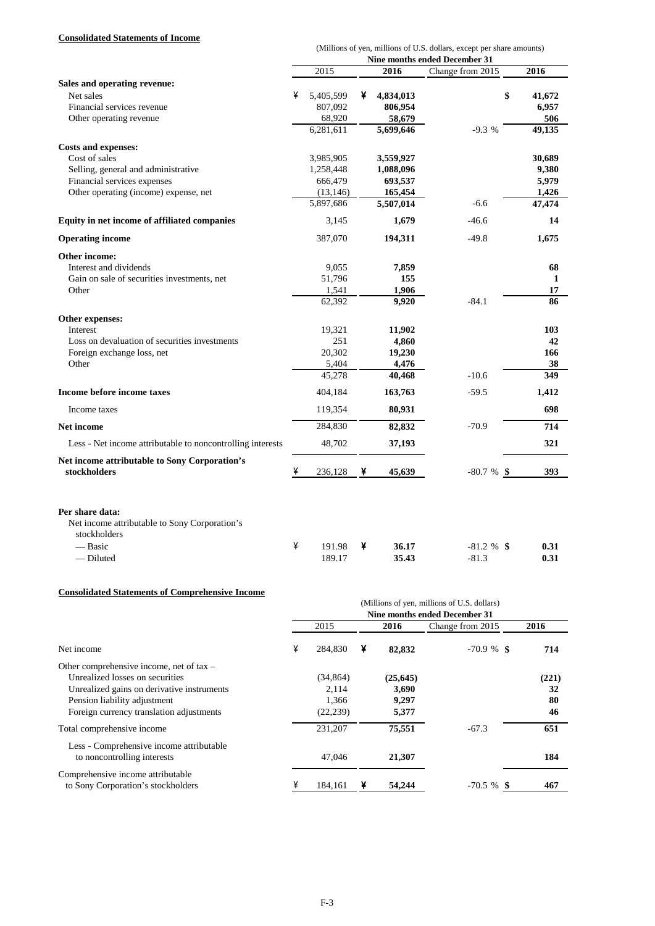### **Consolidated Statements of Income**

|   | 2015                                        |                                                                 |                                    |                                                                            | (Millions of yen, millions of U.S. dollars, except per share amounts)<br>Nine months ended December 31 |  |  |  |  |  |  |  |  |  |
|---|---------------------------------------------|-----------------------------------------------------------------|------------------------------------|----------------------------------------------------------------------------|--------------------------------------------------------------------------------------------------------|--|--|--|--|--|--|--|--|--|
|   |                                             |                                                                 | 2016                               | Change from 2015                                                           | 2016                                                                                                   |  |  |  |  |  |  |  |  |  |
| ¥ | 5,405,599<br>807,092<br>68,920<br>6,281,611 | ¥                                                               | 4,834,013<br>806,954<br>58,679     | \$<br>$-9.3%$                                                              | 41,672<br>6,957<br>506<br>49,135                                                                       |  |  |  |  |  |  |  |  |  |
|   | 3,985,905                                   |                                                                 | 3,559,927                          |                                                                            | 30,689                                                                                                 |  |  |  |  |  |  |  |  |  |
|   | 666,479<br>(13, 146)                        |                                                                 | 693,537<br>165,454                 |                                                                            | 9,380<br>5,979<br>1,426                                                                                |  |  |  |  |  |  |  |  |  |
|   |                                             |                                                                 |                                    |                                                                            | 47,474                                                                                                 |  |  |  |  |  |  |  |  |  |
|   | 3,145                                       |                                                                 | 1,679                              | $-46.6$                                                                    | 14                                                                                                     |  |  |  |  |  |  |  |  |  |
|   | 387,070                                     |                                                                 | 194,311                            | $-49.8$                                                                    | 1,675                                                                                                  |  |  |  |  |  |  |  |  |  |
|   | 9,055<br>51,796<br>1,541                    |                                                                 | 7,859<br>155<br>1,906              |                                                                            | 68<br>1<br>17<br>86                                                                                    |  |  |  |  |  |  |  |  |  |
|   | 19,321<br>251<br>20,302<br>5,404            |                                                                 | 11,902<br>4,860<br>19,230<br>4,476 |                                                                            | 103<br>42<br>166<br>38<br>349                                                                          |  |  |  |  |  |  |  |  |  |
|   |                                             |                                                                 |                                    |                                                                            | 1,412                                                                                                  |  |  |  |  |  |  |  |  |  |
|   | 119,354                                     |                                                                 | 80,931                             |                                                                            | 698                                                                                                    |  |  |  |  |  |  |  |  |  |
|   | 284,830                                     |                                                                 | 82,832                             | $-70.9$                                                                    | 714                                                                                                    |  |  |  |  |  |  |  |  |  |
|   | 48,702                                      |                                                                 | 37,193                             |                                                                            | 321                                                                                                    |  |  |  |  |  |  |  |  |  |
| ¥ | 236,128                                     | ¥                                                               | 45,639                             | $-80.7%$<br>- \$                                                           | 393                                                                                                    |  |  |  |  |  |  |  |  |  |
| ¥ | 191.98                                      | ¥                                                               | 36.17                              | $-81.2 \%$ \$                                                              | 0.31<br>0.31                                                                                           |  |  |  |  |  |  |  |  |  |
|   |                                             | 1,258,448<br>5,897,686<br>62,392<br>45,278<br>404,184<br>189.17 |                                    | 5,699,646<br>1,088,096<br>5,507,014<br>9,920<br>40,468<br>163,763<br>35.43 | $-6.6$<br>$-84.1$<br>$-10.6$<br>$-59.5$<br>$-81.3$                                                     |  |  |  |  |  |  |  |  |  |

#### **Consolidated Statements of Comprehensive Income**

|                                                                                                                                                                                                         | (Millions of yen, millions of U.S. dollars)<br>Nine months ended December 31 |                                          |   |                                      |                  |                         |  |  |  |  |  |
|---------------------------------------------------------------------------------------------------------------------------------------------------------------------------------------------------------|------------------------------------------------------------------------------|------------------------------------------|---|--------------------------------------|------------------|-------------------------|--|--|--|--|--|
|                                                                                                                                                                                                         |                                                                              | 2015                                     |   | 2016                                 | Change from 2015 | 2016                    |  |  |  |  |  |
| Net income                                                                                                                                                                                              | ¥                                                                            | 284,830                                  | ¥ | 82,832                               | $-70.9 \%$ \$    | 714                     |  |  |  |  |  |
| Other comprehensive income, net of $tax -$<br>Unrealized losses on securities<br>Unrealized gains on derivative instruments<br>Pension liability adjustment<br>Foreign currency translation adjustments |                                                                              | (34, 864)<br>2.114<br>1.366<br>(22, 239) |   | (25, 645)<br>3,690<br>9,297<br>5,377 |                  | (221)<br>32<br>80<br>46 |  |  |  |  |  |
| Total comprehensive income                                                                                                                                                                              |                                                                              | 231,207                                  |   | 75,551                               | $-67.3$          | 651                     |  |  |  |  |  |
| Less - Comprehensive income attributable<br>to noncontrolling interests                                                                                                                                 |                                                                              | 47,046                                   |   | 21,307                               |                  | 184                     |  |  |  |  |  |
| Comprehensive income attributable<br>to Sony Corporation's stockholders                                                                                                                                 |                                                                              | 184.161                                  |   | 54,244                               | $-70.5 \%$ \$    | 467                     |  |  |  |  |  |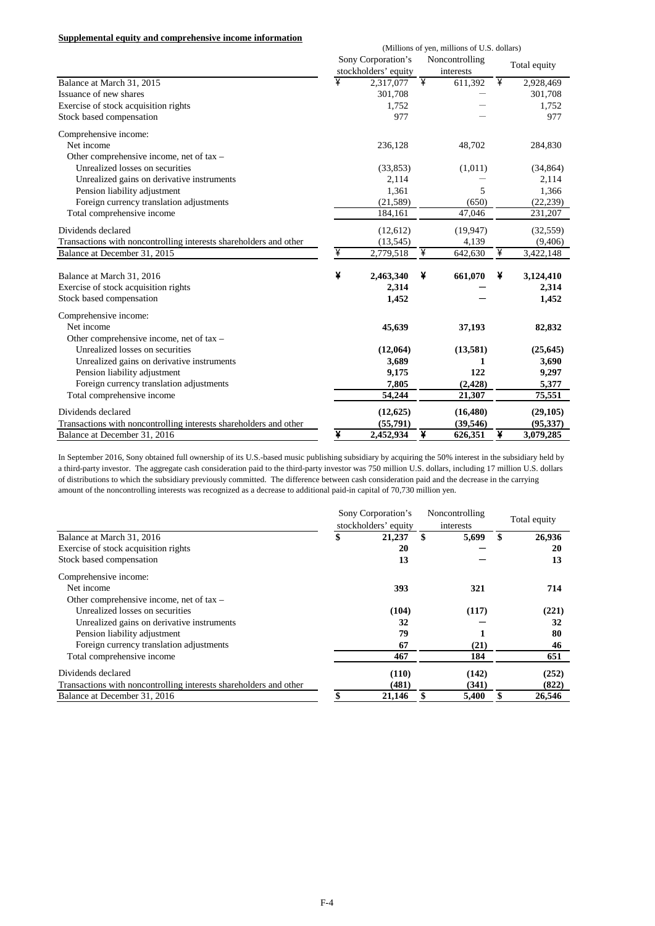#### **Supplemental equity and comprehensive income information**

| ріспіснимі суміст мікі соніргененогте пісопіс пігогіншіог         |                    | (Millions of yen, millions of U.S. dollars) |   |                |   |              |
|-------------------------------------------------------------------|--------------------|---------------------------------------------|---|----------------|---|--------------|
|                                                                   | Sony Corporation's |                                             |   | Noncontrolling |   | Total equity |
|                                                                   |                    | stockholders' equity                        |   | interests      |   |              |
| Balance at March 31, 2015                                         | ¥                  | 2,317,077                                   | ¥ | 611,392        | ¥ | 2,928,469    |
| Issuance of new shares                                            |                    | 301,708                                     |   |                |   | 301,708      |
| Exercise of stock acquisition rights                              |                    | 1,752                                       |   |                |   | 1,752        |
| Stock based compensation                                          |                    | 977                                         |   |                |   | 977          |
| Comprehensive income:                                             |                    |                                             |   |                |   |              |
| Net income                                                        |                    | 236,128                                     |   | 48,702         |   | 284,830      |
| Other comprehensive income, net of tax -                          |                    |                                             |   |                |   |              |
| Unrealized losses on securities                                   |                    | (33, 853)                                   |   | (1,011)        |   | (34, 864)    |
| Unrealized gains on derivative instruments                        |                    | 2,114                                       |   |                |   | 2,114        |
| Pension liability adjustment                                      |                    | 1,361                                       |   | 5              |   | 1,366        |
| Foreign currency translation adjustments                          |                    | (21, 589)                                   |   | (650)          |   | (22, 239)    |
| Total comprehensive income                                        |                    | 184,161                                     |   | 47,046         |   | 231,207      |
| Dividends declared                                                |                    | (12,612)                                    |   | (19, 947)      |   | (32, 559)    |
| Transactions with noncontrolling interests shareholders and other |                    | (13, 545)                                   |   | 4,139          |   | (9,406)      |
| Balance at December 31, 2015                                      | ¥                  | 2,779,518                                   | ¥ | 642,630        | ¥ | 3,422,148    |
| Balance at March 31, 2016                                         | ¥                  | 2,463,340                                   | ¥ | 661,070        | ¥ | 3,124,410    |
| Exercise of stock acquisition rights                              |                    | 2,314                                       |   |                |   | 2,314        |
| Stock based compensation                                          |                    | 1,452                                       |   |                |   | 1,452        |
|                                                                   |                    |                                             |   |                |   |              |
| Comprehensive income:<br>Net income                               |                    | 45,639                                      |   | 37,193         |   | 82,832       |
| Other comprehensive income, net of tax -                          |                    |                                             |   |                |   |              |
| Unrealized losses on securities                                   |                    | (12,064)                                    |   | (13,581)       |   | (25, 645)    |
| Unrealized gains on derivative instruments                        |                    | 3,689                                       |   | 1              |   | 3,690        |
| Pension liability adjustment                                      |                    | 9,175                                       |   | 122            |   | 9,297        |
| Foreign currency translation adjustments                          |                    | 7,805                                       |   | (2, 428)       |   | 5,377        |
|                                                                   |                    |                                             |   |                |   |              |
| Total comprehensive income                                        |                    | 54,244                                      |   | 21,307         |   | 75,551       |
| Dividends declared                                                |                    | (12,625)                                    |   | (16, 480)      |   | (29,105)     |
| Transactions with noncontrolling interests shareholders and other |                    | (55,791)                                    |   | (39, 546)      |   | (95, 337)    |
| Balance at December 31, 2016                                      | ¥                  | 2,452,934                                   | ¥ | 626,351        | ¥ | 3,079,285    |

In September 2016, Sony obtained full ownership of its U.S.-based music publishing subsidiary by acquiring the 50% interest in the subsidiary held by a third-party investor. The aggregate cash consideration paid to the third-party investor was 750 million U.S. dollars, including 17 million U.S. dollars of distributions to which the subsidiary previously committed. The difference between cash consideration paid and the decrease in the carrying amount of the noncontrolling interests was recognized as a decrease to additional paid-in capital of 70,730 million yen.

|                                                                   | Sony Corporation's<br>stockholders' equity |        | Noncontrolling<br>interests | Total equity |
|-------------------------------------------------------------------|--------------------------------------------|--------|-----------------------------|--------------|
| Balance at March 31, 2016                                         | \$                                         | 21,237 | \$<br>5,699                 | 26,936       |
| Exercise of stock acquisition rights                              |                                            | 20     |                             | 20           |
| Stock based compensation                                          |                                            | 13     |                             | 13           |
| Comprehensive income:                                             |                                            |        |                             |              |
| Net income                                                        |                                            | 393    | 321                         | 714          |
| Other comprehensive income, net of $tax -$                        |                                            |        |                             |              |
| Unrealized losses on securities                                   |                                            | (104)  | (117)                       | (221)        |
| Unrealized gains on derivative instruments                        |                                            | 32     |                             | 32           |
| Pension liability adjustment                                      |                                            | 79     |                             | 80           |
| Foreign currency translation adjustments                          |                                            | 67     | (21)                        | 46           |
| Total comprehensive income                                        |                                            | 467    | 184                         | 651          |
| Dividends declared                                                |                                            | (110)  | (142)                       | (252)        |
| Transactions with noncontrolling interests shareholders and other |                                            | (481)  | (341)                       | (822)        |
| Balance at December 31, 2016                                      |                                            | 21,146 | 5,400                       | 26,546       |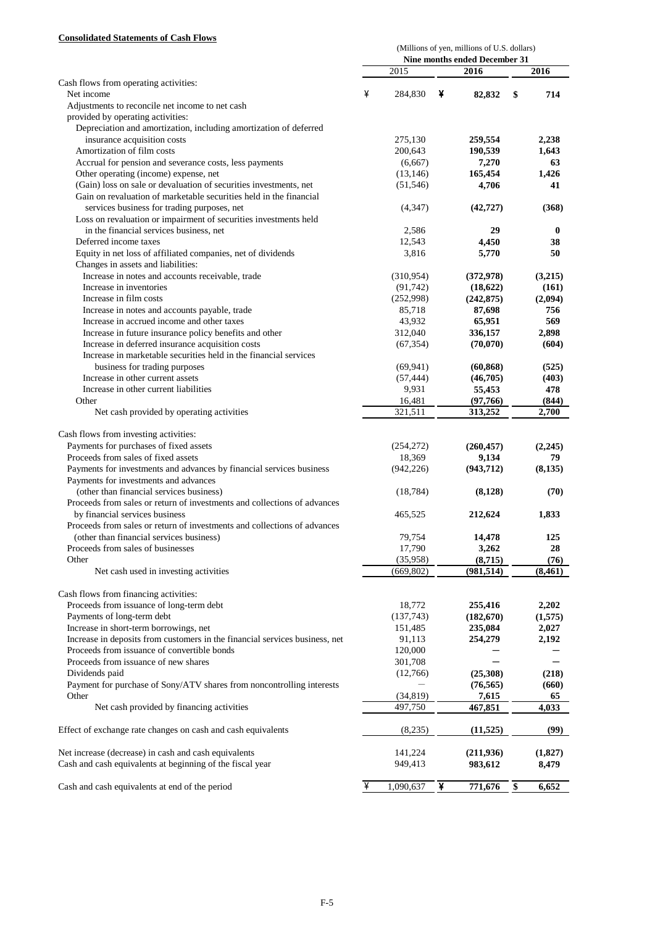#### **Consolidated Statements of Cash Flows**

|                                                                               | (Millions of yen, millions of U.S. dollars) |                      |   |                               |    |               |  |
|-------------------------------------------------------------------------------|---------------------------------------------|----------------------|---|-------------------------------|----|---------------|--|
|                                                                               |                                             |                      |   | Nine months ended December 31 |    |               |  |
|                                                                               |                                             | 2015                 |   | 2016                          |    | 2016          |  |
| Cash flows from operating activities:<br>Net income                           | ¥                                           | 284,830              | ¥ | 82,832                        | \$ | 714           |  |
| Adjustments to reconcile net income to net cash                               |                                             |                      |   |                               |    |               |  |
| provided by operating activities:                                             |                                             |                      |   |                               |    |               |  |
| Depreciation and amortization, including amortization of deferred             |                                             |                      |   |                               |    |               |  |
| insurance acquisition costs                                                   |                                             | 275,130              |   | 259,554                       |    | 2,238         |  |
| Amortization of film costs                                                    |                                             | 200,643              |   | 190,539                       |    | 1,643         |  |
| Accrual for pension and severance costs, less payments                        |                                             | (6,667)              |   | 7,270                         |    | 63            |  |
| Other operating (income) expense, net                                         |                                             | (13, 146)            |   | 165,454                       |    | 1,426         |  |
| (Gain) loss on sale or devaluation of securities investments, net             |                                             | (51, 546)            |   | 4,706                         |    | 41            |  |
| Gain on revaluation of marketable securities held in the financial            |                                             |                      |   |                               |    |               |  |
| services business for trading purposes, net                                   |                                             | (4, 347)             |   | (42, 727)                     |    | (368)         |  |
| Loss on revaluation or impairment of securities investments held              |                                             |                      |   |                               |    |               |  |
| in the financial services business, net                                       |                                             | 2,586                |   | 29                            |    | $\bf{0}$      |  |
| Deferred income taxes                                                         |                                             | 12,543               |   | 4,450                         |    | 38            |  |
| Equity in net loss of affiliated companies, net of dividends                  |                                             | 3,816                |   | 5,770                         |    | 50            |  |
| Changes in assets and liabilities:                                            |                                             |                      |   |                               |    |               |  |
| Increase in notes and accounts receivable, trade                              |                                             | (310,954)            |   | (372, 978)                    |    | (3,215)       |  |
| Increase in inventories                                                       |                                             | (91, 742)            |   | (18, 622)                     |    | (161)         |  |
| Increase in film costs                                                        |                                             | (252,998)            |   | (242, 875)                    |    | (2,094)       |  |
| Increase in notes and accounts payable, trade                                 |                                             | 85,718               |   | 87,698                        |    | 756           |  |
| Increase in accrued income and other taxes                                    |                                             | 43,932               |   | 65,951                        |    | 569           |  |
| Increase in future insurance policy benefits and other                        |                                             | 312,040              |   | 336,157                       |    | 2,898         |  |
| Increase in deferred insurance acquisition costs                              |                                             | (67, 354)            |   | (70,070)                      |    | (604)         |  |
| Increase in marketable securities held in the financial services              |                                             |                      |   |                               |    |               |  |
| business for trading purposes                                                 |                                             | (69, 941)            |   | (60, 868)                     |    | (525)         |  |
| Increase in other current assets                                              |                                             | (57, 444)            |   | (46,705)                      |    | (403)         |  |
| Increase in other current liabilities                                         |                                             | 9,931                |   | 55,453                        |    | 478           |  |
| Other                                                                         |                                             | 16,481               |   | (97, 766)                     |    | (844)         |  |
| Net cash provided by operating activities                                     |                                             | 321,511              |   | 313,252                       |    | 2,700         |  |
| Cash flows from investing activities:                                         |                                             |                      |   |                               |    |               |  |
|                                                                               |                                             |                      |   |                               |    |               |  |
| Payments for purchases of fixed assets<br>Proceeds from sales of fixed assets |                                             | (254, 272)<br>18,369 |   | (260, 457)<br>9,134           |    | (2,245)<br>79 |  |
| Payments for investments and advances by financial services business          |                                             | (942, 226)           |   | (943,712)                     |    | (8, 135)      |  |
| Payments for investments and advances                                         |                                             |                      |   |                               |    |               |  |
| (other than financial services business)                                      |                                             | (18, 784)            |   | (8,128)                       |    | (70)          |  |
| Proceeds from sales or return of investments and collections of advances      |                                             |                      |   |                               |    |               |  |
| by financial services business                                                |                                             | 465,525              |   | 212,624                       |    | 1,833         |  |
| Proceeds from sales or return of investments and collections of advances      |                                             |                      |   |                               |    |               |  |
| (other than financial services business)                                      |                                             | 79,754               |   | 14,478                        |    | 125           |  |
| Proceeds from sales of businesses                                             |                                             | 17,790               |   | 3,262                         |    | 28            |  |
| Other                                                                         |                                             | (35,958)             |   | (8,715)                       |    | (76)          |  |
| Net cash used in investing activities                                         |                                             | (669, 802)           |   | (981, 514)                    |    | (8, 461)      |  |
|                                                                               |                                             |                      |   |                               |    |               |  |
| Cash flows from financing activities:                                         |                                             |                      |   |                               |    |               |  |
| Proceeds from issuance of long-term debt                                      |                                             | 18,772               |   | 255,416                       |    | 2,202         |  |
| Payments of long-term debt                                                    |                                             | (137,743)            |   | (182, 670)                    |    | (1,575)       |  |
| Increase in short-term borrowings, net                                        |                                             | 151,485              |   | 235,084                       |    | 2,027         |  |
| Increase in deposits from customers in the financial services business, net   |                                             | 91,113               |   | 254,279                       |    | 2,192         |  |
| Proceeds from issuance of convertible bonds                                   |                                             | 120,000              |   |                               |    |               |  |
| Proceeds from issuance of new shares                                          |                                             | 301,708              |   |                               |    |               |  |
| Dividends paid                                                                |                                             | (12,766)             |   | (25,308)                      |    | (218)         |  |
| Payment for purchase of Sony/ATV shares from noncontrolling interests         |                                             |                      |   | (76, 565)                     |    | (660)         |  |
| Other                                                                         |                                             | (34, 819)            |   | 7,615                         |    | 65            |  |
| Net cash provided by financing activities                                     |                                             | 497,750              |   | 467,851                       |    | 4,033         |  |
| Effect of exchange rate changes on cash and cash equivalents                  |                                             | (8,235)              |   | (11, 525)                     |    | (99)          |  |
|                                                                               |                                             |                      |   |                               |    |               |  |
| Net increase (decrease) in cash and cash equivalents                          |                                             | 141,224              |   | (211, 936)                    |    | (1,827)       |  |
| Cash and cash equivalents at beginning of the fiscal year                     |                                             | 949,413              |   | 983,612                       |    | 8,479         |  |
|                                                                               |                                             |                      | ¥ |                               |    |               |  |
| Cash and cash equivalents at end of the period                                |                                             | 1,090,637            |   | 771,676                       | \$ | 6,652         |  |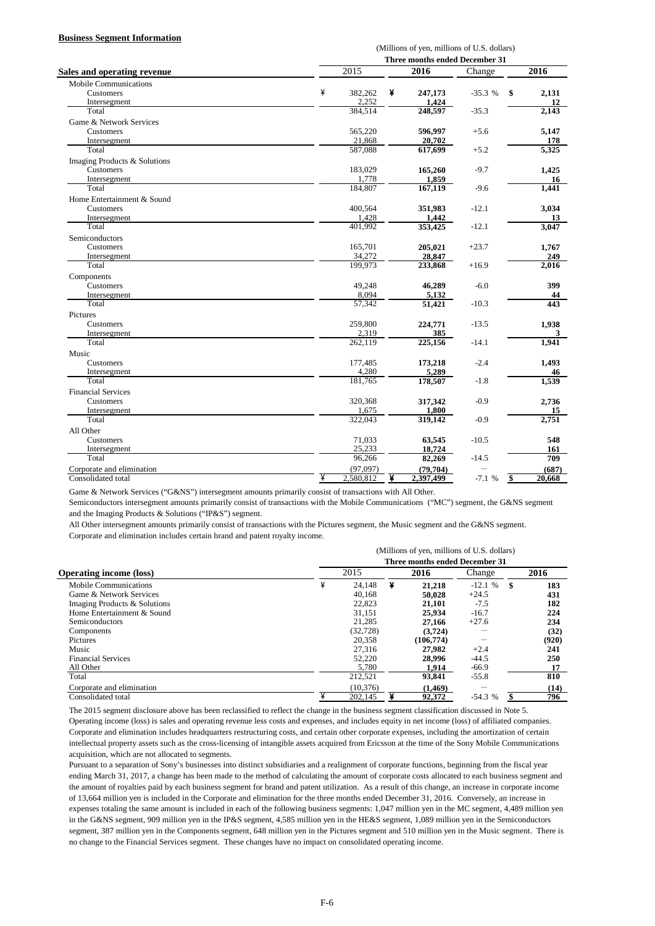#### **Business Segment Information**

|                                    |   | (Millions of yen, millions of U.S. dollars) |   |                                |          |    |             |  |  |  |  |
|------------------------------------|---|---------------------------------------------|---|--------------------------------|----------|----|-------------|--|--|--|--|
|                                    |   |                                             |   | Three months ended December 31 |          |    |             |  |  |  |  |
| <b>Sales and operating revenue</b> |   | 2015                                        |   | 2016                           | Change   |    | 2016        |  |  |  |  |
| <b>Mobile Communications</b>       |   |                                             |   |                                |          |    |             |  |  |  |  |
| Customers                          | ¥ | 382,262                                     | ¥ | 247,173                        | $-35.3%$ | \$ | 2,131       |  |  |  |  |
| Intersegment                       |   | 2,252                                       |   | 1,424                          |          |    | 12          |  |  |  |  |
| Total                              |   | 384,514                                     |   | 248,597                        | $-35.3$  |    | 2,143       |  |  |  |  |
| Game & Network Services            |   |                                             |   |                                |          |    |             |  |  |  |  |
| Customers                          |   | 565,220                                     |   | 596,997                        | $+5.6$   |    | 5,147       |  |  |  |  |
| Intersegment                       |   | 21,868                                      |   | 20,702                         |          |    | 178         |  |  |  |  |
| Total                              |   | 587,088                                     |   | 617,699                        | $+5.2$   |    | 5,325       |  |  |  |  |
| Imaging Products & Solutions       |   |                                             |   |                                |          |    |             |  |  |  |  |
| Customers                          |   | 183,029                                     |   | 165,260                        | $-9.7$   |    | 1.425       |  |  |  |  |
| Intersegment                       |   | 1,778                                       |   | 1.859                          |          |    | 16          |  |  |  |  |
| Total                              |   | 184,807                                     |   | 167,119                        | $-9.6$   |    | 1,441       |  |  |  |  |
| Home Entertainment & Sound         |   |                                             |   |                                |          |    |             |  |  |  |  |
| Customers                          |   | 400,564                                     |   | 351,983                        | $-12.1$  |    | 3,034       |  |  |  |  |
| Intersegment                       |   | 1.428                                       |   | 1.442                          |          |    | 13          |  |  |  |  |
| Total                              |   | 401,992                                     |   | 353,425                        | $-12.1$  |    | 3,047       |  |  |  |  |
| Semiconductors                     |   |                                             |   |                                |          |    |             |  |  |  |  |
| Customers                          |   | 165,701                                     |   | 205,021                        | $+23.7$  |    | 1,767       |  |  |  |  |
| Intersegment                       |   | 34,272                                      |   | 28,847                         |          |    | 249         |  |  |  |  |
| Total                              |   | 199,973                                     |   | 233,868                        | $+16.9$  |    | 2,016       |  |  |  |  |
| Components                         |   |                                             |   |                                |          |    |             |  |  |  |  |
| Customers                          |   | 49.248                                      |   | 46,289                         | $-6.0$   |    | 399         |  |  |  |  |
| Intersegment                       |   | 8,094                                       |   | 5,132                          |          |    | 44          |  |  |  |  |
| Total                              |   | 57,342                                      |   | 51,421                         | $-10.3$  |    | 443         |  |  |  |  |
| Pictures                           |   |                                             |   |                                |          |    |             |  |  |  |  |
| Customers                          |   | 259,800                                     |   | 224,771                        | $-13.5$  |    | 1,938       |  |  |  |  |
| Intersegment                       |   | 2,319                                       |   |                                |          |    |             |  |  |  |  |
| Total                              |   | 262,119                                     |   | 385<br>225,156                 | $-14.1$  |    | 3<br>1,941  |  |  |  |  |
|                                    |   |                                             |   |                                |          |    |             |  |  |  |  |
| Music<br>Customers                 |   | 177,485                                     |   |                                | $-2.4$   |    |             |  |  |  |  |
| Intersegment                       |   | 4.280                                       |   | 173,218<br>5.289               |          |    | 1,493<br>46 |  |  |  |  |
| Total                              |   | 181,765                                     |   | 178,507                        | $-1.8$   |    | 1,539       |  |  |  |  |
|                                    |   |                                             |   |                                |          |    |             |  |  |  |  |
| <b>Financial Services</b>          |   |                                             |   |                                |          |    |             |  |  |  |  |
| Customers                          |   | 320,368                                     |   | 317,342                        | $-0.9$   |    | 2,736       |  |  |  |  |
| Intersegment<br>Total              |   | 1,675<br>322,043                            |   | 1,800                          | $-0.9$   |    | 15          |  |  |  |  |
|                                    |   |                                             |   | 319,142                        |          |    | 2,751       |  |  |  |  |
| All Other                          |   |                                             |   |                                |          |    |             |  |  |  |  |
| Customers                          |   | 71,033                                      |   | 63,545                         | $-10.5$  |    | 548         |  |  |  |  |
| Intersegment<br>Total              |   | 25,233                                      |   | 18,724                         |          |    | 161<br>709  |  |  |  |  |
|                                    |   | 96,266                                      |   | 82,269                         | $-14.5$  |    |             |  |  |  |  |
| Corporate and elimination          |   | (97,097)                                    |   | (79, 704)                      |          |    | (687)       |  |  |  |  |
| Consolidated total                 | ¥ | 2,580,812                                   | ¥ | 2,397,499                      | $-7.1%$  | \$ | 20,668      |  |  |  |  |

Game & Network Services ("G&NS") intersegment amounts primarily consist of transactions with All Other.

Semiconductors intersegment amounts primarily consist of transactions with the Mobile Communications ("MC") segment, the G&NS segment and the Imaging Products & Solutions ("IP&S") segment.

All Other intersegment amounts primarily consist of transactions with the Pictures segment, the Music segment and the G&NS segment. Corporate and elimination includes certain brand and patent royalty income.

|                                | (Millions of yen, millions of U.S. dollars) |                                |   |            |                          |     |       |  |  |  |  |
|--------------------------------|---------------------------------------------|--------------------------------|---|------------|--------------------------|-----|-------|--|--|--|--|
|                                |                                             | Three months ended December 31 |   |            |                          |     |       |  |  |  |  |
| <b>Operating income (loss)</b> |                                             | 2015                           |   |            | Change                   |     | 2016  |  |  |  |  |
| Mobile Communications          | ¥                                           | 24.148                         | ¥ | 21,218     | $-12.1%$                 | -\$ | 183   |  |  |  |  |
| Game & Network Services        |                                             | 40.168                         |   | 50,028     | $+24.5$                  |     | 431   |  |  |  |  |
| Imaging Products & Solutions   |                                             | 22,823                         |   | 21.101     | $-7.5$                   |     | 182   |  |  |  |  |
| Home Entertainment & Sound     |                                             | 31.151                         |   | 25,934     | $-16.7$                  |     | 224   |  |  |  |  |
| <b>Semiconductors</b>          |                                             | 21.285                         |   | 27,166     | $+27.6$                  |     | 234   |  |  |  |  |
| Components                     |                                             | (32, 728)                      |   | (3,724)    |                          |     | (32)  |  |  |  |  |
| <b>Pictures</b>                |                                             | 20,358                         |   | (106, 774) |                          |     | (920) |  |  |  |  |
| Music                          |                                             | 27,316                         |   | 27.982     | $+2.4$                   |     | 241   |  |  |  |  |
| <b>Financial Services</b>      |                                             | 52,220                         |   | 28.996     | $-44.5$                  |     | 250   |  |  |  |  |
| All Other                      |                                             | 5.780                          |   | 1.914      | $-66.9$                  |     | 17    |  |  |  |  |
| Total                          |                                             | 212,521                        |   | 93.841     | $-55.8$                  |     | 810   |  |  |  |  |
| Corporate and elimination      |                                             | (10, 376)                      |   | (1, 469)   | $\overline{\phantom{a}}$ |     | (14)  |  |  |  |  |
| Consolidated total             |                                             | 202,145                        |   | 92.372     | $-54.3%$                 |     | 796   |  |  |  |  |

The 2015 segment disclosure above has been reclassified to reflect the change in the business segment classification discussed in Note 5. Operating income (loss) is sales and operating revenue less costs and expenses, and includes equity in net income (loss) of affiliated companies. Corporate and elimination includes headquarters restructuring costs, and certain other corporate expenses, including the amortization of certain intellectual property assets such as the cross-licensing of intangible assets acquired from Ericsson at the time of the Sony Mobile Communications acquisition, which are not allocated to segments.

Pursuant to a separation of Sony's businesses into distinct subsidiaries and a realignment of corporate functions, beginning from the fiscal year ending March 31, 2017, a change has been made to the method of calculating the amount of corporate costs allocated to each business segment and the amount of royalties paid by each business segment for brand and patent utilization. As a result of this change, an increase in corporate income of 13,664 million yen is included in the Corporate and elimination for the three months ended December 31, 2016. Conversely, an increase in expenses totaling the same amount is included in each of the following business segments: 1,047 million yen in the MC segment, 4,489 million yen in the G&NS segment, 909 million yen in the IP&S segment, 4,585 million yen in the HE&S segment, 1,089 million yen in the Semiconductors segment, 387 million yen in the Components segment, 648 million yen in the Pictures segment and 510 million yen in the Music segment. There is no change to the Financial Services segment. These changes have no impact on consolidated operating income.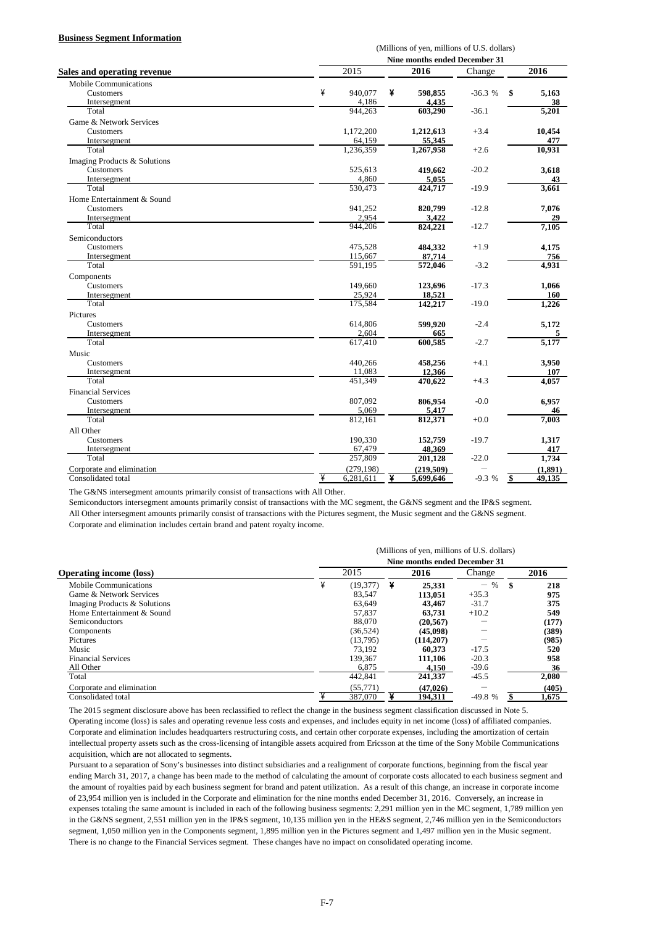#### **Business Segment Information**

|                                    |   | (Millions of yen, millions of U.S. dollars) |   |                                      |          |    |              |  |  |  |  |
|------------------------------------|---|---------------------------------------------|---|--------------------------------------|----------|----|--------------|--|--|--|--|
|                                    |   |                                             |   | <b>Nine months ended December 31</b> |          |    |              |  |  |  |  |
| <b>Sales and operating revenue</b> |   | 2015                                        |   | 2016                                 | Change   |    | 2016         |  |  |  |  |
| <b>Mobile Communications</b>       |   |                                             |   |                                      |          |    |              |  |  |  |  |
| Customers                          | ¥ | 940,077                                     | ¥ | 598,855                              | $-36.3%$ | \$ | 5.163        |  |  |  |  |
| Intersegment                       |   | 4,186                                       |   | 4,435                                |          |    | 38           |  |  |  |  |
| Total                              |   | 944,263                                     |   | 603,290                              | $-36.1$  |    | 5,201        |  |  |  |  |
| Game & Network Services            |   |                                             |   |                                      |          |    |              |  |  |  |  |
| Customers                          |   | 1,172,200                                   |   | 1,212,613                            | $+3.4$   |    | 10,454       |  |  |  |  |
| Intersegment                       |   | 64,159                                      |   | 55,345                               |          |    | 477          |  |  |  |  |
| Total                              |   | 1,236,359                                   |   | 1,267,958                            | $+2.6$   |    | 10,931       |  |  |  |  |
| Imaging Products & Solutions       |   |                                             |   |                                      |          |    |              |  |  |  |  |
| Customers                          |   | 525.613                                     |   | 419,662                              | $-20.2$  |    | 3.618        |  |  |  |  |
| Intersegment                       |   | 4,860                                       |   | 5,055                                |          |    | 43           |  |  |  |  |
| Total                              |   | 530,473                                     |   | 424,717                              | $-19.9$  |    | 3,661        |  |  |  |  |
| Home Entertainment & Sound         |   |                                             |   |                                      |          |    |              |  |  |  |  |
| Customers                          |   | 941,252                                     |   | 820,799                              | $-12.8$  |    | 7,076        |  |  |  |  |
| Intersegment                       |   | 2,954                                       |   | 3,422                                |          |    | 29           |  |  |  |  |
| Total                              |   | 944,206                                     |   | 824,221                              | $-12.7$  |    | 7,105        |  |  |  |  |
| Semiconductors                     |   |                                             |   |                                      |          |    |              |  |  |  |  |
| Customers                          |   | 475,528                                     |   | 484,332                              | $+1.9$   |    | 4,175        |  |  |  |  |
| Intersegment                       |   | 115,667                                     |   | 87,714                               |          |    | 756          |  |  |  |  |
| Total                              |   | 591,195                                     |   | 572,046                              | $-3.2$   |    | 4,931        |  |  |  |  |
| Components                         |   |                                             |   |                                      |          |    |              |  |  |  |  |
| Customers                          |   | 149,660                                     |   | 123,696                              | $-17.3$  |    | 1,066        |  |  |  |  |
| Intersegment                       |   | 25,924                                      |   | 18,521                               |          |    | 160          |  |  |  |  |
| Total                              |   | 175,584                                     |   | 142,217                              | $-19.0$  |    | 1,226        |  |  |  |  |
| Pictures                           |   |                                             |   |                                      |          |    |              |  |  |  |  |
| Customers                          |   | 614,806                                     |   | 599,920                              | $-2.4$   |    | 5,172        |  |  |  |  |
| Intersegment                       |   | 2,604                                       |   | 665                                  |          |    |              |  |  |  |  |
| Total                              |   | 617,410                                     |   | 600,585                              | $-2.7$   |    | 5,177        |  |  |  |  |
| Music                              |   |                                             |   |                                      |          |    |              |  |  |  |  |
| Customers                          |   | 440,266                                     |   | 458,256                              | $+4.1$   |    | 3,950        |  |  |  |  |
| Intersegment                       |   | 11,083                                      |   | 12.366                               |          |    | 107          |  |  |  |  |
| Total                              |   | 451,349                                     |   | 470,622                              | $+4.3$   |    | 4,057        |  |  |  |  |
| <b>Financial Services</b>          |   |                                             |   |                                      |          |    |              |  |  |  |  |
| Customers                          |   | 807,092                                     |   | 806.954                              | $-0.0$   |    | 6,957        |  |  |  |  |
| Intersegment                       |   | 5,069                                       |   | 5,417                                |          |    | 46           |  |  |  |  |
| Total                              |   | 812,161                                     |   | 812,371                              | $+0.0$   |    | 7,003        |  |  |  |  |
|                                    |   |                                             |   |                                      |          |    |              |  |  |  |  |
| All Other<br>Customers             |   | 190,330                                     |   |                                      | $-19.7$  |    |              |  |  |  |  |
| Intersegment                       |   | 67,479                                      |   | 152,759<br>48,369                    |          |    | 1,317<br>417 |  |  |  |  |
| Total                              |   | 257,809                                     |   | 201,128                              | $-22.0$  |    | 1,734        |  |  |  |  |
|                                    |   |                                             |   |                                      |          |    |              |  |  |  |  |
| Corporate and elimination          |   | (279, 198)                                  |   | (219, 509)                           |          |    | (1, 891)     |  |  |  |  |
| Consolidated total                 | ¥ | 6,281,611                                   | ¥ | 5,699,646                            | $-9.3%$  | \$ | 49,135       |  |  |  |  |

The G&NS intersegment amounts primarily consist of transactions with All Other.

Semiconductors intersegment amounts primarily consist of transactions with the MC segment, the G&NS segment and the IP&S segment. All Other intersegment amounts primarily consist of transactions with the Pictures segment, the Music segment and the G&NS segment. Corporate and elimination includes certain brand and patent royalty income.

|                                |   | (Millions of yen, millions of U.S. dollars) |   |           |                    |    |       |  |  |  |  |  |
|--------------------------------|---|---------------------------------------------|---|-----------|--------------------|----|-------|--|--|--|--|--|
| <b>Operating income (loss)</b> |   | Nine months ended December 31               |   |           |                    |    |       |  |  |  |  |  |
|                                |   | 2015                                        |   |           | Change             |    | 2016  |  |  |  |  |  |
| Mobile Communications          | ¥ | (19.377)                                    | ¥ | 25.331    | $\frac{0}{0}$<br>— | \$ | 218   |  |  |  |  |  |
| Game & Network Services        |   | 83,547                                      |   | 113,051   | $+35.3$            |    | 975   |  |  |  |  |  |
| Imaging Products & Solutions   |   | 63,649                                      |   | 43,467    | $-31.7$            |    | 375   |  |  |  |  |  |
| Home Entertainment & Sound     |   | 57,837                                      |   | 63.731    | $+10.2$            |    | 549   |  |  |  |  |  |
| Semiconductors                 |   | 88,070                                      |   | (20, 567) |                    |    | (177) |  |  |  |  |  |
| Components                     |   | (36.524)                                    |   | (45.098)  |                    |    | (389) |  |  |  |  |  |
| Pictures                       |   | (13.795)                                    |   | (114.207) |                    |    | (985) |  |  |  |  |  |
| Music                          |   | 73.192                                      |   | 60.373    | $-17.5$            |    | 520   |  |  |  |  |  |
| <b>Financial Services</b>      |   | 139,367                                     |   | 111.106   | $-20.3$            |    | 958   |  |  |  |  |  |
| All Other                      |   | 6,875                                       |   | 4,150     | $-39.6$            |    | 36    |  |  |  |  |  |
| Total                          |   | 442,841                                     |   | 241.337   | $-45.5$            |    | 2,080 |  |  |  |  |  |
| Corporate and elimination      |   | (55, 771)                                   |   | (47, 026) |                    |    | (405) |  |  |  |  |  |
| Consolidated total             |   | 387,070                                     |   | 194.311   | $-49.8%$           |    | 1,675 |  |  |  |  |  |

The 2015 segment disclosure above has been reclassified to reflect the change in the business segment classification discussed in Note 5. Operating income (loss) is sales and operating revenue less costs and expenses, and includes equity in net income (loss) of affiliated companies. Corporate and elimination includes headquarters restructuring costs, and certain other corporate expenses, including the amortization of certain intellectual property assets such as the cross-licensing of intangible assets acquired from Ericsson at the time of the Sony Mobile Communications acquisition, which are not allocated to segments.

Pursuant to a separation of Sony's businesses into distinct subsidiaries and a realignment of corporate functions, beginning from the fiscal year ending March 31, 2017, a change has been made to the method of calculating the amount of corporate costs allocated to each business segment and the amount of royalties paid by each business segment for brand and patent utilization. As a result of this change, an increase in corporate income of 23,954 million yen is included in the Corporate and elimination for the nine months ended December 31, 2016. Conversely, an increase in expenses totaling the same amount is included in each of the following business segments: 2,291 million yen in the MC segment, 1,789 million yen in the G&NS segment, 2,551 million yen in the IP&S segment, 10,135 million yen in the HE&S segment, 2,746 million yen in the Semiconductors segment, 1,050 million yen in the Components segment, 1,895 million yen in the Pictures segment and 1,497 million yen in the Music segment. There is no change to the Financial Services segment. These changes have no impact on consolidated operating income.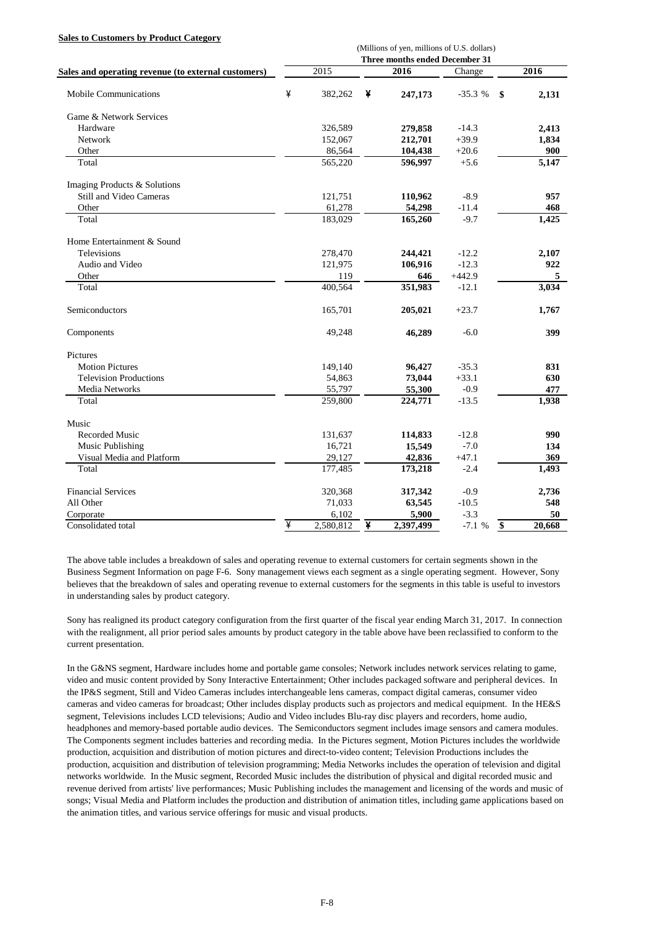#### **Sales to Customers by Product Category**

|                                                     | (Millions of yen, millions of U.S. dollars) |           |   |                                       |          |    |        |  |  |  |
|-----------------------------------------------------|---------------------------------------------|-----------|---|---------------------------------------|----------|----|--------|--|--|--|
|                                                     |                                             |           |   | <b>Three months ended December 31</b> |          |    |        |  |  |  |
| Sales and operating revenue (to external customers) |                                             | 2015      |   | 2016                                  | Change   |    | 2016   |  |  |  |
| Mobile Communications                               | ¥                                           | 382,262   | ¥ | 247,173                               | $-35.3%$ | \$ | 2,131  |  |  |  |
| Game & Network Services                             |                                             |           |   |                                       |          |    |        |  |  |  |
| Hardware                                            |                                             | 326,589   |   | 279,858                               | $-14.3$  |    | 2,413  |  |  |  |
| Network                                             |                                             | 152,067   |   | 212,701                               | $+39.9$  |    | 1,834  |  |  |  |
| Other                                               |                                             | 86,564    |   | 104,438                               | $+20.6$  |    | 900    |  |  |  |
| Total                                               |                                             | 565,220   |   | 596,997                               | $+5.6$   |    | 5,147  |  |  |  |
| Imaging Products & Solutions                        |                                             |           |   |                                       |          |    |        |  |  |  |
| Still and Video Cameras                             |                                             | 121,751   |   | 110,962                               | $-8.9$   |    | 957    |  |  |  |
| Other                                               |                                             | 61,278    |   | 54,298                                | $-11.4$  |    | 468    |  |  |  |
| Total                                               |                                             | 183,029   |   | 165,260                               | $-9.7$   |    | 1,425  |  |  |  |
| Home Entertainment & Sound                          |                                             |           |   |                                       |          |    |        |  |  |  |
| <b>Televisions</b>                                  |                                             | 278,470   |   | 244,421                               | $-12.2$  |    | 2,107  |  |  |  |
| Audio and Video                                     |                                             | 121,975   |   | 106,916                               | $-12.3$  |    | 922    |  |  |  |
| Other                                               |                                             | 119       |   | 646                                   | $+442.9$ |    | 5      |  |  |  |
| Total                                               |                                             | 400,564   |   | 351,983                               | $-12.1$  |    | 3,034  |  |  |  |
| Semiconductors                                      |                                             | 165,701   |   | 205,021                               | $+23.7$  |    | 1,767  |  |  |  |
| Components                                          |                                             | 49,248    |   | 46,289                                | $-6.0$   |    | 399    |  |  |  |
| Pictures                                            |                                             |           |   |                                       |          |    |        |  |  |  |
| <b>Motion Pictures</b>                              |                                             | 149,140   |   | 96,427                                | $-35.3$  |    | 831    |  |  |  |
| <b>Television Productions</b>                       |                                             | 54,863    |   | 73,044                                | $+33.1$  |    | 630    |  |  |  |
| Media Networks                                      |                                             | 55,797    |   | 55,300                                | $-0.9$   |    | 477    |  |  |  |
| Total                                               |                                             | 259,800   |   | 224,771                               | $-13.5$  |    | 1,938  |  |  |  |
| Music                                               |                                             |           |   |                                       |          |    |        |  |  |  |
| <b>Recorded Music</b>                               |                                             | 131,637   |   | 114,833                               | $-12.8$  |    | 990    |  |  |  |
| Music Publishing                                    |                                             | 16,721    |   | 15,549                                | $-7.0$   |    | 134    |  |  |  |
| Visual Media and Platform                           |                                             | 29,127    |   | 42,836                                | $+47.1$  |    | 369    |  |  |  |
| Total                                               |                                             | 177,485   |   | 173,218                               | $-2.4$   |    | 1,493  |  |  |  |
| <b>Financial Services</b>                           |                                             | 320,368   |   | 317,342                               | $-0.9$   |    | 2,736  |  |  |  |
| All Other                                           |                                             | 71,033    |   | 63,545                                | $-10.5$  |    | 548    |  |  |  |
| Corporate                                           |                                             | 6,102     |   | 5,900                                 | $-3.3$   |    | 50     |  |  |  |
| Consolidated total                                  | ¥                                           | 2,580,812 | ¥ | 2,397,499                             | $-7.1%$  | \$ | 20,668 |  |  |  |

The above table includes a breakdown of sales and operating revenue to external customers for certain segments shown in the Business Segment Information on page F-6. Sony management views each segment as a single operating segment. However, Sony believes that the breakdown of sales and operating revenue to external customers for the segments in this table is useful to investors in understanding sales by product category.

Sony has realigned its product category configuration from the first quarter of the fiscal year ending March 31, 2017. In connection with the realignment, all prior period sales amounts by product category in the table above have been reclassified to conform to the current presentation.

In the G&NS segment, Hardware includes home and portable game consoles; Network includes network services relating to game, video and music content provided by Sony Interactive Entertainment; Other includes packaged software and peripheral devices. In the IP&S segment, Still and Video Cameras includes interchangeable lens cameras, compact digital cameras, consumer video cameras and video cameras for broadcast; Other includes display products such as projectors and medical equipment. In the HE&S segment, Televisions includes LCD televisions; Audio and Video includes Blu-ray disc players and recorders, home audio, headphones and memory-based portable audio devices. The Semiconductors segment includes image sensors and camera modules. The Components segment includes batteries and recording media. In the Pictures segment, Motion Pictures includes the worldwide production, acquisition and distribution of motion pictures and direct-to-video content; Television Productions includes the production, acquisition and distribution of television programming; Media Networks includes the operation of television and digital networks worldwide. In the Music segment, Recorded Music includes the distribution of physical and digital recorded music and revenue derived from artists' live performances; Music Publishing includes the management and licensing of the words and music of songs; Visual Media and Platform includes the production and distribution of animation titles, including game applications based on the animation titles, and various service offerings for music and visual products.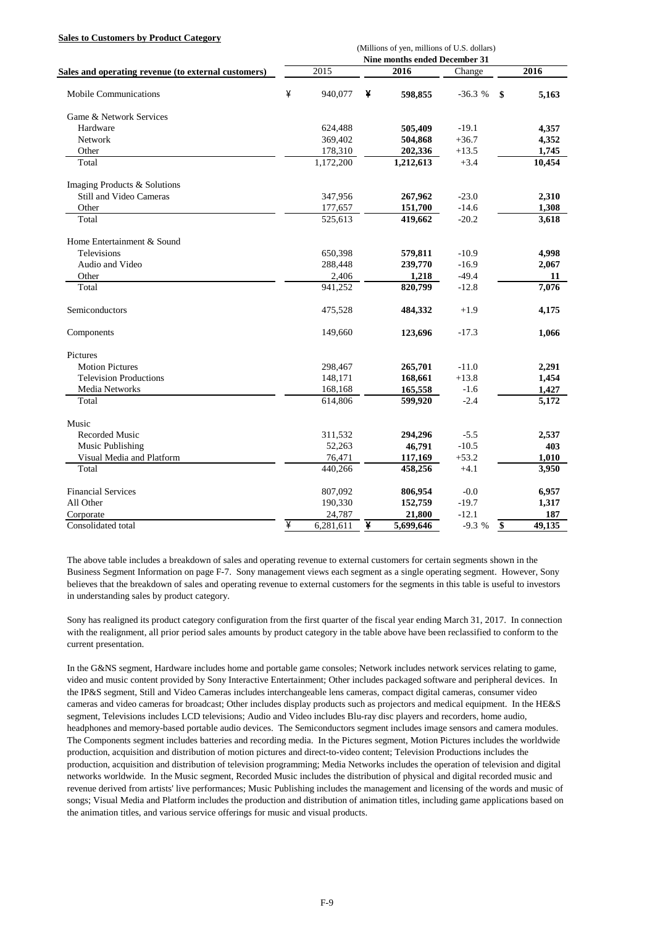#### **Sales to Customers by Product Category**

|                                                     | (Millions of yen, millions of U.S. dollars) |           |   |                               |          |    |        |  |  |  |  |
|-----------------------------------------------------|---------------------------------------------|-----------|---|-------------------------------|----------|----|--------|--|--|--|--|
|                                                     |                                             |           |   | Nine months ended December 31 |          |    |        |  |  |  |  |
| Sales and operating revenue (to external customers) |                                             | 2015      |   | 2016                          | Change   |    | 2016   |  |  |  |  |
| Mobile Communications                               | ¥                                           | 940,077   | ¥ | 598,855                       | $-36.3%$ | \$ | 5,163  |  |  |  |  |
| Game & Network Services                             |                                             |           |   |                               |          |    |        |  |  |  |  |
| Hardware                                            |                                             | 624,488   |   | 505,409                       | $-19.1$  |    | 4,357  |  |  |  |  |
| Network                                             |                                             | 369,402   |   | 504,868                       | $+36.7$  |    | 4,352  |  |  |  |  |
| Other                                               |                                             | 178,310   |   | 202,336                       | $+13.5$  |    | 1,745  |  |  |  |  |
| Total                                               |                                             | 1,172,200 |   | 1,212,613                     | $+3.4$   |    | 10,454 |  |  |  |  |
| Imaging Products & Solutions                        |                                             |           |   |                               |          |    |        |  |  |  |  |
| Still and Video Cameras                             |                                             | 347,956   |   | 267,962                       | $-23.0$  |    | 2,310  |  |  |  |  |
| Other                                               |                                             | 177,657   |   | 151,700                       | $-14.6$  |    | 1,308  |  |  |  |  |
| Total                                               |                                             | 525,613   |   | 419,662                       | $-20.2$  |    | 3,618  |  |  |  |  |
| Home Entertainment & Sound                          |                                             |           |   |                               |          |    |        |  |  |  |  |
| <b>Televisions</b>                                  |                                             | 650,398   |   | 579,811                       | $-10.9$  |    | 4,998  |  |  |  |  |
| Audio and Video                                     |                                             | 288,448   |   | 239,770                       | $-16.9$  |    | 2,067  |  |  |  |  |
| Other                                               |                                             | 2,406     |   | 1,218                         | $-49.4$  |    | 11     |  |  |  |  |
| Total                                               |                                             | 941,252   |   | 820,799                       | $-12.8$  |    | 7,076  |  |  |  |  |
| Semiconductors                                      |                                             | 475,528   |   | 484,332                       | $+1.9$   |    | 4,175  |  |  |  |  |
| Components                                          |                                             | 149,660   |   | 123,696                       | $-17.3$  |    | 1,066  |  |  |  |  |
| Pictures                                            |                                             |           |   |                               |          |    |        |  |  |  |  |
| <b>Motion Pictures</b>                              |                                             | 298,467   |   | 265,701                       | $-11.0$  |    | 2,291  |  |  |  |  |
| <b>Television Productions</b>                       |                                             | 148,171   |   | 168,661                       | $+13.8$  |    | 1,454  |  |  |  |  |
| Media Networks                                      |                                             | 168,168   |   | 165,558                       | $-1.6$   |    | 1,427  |  |  |  |  |
| Total                                               |                                             | 614,806   |   | 599,920                       | $-2.4$   |    | 5,172  |  |  |  |  |
| Music                                               |                                             |           |   |                               |          |    |        |  |  |  |  |
| <b>Recorded Music</b>                               |                                             | 311,532   |   | 294,296                       | $-5.5$   |    | 2,537  |  |  |  |  |
| Music Publishing                                    |                                             | 52,263    |   | 46,791                        | $-10.5$  |    | 403    |  |  |  |  |
| Visual Media and Platform                           |                                             | 76,471    |   | 117,169                       | $+53.2$  |    | 1,010  |  |  |  |  |
| Total                                               |                                             | 440,266   |   | 458,256                       | $+4.1$   |    | 3,950  |  |  |  |  |
| <b>Financial Services</b>                           |                                             | 807,092   |   | 806,954                       | $-0.0$   |    | 6,957  |  |  |  |  |
| All Other                                           |                                             | 190,330   |   | 152,759                       | $-19.7$  |    | 1,317  |  |  |  |  |
| Corporate                                           |                                             | 24,787    |   | 21,800                        | $-12.1$  |    | 187    |  |  |  |  |
| Consolidated total                                  | ¥                                           | 6,281,611 | ¥ | 5,699,646                     | $-9.3%$  | \$ | 49,135 |  |  |  |  |

The above table includes a breakdown of sales and operating revenue to external customers for certain segments shown in the Business Segment Information on page F-7. Sony management views each segment as a single operating segment. However, Sony believes that the breakdown of sales and operating revenue to external customers for the segments in this table is useful to investors in understanding sales by product category.

Sony has realigned its product category configuration from the first quarter of the fiscal year ending March 31, 2017. In connection with the realignment, all prior period sales amounts by product category in the table above have been reclassified to conform to the current presentation.

In the G&NS segment, Hardware includes home and portable game consoles; Network includes network services relating to game, video and music content provided by Sony Interactive Entertainment; Other includes packaged software and peripheral devices. In the IP&S segment, Still and Video Cameras includes interchangeable lens cameras, compact digital cameras, consumer video cameras and video cameras for broadcast; Other includes display products such as projectors and medical equipment. In the HE&S segment, Televisions includes LCD televisions; Audio and Video includes Blu-ray disc players and recorders, home audio, headphones and memory-based portable audio devices. The Semiconductors segment includes image sensors and camera modules. The Components segment includes batteries and recording media. In the Pictures segment, Motion Pictures includes the worldwide production, acquisition and distribution of motion pictures and direct-to-video content; Television Productions includes the production, acquisition and distribution of television programming; Media Networks includes the operation of television and digital networks worldwide. In the Music segment, Recorded Music includes the distribution of physical and digital recorded music and revenue derived from artists' live performances; Music Publishing includes the management and licensing of the words and music of songs; Visual Media and Platform includes the production and distribution of animation titles, including game applications based on the animation titles, and various service offerings for music and visual products.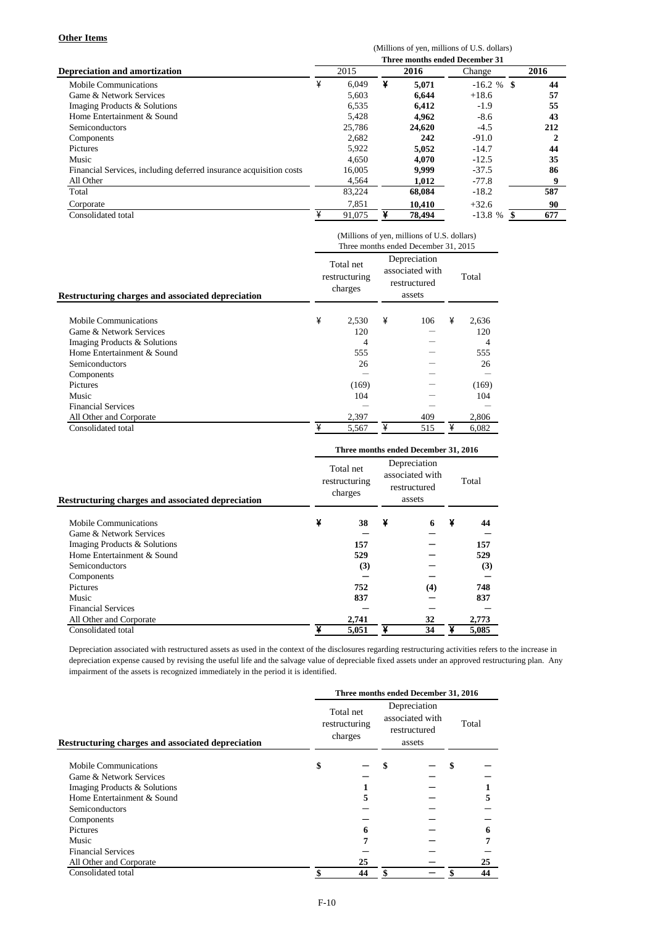#### **Other Items**

|                                                                    | (Millions of yen, millions of U.S. dollars)<br>Three months ended December 31 |        |   |        |               |      |  |  |  |  |
|--------------------------------------------------------------------|-------------------------------------------------------------------------------|--------|---|--------|---------------|------|--|--|--|--|
| <b>Depreciation and amortization</b>                               |                                                                               | 2015   |   | 2016   | Change        | 2016 |  |  |  |  |
| Mobile Communications                                              | ¥                                                                             | 6.049  | ¥ | 5,071  | $-16.2 \%$ \$ | 44   |  |  |  |  |
| Game & Network Services                                            |                                                                               | 5.603  |   | 6.644  | $+18.6$       | 57   |  |  |  |  |
| Imaging Products & Solutions                                       |                                                                               | 6,535  |   | 6,412  | $-1.9$        | 55   |  |  |  |  |
| Home Entertainment & Sound                                         |                                                                               | 5,428  |   | 4.962  | $-8.6$        | 43   |  |  |  |  |
| <b>Semiconductors</b>                                              |                                                                               | 25,786 |   | 24,620 | $-4.5$        | 212  |  |  |  |  |
| Components                                                         |                                                                               | 2.682  |   | 242    | $-91.0$       |      |  |  |  |  |
| Pictures                                                           |                                                                               | 5,922  |   | 5,052  | $-14.7$       | 44   |  |  |  |  |
| Music                                                              |                                                                               | 4,650  |   | 4,070  | $-12.5$       | 35   |  |  |  |  |
| Financial Services, including deferred insurance acquisition costs |                                                                               | 16,005 |   | 9,999  | $-37.5$       | 86   |  |  |  |  |
| All Other                                                          |                                                                               | 4.564  |   | 1,012  | $-77.8$       | 9    |  |  |  |  |
| Total                                                              |                                                                               | 83,224 |   | 68,084 | $-18.2$       | 587  |  |  |  |  |
| Corporate                                                          |                                                                               | 7.851  |   | 10,410 | $+32.6$       | 90   |  |  |  |  |
| Consolidated total                                                 |                                                                               | 91,075 | ¥ | 78.494 | $-13.8%$      | 677  |  |  |  |  |

|                                                   | (Millions of yen, millions of U.S. dollars)<br>Three months ended December 31, 2015 |       |                                                           |     |       |       |  |  |  |
|---------------------------------------------------|-------------------------------------------------------------------------------------|-------|-----------------------------------------------------------|-----|-------|-------|--|--|--|
| Restructuring charges and associated depreciation | Total net<br>restructuring<br>charges                                               |       | Depreciation<br>associated with<br>restructured<br>assets |     | Total |       |  |  |  |
| <b>Mobile Communications</b>                      | ¥                                                                                   | 2.530 | ¥                                                         | 106 | ¥     | 2,636 |  |  |  |
| Game & Network Services                           |                                                                                     | 120   |                                                           |     |       | 120   |  |  |  |
| Imaging Products & Solutions                      |                                                                                     | 4     |                                                           |     |       | 4     |  |  |  |
| Home Entertainment & Sound                        |                                                                                     | 555   |                                                           |     |       | 555   |  |  |  |
| Semiconductors                                    |                                                                                     | 26    |                                                           |     |       | 26    |  |  |  |
| Components                                        |                                                                                     |       |                                                           |     |       |       |  |  |  |
| <b>Pictures</b>                                   |                                                                                     | (169) |                                                           |     |       | (169) |  |  |  |
| Music                                             |                                                                                     | 104   |                                                           |     |       | 104   |  |  |  |
| <b>Financial Services</b>                         |                                                                                     |       |                                                           |     |       |       |  |  |  |
| All Other and Corporate                           |                                                                                     | 2,397 |                                                           | 409 |       | 2,806 |  |  |  |
| Consolidated total                                | ¥                                                                                   | 5,567 | ¥                                                         | 515 | ¥     | 6,082 |  |  |  |

|                                                   | Three months ended December 31, 2016  |       |                                                           |       |   |       |  |  |  |  |
|---------------------------------------------------|---------------------------------------|-------|-----------------------------------------------------------|-------|---|-------|--|--|--|--|
| Restructuring charges and associated depreciation | Total net<br>restructuring<br>charges |       | Depreciation<br>associated with<br>restructured<br>assets | Total |   |       |  |  |  |  |
| Mobile Communications                             | ¥                                     | 38    | ¥                                                         | 6     | ¥ | 44    |  |  |  |  |
| Game & Network Services                           |                                       |       |                                                           |       |   |       |  |  |  |  |
| Imaging Products & Solutions                      |                                       | 157   |                                                           |       |   | 157   |  |  |  |  |
| Home Entertainment & Sound                        |                                       | 529   |                                                           |       |   | 529   |  |  |  |  |
| Semiconductors                                    |                                       | (3)   |                                                           |       |   | (3)   |  |  |  |  |
| Components                                        |                                       |       |                                                           |       |   |       |  |  |  |  |
| <b>Pictures</b>                                   |                                       | 752   |                                                           | (4)   |   | 748   |  |  |  |  |
| Music                                             |                                       | 837   |                                                           |       |   | 837   |  |  |  |  |
| <b>Financial Services</b>                         |                                       |       |                                                           |       |   |       |  |  |  |  |
| All Other and Corporate                           |                                       | 2,741 |                                                           | 32    |   | 2,773 |  |  |  |  |
| Consolidated total                                | ¥                                     | 5,051 | ¥                                                         | 34    | ¥ | 5,085 |  |  |  |  |

Depreciation associated with restructured assets as used in the context of the disclosures regarding restructuring activities refers to the increase in depreciation expense caused by revising the useful life and the salvage value of depreciable fixed assets under an approved restructuring plan. Any impairment of the assets is recognized immediately in the period it is identified.

|                                                          | Three months ended December 31, 2016  |    |                                                           |       |    |    |  |  |  |  |
|----------------------------------------------------------|---------------------------------------|----|-----------------------------------------------------------|-------|----|----|--|--|--|--|
| <b>Restructuring charges and associated depreciation</b> | Total net<br>restructuring<br>charges |    | Depreciation<br>associated with<br>restructured<br>assets | Total |    |    |  |  |  |  |
| Mobile Communications                                    | \$                                    |    | \$                                                        |       | \$ |    |  |  |  |  |
| Game & Network Services                                  |                                       |    |                                                           |       |    |    |  |  |  |  |
| Imaging Products & Solutions                             |                                       |    |                                                           |       |    |    |  |  |  |  |
| Home Entertainment & Sound                               |                                       |    |                                                           |       |    | 5  |  |  |  |  |
| Semiconductors                                           |                                       |    |                                                           |       |    |    |  |  |  |  |
| Components                                               |                                       |    |                                                           |       |    |    |  |  |  |  |
| <b>Pictures</b>                                          |                                       |    |                                                           |       |    | 6  |  |  |  |  |
| Music                                                    |                                       |    |                                                           |       |    |    |  |  |  |  |
| <b>Financial Services</b>                                |                                       |    |                                                           |       |    |    |  |  |  |  |
| All Other and Corporate                                  |                                       | 25 |                                                           |       |    | 25 |  |  |  |  |
| Consolidated total                                       |                                       | 44 |                                                           |       |    | 44 |  |  |  |  |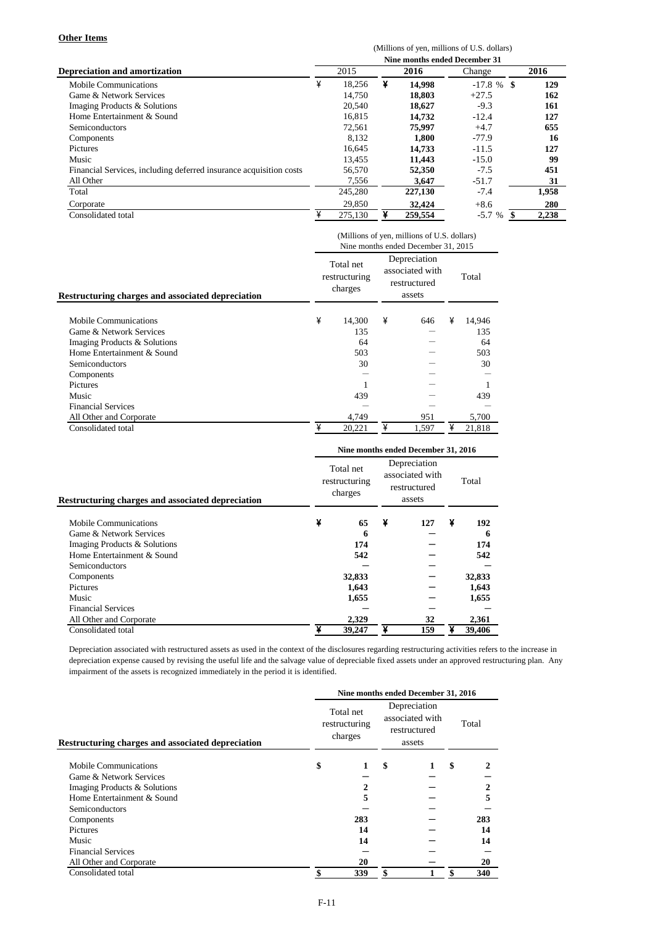#### **Other Items**

|                                                                    | (Millions of yen, millions of U.S. dollars)<br>Nine months ended December 31 |         |   |         |          |       |  |  |  |  |
|--------------------------------------------------------------------|------------------------------------------------------------------------------|---------|---|---------|----------|-------|--|--|--|--|
| <b>Depreciation and amortization</b>                               |                                                                              | 2015    |   | 2016    | Change   | 2016  |  |  |  |  |
| Mobile Communications                                              | ¥                                                                            | 18.256  | ¥ | 14.998  | $-17.8%$ | 129   |  |  |  |  |
| Game & Network Services                                            |                                                                              | 14.750  |   | 18,803  | $+27.5$  | 162   |  |  |  |  |
| Imaging Products & Solutions                                       |                                                                              | 20,540  |   | 18.627  | $-9.3$   | 161   |  |  |  |  |
| Home Entertainment & Sound                                         |                                                                              | 16,815  |   | 14,732  | $-12.4$  | 127   |  |  |  |  |
| Semiconductors                                                     |                                                                              | 72,561  |   | 75,997  | $+4.7$   | 655   |  |  |  |  |
| Components                                                         |                                                                              | 8,132   |   | 1.800   | $-77.9$  | 16    |  |  |  |  |
| Pictures                                                           |                                                                              | 16.645  |   | 14,733  | $-11.5$  | 127   |  |  |  |  |
| Music                                                              |                                                                              | 13,455  |   | 11,443  | $-15.0$  | 99    |  |  |  |  |
| Financial Services, including deferred insurance acquisition costs |                                                                              | 56,570  |   | 52,350  | $-7.5$   | 451   |  |  |  |  |
| All Other                                                          |                                                                              | 7,556   |   | 3,647   | $-51.7$  | 31    |  |  |  |  |
| Total                                                              |                                                                              | 245,280 |   | 227,130 | $-7.4$   | 1,958 |  |  |  |  |
| Corporate                                                          |                                                                              | 29,850  |   | 32,424  | $+8.6$   | 280   |  |  |  |  |
| Consolidated total                                                 | ¥                                                                            | 275.130 | ¥ | 259,554 | $-5.7%$  | 2,238 |  |  |  |  |

|                                                   | (Millions of yen, millions of U.S. dollars)<br>Nine months ended December 31, 2015 |                                       |                                                           |       |   |        |  |  |  |  |
|---------------------------------------------------|------------------------------------------------------------------------------------|---------------------------------------|-----------------------------------------------------------|-------|---|--------|--|--|--|--|
| Restructuring charges and associated depreciation |                                                                                    | Total net<br>restructuring<br>charges | Depreciation<br>associated with<br>restructured<br>assets |       |   | Total  |  |  |  |  |
| Mobile Communications                             | ¥                                                                                  | 14,300                                | ¥                                                         | 646   | ¥ | 14,946 |  |  |  |  |
| Game & Network Services                           |                                                                                    | 135                                   |                                                           |       |   | 135    |  |  |  |  |
| Imaging Products & Solutions                      |                                                                                    | 64                                    |                                                           |       |   | 64     |  |  |  |  |
| Home Entertainment & Sound                        |                                                                                    | 503                                   |                                                           |       |   | 503    |  |  |  |  |
| Semiconductors                                    |                                                                                    | 30                                    |                                                           |       |   | 30     |  |  |  |  |
| Components                                        |                                                                                    |                                       |                                                           |       |   |        |  |  |  |  |
| Pictures                                          |                                                                                    |                                       |                                                           |       |   |        |  |  |  |  |
| Music                                             |                                                                                    | 439                                   |                                                           |       |   | 439    |  |  |  |  |
| <b>Financial Services</b>                         |                                                                                    |                                       |                                                           |       |   |        |  |  |  |  |
| All Other and Corporate                           |                                                                                    | 4.749                                 |                                                           | 951   |   | 5,700  |  |  |  |  |
| Consolidated total                                | ¥                                                                                  | 20,221                                | ¥                                                         | 1,597 | ¥ | 21,818 |  |  |  |  |

|                                                   | Nine months ended December 31, 2016 |                                       |   |                                                           |       |        |  |  |  |
|---------------------------------------------------|-------------------------------------|---------------------------------------|---|-----------------------------------------------------------|-------|--------|--|--|--|
| Restructuring charges and associated depreciation |                                     | Total net<br>restructuring<br>charges |   | Depreciation<br>associated with<br>restructured<br>assets | Total |        |  |  |  |
| Mobile Communications                             | ¥                                   | 65                                    | ¥ | 127                                                       | ¥     | 192    |  |  |  |
| Game & Network Services                           |                                     | 6                                     |   |                                                           |       | 6      |  |  |  |
| Imaging Products & Solutions                      |                                     | 174                                   |   |                                                           |       | 174    |  |  |  |
| Home Entertainment & Sound                        |                                     | 542                                   |   |                                                           |       | 542    |  |  |  |
| Semiconductors                                    |                                     |                                       |   |                                                           |       |        |  |  |  |
| Components                                        |                                     | 32,833                                |   |                                                           |       | 32,833 |  |  |  |
| <b>Pictures</b>                                   |                                     | 1,643                                 |   |                                                           |       | 1,643  |  |  |  |
| Music                                             |                                     | 1,655                                 |   |                                                           |       | 1,655  |  |  |  |
| <b>Financial Services</b>                         |                                     |                                       |   |                                                           |       |        |  |  |  |
| All Other and Corporate                           |                                     | 2,329                                 |   | 32                                                        |       | 2,361  |  |  |  |
| Consolidated total                                | ¥                                   | 39,247                                |   | 159                                                       | ¥     | 39,406 |  |  |  |

Depreciation associated with restructured assets as used in the context of the disclosures regarding restructuring activities refers to the increase in depreciation expense caused by revising the useful life and the salvage value of depreciable fixed assets under an approved restructuring plan. Any impairment of the assets is recognized immediately in the period it is identified.

|                                                          | Nine months ended December 31, 2016 |                                       |    |                                                           |       |     |  |  |  |
|----------------------------------------------------------|-------------------------------------|---------------------------------------|----|-----------------------------------------------------------|-------|-----|--|--|--|
| <b>Restructuring charges and associated depreciation</b> |                                     | Total net<br>restructuring<br>charges |    | Depreciation<br>associated with<br>restructured<br>assets | Total |     |  |  |  |
| Mobile Communications                                    | \$                                  |                                       | \$ | 1                                                         | \$    |     |  |  |  |
| Game & Network Services                                  |                                     |                                       |    |                                                           |       |     |  |  |  |
| Imaging Products & Solutions                             |                                     |                                       |    |                                                           |       |     |  |  |  |
| Home Entertainment & Sound                               |                                     | 5                                     |    |                                                           |       | 5   |  |  |  |
| Semiconductors                                           |                                     |                                       |    |                                                           |       |     |  |  |  |
| Components                                               |                                     | 283                                   |    |                                                           |       | 283 |  |  |  |
| <b>Pictures</b>                                          |                                     | 14                                    |    |                                                           |       | 14  |  |  |  |
| Music                                                    |                                     | 14                                    |    |                                                           |       | 14  |  |  |  |
| <b>Financial Services</b>                                |                                     |                                       |    |                                                           |       |     |  |  |  |
| All Other and Corporate                                  |                                     | 20                                    |    |                                                           |       | 20  |  |  |  |
| Consolidated total                                       |                                     | 339                                   | \$ |                                                           |       | 340 |  |  |  |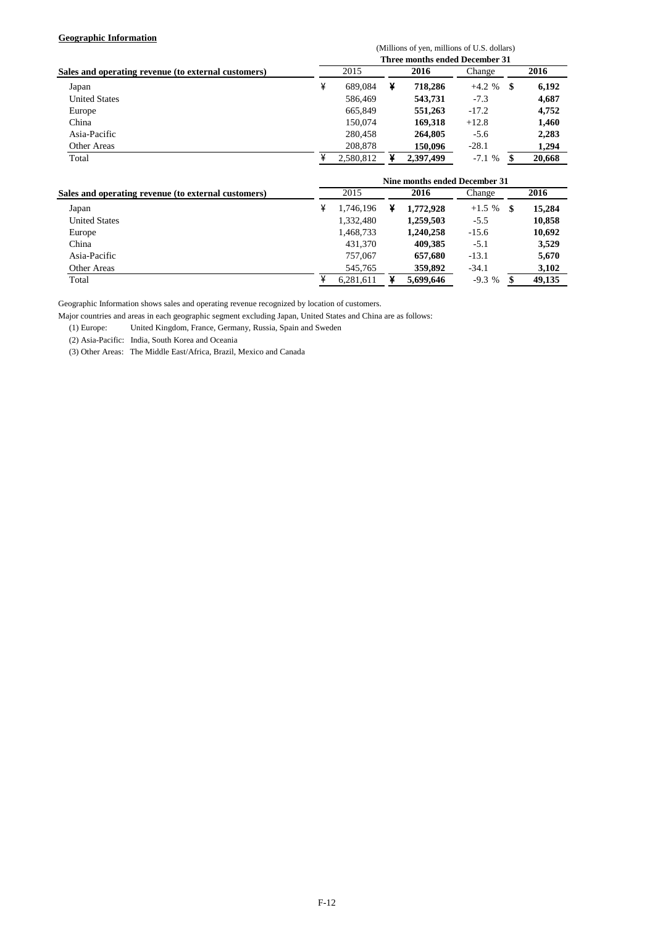### **Geographic Information**

|                                                     | (Millions of yen, millions of U.S. dollars) |           |   |                               |          |    |        |  |  |  |
|-----------------------------------------------------|---------------------------------------------|-----------|---|-------------------------------|----------|----|--------|--|--|--|
|                                                     | Three months ended December 31              |           |   |                               |          |    |        |  |  |  |
| Sales and operating revenue (to external customers) |                                             | 2015      |   | 2016                          | Change   |    | 2016   |  |  |  |
| Japan                                               | ¥                                           | 689,084   | ¥ | 718,286                       | $+4.2%$  | S  | 6,192  |  |  |  |
| <b>United States</b>                                |                                             | 586,469   |   | 543,731                       | $-7.3$   |    | 4,687  |  |  |  |
| Europe                                              |                                             | 665,849   |   | 551,263                       | $-17.2$  |    | 4,752  |  |  |  |
| China                                               |                                             | 150,074   |   | 169,318                       | $+12.8$  |    | 1,460  |  |  |  |
| Asia-Pacific                                        |                                             | 280,458   |   | 264,805                       | $-5.6$   |    | 2,283  |  |  |  |
| <b>Other Areas</b>                                  |                                             | 208,878   |   | 150,096                       | $-28.1$  |    | 1,294  |  |  |  |
| Total                                               | ¥                                           | 2,580,812 | ¥ | 2,397,499                     | $-7.1%$  | \$ | 20,668 |  |  |  |
|                                                     |                                             |           |   |                               |          |    |        |  |  |  |
|                                                     |                                             |           |   | Nine months ended December 31 |          |    |        |  |  |  |
| Sales and operating revenue (to external customers) |                                             | 2015      |   | 2016                          | Change   |    | 2016   |  |  |  |
| Japan                                               | ¥                                           | 1,746,196 | ¥ | 1,772,928                     | $+1.5$ % | \$ | 15,284 |  |  |  |
| <b>United States</b>                                |                                             | 1,332,480 |   | 1,259,503                     | $-5.5$   |    | 10,858 |  |  |  |
| Europe                                              |                                             | 1,468,733 |   | 1,240,258                     | $-15.6$  |    | 10,692 |  |  |  |
| China                                               |                                             | 431,370   |   | 409,385                       | $-5.1$   |    | 3,529  |  |  |  |
| Asia-Pacific                                        |                                             | 757,067   |   | 657,680                       | $-13.1$  |    | 5,670  |  |  |  |
| Other Areas                                         |                                             | 545,765   |   | 359,892                       | $-34.1$  |    | 3,102  |  |  |  |
| Total                                               |                                             |           |   |                               |          |    |        |  |  |  |
|                                                     | ¥                                           | 6,281,611 | ¥ | 5,699,646                     | $-9.3%$  | \$ | 49,135 |  |  |  |

Geographic Information shows sales and operating revenue recognized by location of customers.

Major countries and areas in each geographic segment excluding Japan, United States and China are as follows:

(1) Europe: United Kingdom, France, Germany, Russia, Spain and Sweden

(2) Asia-Pacific: India, South Korea and Oceania

(3) Other Areas: The Middle East/Africa, Brazil, Mexico and Canada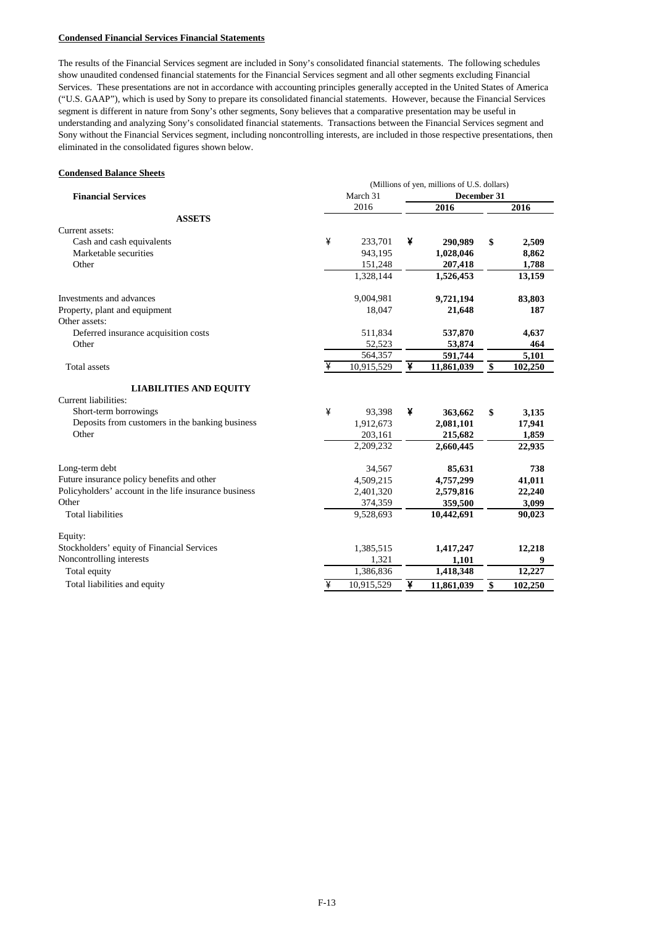#### **Condensed Financial Services Financial Statements**

The results of the Financial Services segment are included in Sony's consolidated financial statements. The following schedules show unaudited condensed financial statements for the Financial Services segment and all other segments excluding Financial Services. These presentations are not in accordance with accounting principles generally accepted in the United States of America ("U.S. GAAP"), which is used by Sony to prepare its consolidated financial statements. However, because the Financial Services segment is different in nature from Sony's other segments, Sony believes that a comparative presentation may be useful in understanding and analyzing Sony's consolidated financial statements. Transactions between the Financial Services segment and Sony without the Financial Services segment, including noncontrolling interests, are included in those respective presentations, then eliminated in the consolidated figures shown below.

#### **Condensed Balance Sheets**

|                                                       | (Millions of yen, millions of U.S. dollars) |            |   |             |    |         |  |  |  |
|-------------------------------------------------------|---------------------------------------------|------------|---|-------------|----|---------|--|--|--|
| <b>Financial Services</b>                             |                                             | March 31   |   | December 31 |    |         |  |  |  |
|                                                       |                                             | 2016       |   | 2016        |    | 2016    |  |  |  |
| <b>ASSETS</b>                                         |                                             |            |   |             |    |         |  |  |  |
| Current assets:                                       |                                             |            |   |             |    |         |  |  |  |
| Cash and cash equivalents                             | ¥                                           | 233,701    | ¥ | 290,989     | \$ | 2,509   |  |  |  |
| Marketable securities                                 |                                             | 943,195    |   | 1,028,046   |    | 8,862   |  |  |  |
| Other                                                 |                                             | 151,248    |   | 207,418     |    | 1,788   |  |  |  |
|                                                       |                                             | 1,328,144  |   | 1,526,453   |    | 13,159  |  |  |  |
| Investments and advances                              |                                             | 9,004,981  |   | 9,721,194   |    | 83,803  |  |  |  |
| Property, plant and equipment                         |                                             | 18,047     |   | 21,648      |    | 187     |  |  |  |
| Other assets:                                         |                                             |            |   |             |    |         |  |  |  |
| Deferred insurance acquisition costs                  |                                             | 511,834    |   | 537,870     |    | 4,637   |  |  |  |
| Other                                                 |                                             | 52,523     |   | 53,874      |    | 464     |  |  |  |
|                                                       |                                             | 564,357    |   | 591,744     |    | 5,101   |  |  |  |
| Total assets                                          | ¥                                           | 10,915,529 | ¥ | 11,861,039  | \$ | 102,250 |  |  |  |
| <b>LIABILITIES AND EQUITY</b>                         |                                             |            |   |             |    |         |  |  |  |
| Current liabilities:                                  |                                             |            |   |             |    |         |  |  |  |
| Short-term borrowings                                 | ¥                                           | 93,398     | ¥ | 363,662     | \$ | 3,135   |  |  |  |
| Deposits from customers in the banking business       |                                             | 1,912,673  |   | 2,081,101   |    | 17,941  |  |  |  |
| Other                                                 |                                             | 203,161    |   | 215,682     |    | 1,859   |  |  |  |
|                                                       |                                             | 2,209,232  |   | 2,660,445   |    | 22,935  |  |  |  |
| Long-term debt                                        |                                             | 34,567     |   | 85,631      |    | 738     |  |  |  |
| Future insurance policy benefits and other            |                                             | 4,509,215  |   | 4,757,299   |    | 41,011  |  |  |  |
| Policyholders' account in the life insurance business |                                             | 2,401,320  |   | 2,579,816   |    | 22,240  |  |  |  |
| Other                                                 |                                             | 374,359    |   | 359,500     |    | 3,099   |  |  |  |
| <b>Total liabilities</b>                              |                                             | 9,528,693  |   | 10,442,691  |    | 90,023  |  |  |  |
| Equity:                                               |                                             |            |   |             |    |         |  |  |  |
| Stockholders' equity of Financial Services            |                                             | 1,385,515  |   | 1,417,247   |    | 12,218  |  |  |  |
| Noncontrolling interests                              |                                             | 1,321      |   | 1,101       |    | 9       |  |  |  |
| Total equity                                          |                                             | 1,386,836  |   | 1,418,348   |    | 12,227  |  |  |  |
| Total liabilities and equity                          | ¥                                           | 10,915,529 | ¥ | 11,861,039  | \$ | 102,250 |  |  |  |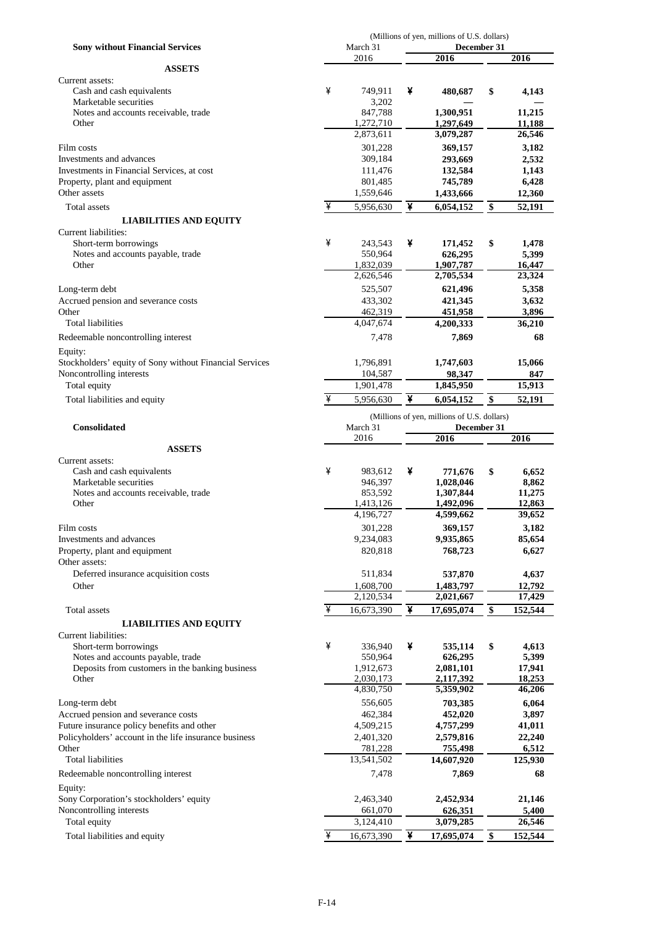|                                                               | (Millions of yen, millions of U.S. dollars) |                         |   |                                             |                           |
|---------------------------------------------------------------|---------------------------------------------|-------------------------|---|---------------------------------------------|---------------------------|
| <b>Sony without Financial Services</b>                        |                                             | March 31<br>2016        |   | December 31<br>2016                         | 2016                      |
| <b>ASSETS</b>                                                 |                                             |                         |   |                                             |                           |
| Current assets:                                               |                                             |                         |   |                                             |                           |
| Cash and cash equivalents                                     | ¥                                           | 749,911                 | ¥ | 480,687                                     | \$<br>4,143               |
| Marketable securities                                         |                                             | 3,202                   |   |                                             |                           |
| Notes and accounts receivable, trade                          |                                             | 847,788                 |   | 1,300,951                                   | 11,215                    |
| Other                                                         |                                             | 1,272,710<br>2,873,611  |   | 1,297,649<br>3,079,287                      | 11,188<br>26,546          |
|                                                               |                                             |                         |   |                                             |                           |
| Film costs<br>Investments and advances                        |                                             | 301,228<br>309,184      |   | 369,157<br>293,669                          | 3,182<br>2,532            |
| Investments in Financial Services, at cost                    |                                             | 111,476                 |   | 132,584                                     | 1,143                     |
| Property, plant and equipment                                 |                                             | 801,485                 |   | 745,789                                     | 6,428                     |
| Other assets                                                  |                                             | 1,559,646               |   | 1,433,666                                   | 12,360                    |
| Total assets                                                  | ¥                                           | 5,956,630               | ¥ | 6,054,152                                   | \$<br>$\overline{52,191}$ |
| <b>LIABILITIES AND EQUITY</b>                                 |                                             |                         |   |                                             |                           |
| Current liabilities:                                          |                                             |                         |   |                                             |                           |
| Short-term borrowings                                         | ¥                                           | 243,543                 | ¥ | 171,452                                     | \$<br>1,478               |
| Notes and accounts payable, trade                             |                                             | 550,964                 |   | 626,295                                     | 5,399                     |
| Other                                                         |                                             | 1,832,039               |   | 1,907,787                                   | 16,447                    |
|                                                               |                                             | 2,626,546               |   | 2,705,534                                   | 23,324                    |
| Long-term debt                                                |                                             | 525,507                 |   | 621,496                                     | 5,358                     |
| Accrued pension and severance costs                           |                                             | 433,302                 |   | 421,345                                     | 3,632                     |
| Other                                                         |                                             | 462,319                 |   | 451,958                                     | 3,896                     |
| <b>Total liabilities</b>                                      |                                             | 4,047,674               |   | 4,200,333                                   | 36,210                    |
| Redeemable noncontrolling interest                            |                                             | 7,478                   |   | 7,869                                       | 68                        |
| Equity:                                                       |                                             |                         |   |                                             |                           |
| Stockholders' equity of Sony without Financial Services       |                                             | 1,796,891               |   | 1,747,603                                   | 15,066                    |
| Noncontrolling interests                                      |                                             | 104,587                 |   | 98,347                                      | 847                       |
| Total equity                                                  |                                             | 1,901,478               |   | 1,845,950                                   | 15,913                    |
| Total liabilities and equity                                  | $\overline{\mathbf{r}}$                     | 5,956,630               | ¥ | 6,054,152                                   | \$<br>52,191              |
|                                                               |                                             |                         |   | (Millions of yen, millions of U.S. dollars) |                           |
| <b>Consolidated</b>                                           |                                             | March 31                |   | December 31                                 |                           |
|                                                               |                                             | 2016                    |   | 2016                                        | 2016                      |
| <b>ASSETS</b>                                                 |                                             |                         |   |                                             |                           |
|                                                               |                                             |                         |   |                                             |                           |
| Current assets:                                               |                                             |                         |   |                                             |                           |
| Cash and cash equivalents                                     | ¥                                           | 983,612                 | ¥ | 771,676                                     | \$<br>6,652               |
| Marketable securities<br>Notes and accounts receivable, trade |                                             | 946,397<br>853,592      |   | 1,028,046<br>1,307,844                      | 8,862                     |
| Other                                                         |                                             | 1,413,126               |   | 1,492,096                                   | 11,275<br>12,863          |
|                                                               |                                             | 4,196,727               |   | 4,599,662                                   | 39,652                    |
| Film costs                                                    |                                             | 301,228                 |   | 369,157                                     | 3,182                     |
| Investments and advances                                      |                                             | 9,234,083               |   | 9,935,865                                   | 85,654                    |
| Property, plant and equipment                                 |                                             | 820,818                 |   | 768,723                                     | 6,627                     |
| Other assets:                                                 |                                             |                         |   |                                             |                           |
| Deferred insurance acquisition costs                          |                                             | 511,834                 |   | 537,870                                     | 4,637                     |
| Other                                                         |                                             | 1,608,700               |   | 1,483,797                                   | 12,792                    |
|                                                               |                                             | 2,120,534               |   | 2,021,667                                   | 17,429                    |
| Total assets                                                  | ¥                                           | 16,673,390              | ¥ | 17,695,074                                  | \$<br>152,544             |
| <b>LIABILITIES AND EQUITY</b>                                 |                                             |                         |   |                                             |                           |
| Current liabilities:                                          |                                             |                         |   |                                             |                           |
| Short-term borrowings                                         | ¥                                           | 336,940                 | ¥ | 535,114                                     | \$<br>4,613               |
| Notes and accounts payable, trade                             |                                             | 550,964<br>1,912,673    |   | 626,295                                     | 5,399                     |
| Deposits from customers in the banking business<br>Other      |                                             | 2,030,173               |   | 2,081,101<br>2,117,392                      | 17,941<br>18,253          |
|                                                               |                                             | 4,830,750               |   | 5,359,902                                   | 46,206                    |
| Long-term debt                                                |                                             | 556,605                 |   | 703,385                                     | 6,064                     |
| Accrued pension and severance costs                           |                                             | 462,384                 |   | 452,020                                     | 3,897                     |
| Future insurance policy benefits and other                    |                                             | 4,509,215               |   | 4,757,299                                   | 41,011                    |
| Policyholders' account in the life insurance business         |                                             | 2,401,320               |   | 2,579,816                                   | 22,240                    |
| Other                                                         |                                             | 781,228                 |   | 755,498                                     | 6,512                     |
| <b>Total liabilities</b>                                      |                                             | 13,541,502              |   | 14,607,920                                  | 125,930                   |
| Redeemable noncontrolling interest                            |                                             | 7,478                   |   | 7,869                                       | 68                        |
| Equity:                                                       |                                             |                         |   |                                             |                           |
| Sony Corporation's stockholders' equity                       |                                             | 2,463,340               |   | 2,452,934                                   | 21,146                    |
| Noncontrolling interests                                      |                                             | 661,070                 |   | 626,351                                     | 5,400                     |
| Total equity<br>Total liabilities and equity                  | ¥                                           | 3,124,410<br>16,673,390 | ¥ | 3,079,285<br>17,695,074                     | \$<br>26,546<br>152,544   |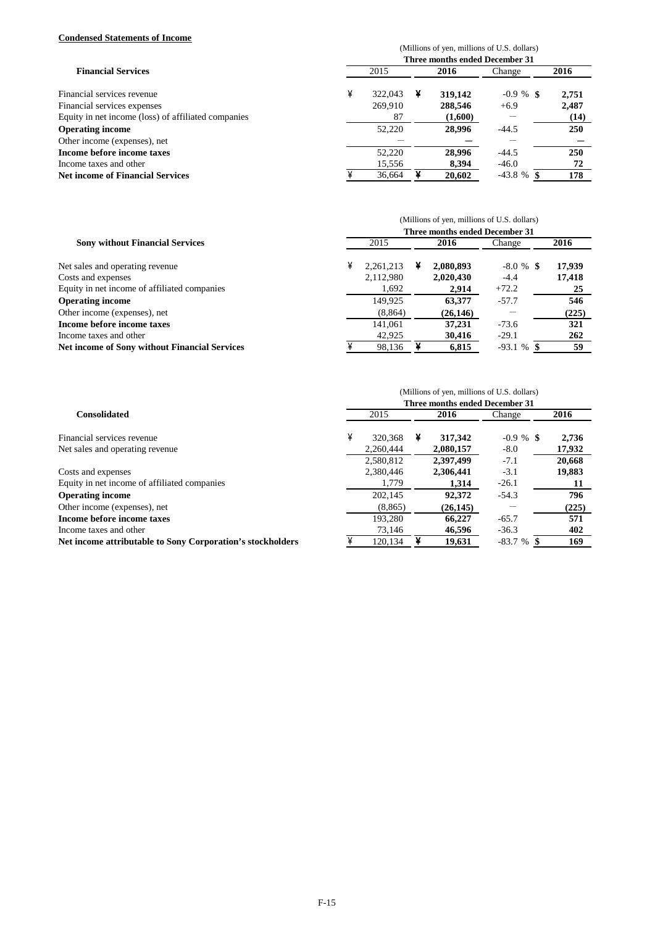### **Condensed Statements of Income**

| Three months ended December 31 |         |   |         |              |                                             |  |  |  |
|--------------------------------|---------|---|---------|--------------|---------------------------------------------|--|--|--|
|                                |         |   |         |              |                                             |  |  |  |
| ¥                              | 322,043 | ¥ | 319,142 | $-0.9 \%$ \$ | 2.751                                       |  |  |  |
|                                | 269,910 |   | 288,546 | $+6.9$       | 2.487                                       |  |  |  |
|                                | 87      |   | (1,600) |              | (14)                                        |  |  |  |
|                                | 52,220  |   | 28,996  | $-44.5$      | 250                                         |  |  |  |
|                                |         |   |         |              |                                             |  |  |  |
|                                | 52,220  |   | 28,996  | $-44.5$      | 250                                         |  |  |  |
|                                | 15,556  |   | 8.394   | $-46.0$      | 72                                          |  |  |  |
|                                | 36,664  |   | 20,602  | $-43.8%$     | 178                                         |  |  |  |
|                                |         |   |         |              | (Millions of yen, millions of U.S. dollars) |  |  |  |

|                                                      | (Millions of yen, millions of U.S. dollars)<br>Three months ended December 31 |           |   |           |                 |        |  |  |
|------------------------------------------------------|-------------------------------------------------------------------------------|-----------|---|-----------|-----------------|--------|--|--|
|                                                      |                                                                               |           |   |           |                 |        |  |  |
| <b>Sony without Financial Services</b>               |                                                                               | 2015      |   | 2016      | Change          | 2016   |  |  |
| Net sales and operating revenue                      | ¥                                                                             | 2.261.213 | ¥ | 2,080,893 | $-8.0 \%$ \$    | 17,939 |  |  |
| Costs and expenses                                   |                                                                               | 2,112,980 |   | 2,020,430 | $-4.4$          | 17,418 |  |  |
| Equity in net income of affiliated companies         |                                                                               | 1.692     |   | 2,914     | $+72.2$         | 25     |  |  |
| <b>Operating income</b>                              |                                                                               | 149.925   |   | 63,377    | $-57.7$         | 546    |  |  |
| Other income (expenses), net                         |                                                                               | (8, 864)  |   | (26, 146) |                 | (225)  |  |  |
| Income before income taxes                           |                                                                               | 141.061   |   | 37,231    | $-73.6$         | 321    |  |  |
| Income taxes and other                               |                                                                               | 42.925    |   | 30,416    | $-29.1$         | 262    |  |  |
| <b>Net income of Sony without Financial Services</b> |                                                                               | 98.136    |   | 6,815     | $\%$<br>$-93.1$ | 59     |  |  |

|                                                            | (Millions of yen, millions of U.S. dollars)<br>Three months ended December 31 |           |   |           |             |        |  |  |  |  |
|------------------------------------------------------------|-------------------------------------------------------------------------------|-----------|---|-----------|-------------|--------|--|--|--|--|
|                                                            |                                                                               |           |   |           |             |        |  |  |  |  |
| <b>Consolidated</b>                                        |                                                                               | 2015      |   | 2016      | Change      | 2016   |  |  |  |  |
| Financial services revenue                                 | ¥                                                                             | 320.368   | ¥ | 317,342   | $-0.9\%$ \$ | 2.736  |  |  |  |  |
| Net sales and operating revenue                            |                                                                               | 2.260.444 |   | 2,080,157 | $-8.0$      | 17,932 |  |  |  |  |
|                                                            |                                                                               | 2.580.812 |   | 2,397,499 | $-7.1$      | 20,668 |  |  |  |  |
| Costs and expenses                                         |                                                                               | 2.380.446 |   | 2.306.441 | $-3.1$      | 19,883 |  |  |  |  |
| Equity in net income of affiliated companies               |                                                                               | 1,779     |   | 1,314     | $-26.1$     | 11     |  |  |  |  |
| <b>Operating income</b>                                    |                                                                               | 202,145   |   | 92,372    | $-54.3$     | 796    |  |  |  |  |
| Other income (expenses), net                               |                                                                               | (8, 865)  |   | (26, 145) |             | (225)  |  |  |  |  |
| Income before income taxes                                 |                                                                               | 193.280   |   | 66,227    | $-65.7$     | 571    |  |  |  |  |
| Income taxes and other                                     |                                                                               | 73.146    |   | 46.596    | $-36.3$     | 402    |  |  |  |  |
| Net income attributable to Sony Corporation's stockholders |                                                                               | 120,134   |   | 19.631    | $-83.7%$    | 169    |  |  |  |  |
|                                                            |                                                                               |           |   |           |             |        |  |  |  |  |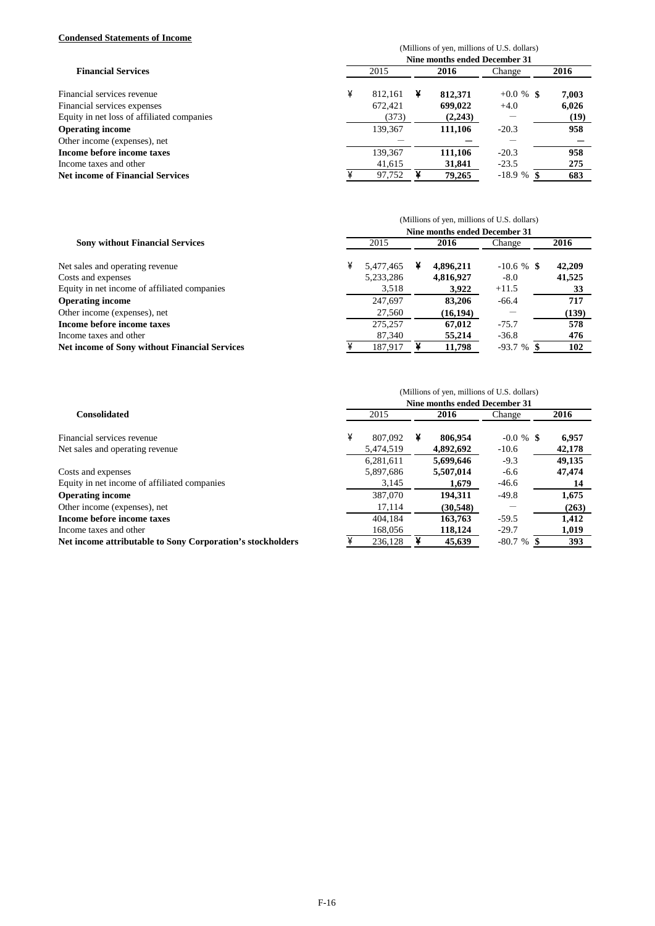## **Condensed Statements of Income**

| Condensed Blatements of Income             |                                             |                               |   |         |              |       |  |  |  |  |
|--------------------------------------------|---------------------------------------------|-------------------------------|---|---------|--------------|-------|--|--|--|--|
|                                            | (Millions of yen, millions of U.S. dollars) |                               |   |         |              |       |  |  |  |  |
|                                            |                                             | Nine months ended December 31 |   |         |              |       |  |  |  |  |
| <b>Financial Services</b>                  |                                             | 2015                          |   | 2016    | Change       | 2016  |  |  |  |  |
| Financial services revenue                 | ¥                                           | 812.161                       | ¥ | 812,371 | $+0.0 \%$ \$ | 7.003 |  |  |  |  |
| Financial services expenses                |                                             | 672.421                       |   | 699,022 | $+4.0$       | 6,026 |  |  |  |  |
| Equity in net loss of affiliated companies |                                             | (373)                         |   | (2,243) |              | (19)  |  |  |  |  |
| <b>Operating income</b>                    |                                             | 139.367                       |   | 111,106 | $-20.3$      | 958   |  |  |  |  |
| Other income (expenses), net               |                                             |                               |   |         |              |       |  |  |  |  |
| Income before income taxes                 |                                             | 139,367                       |   | 111,106 | $-20.3$      | 958   |  |  |  |  |
| Income taxes and other                     |                                             | 41,615                        |   | 31,841  | $-23.5$      | 275   |  |  |  |  |
| <b>Net income of Financial Services</b>    |                                             | 97,752                        |   | 79,265  | $-18.9%$     | 683   |  |  |  |  |
|                                            |                                             |                               |   |         |              |       |  |  |  |  |

|                                                      | (Millions of yen, millions of U.S. dollars)<br>Nine months ended December 31 |           |   |           |               |        |  |  |  |
|------------------------------------------------------|------------------------------------------------------------------------------|-----------|---|-----------|---------------|--------|--|--|--|
|                                                      |                                                                              |           |   |           |               |        |  |  |  |
| <b>Sony without Financial Services</b>               |                                                                              | 2015      |   | 2016      | Change        | 2016   |  |  |  |
| Net sales and operating revenue                      | ¥                                                                            | 5.477.465 | ¥ | 4.896.211 | $-10.6 \%$ \$ | 42,209 |  |  |  |
| Costs and expenses                                   |                                                                              | 5,233,286 |   | 4,816,927 | $-8.0$        | 41,525 |  |  |  |
| Equity in net income of affiliated companies         |                                                                              | 3,518     |   | 3,922     | $+11.5$       | 33     |  |  |  |
| <b>Operating income</b>                              |                                                                              | 247.697   |   | 83,206    | $-66.4$       | 717    |  |  |  |
| Other income (expenses), net                         |                                                                              | 27,560    |   | (16, 194) |               | (139)  |  |  |  |
| Income before income taxes                           |                                                                              | 275,257   |   | 67,012    | $-75.7$       | 578    |  |  |  |
| Income taxes and other                               |                                                                              | 87,340    |   | 55,214    | $-36.8$       | 476    |  |  |  |
| <b>Net income of Sony without Financial Services</b> |                                                                              | 187.917   |   | 11,798    | -93.7 %       | 102    |  |  |  |

#### (Millions of yen, millions of U.S. dollars)<br>Nine months ended December 31 **Nine months ended December 31**

|                                                            | Nine months ended December 31 |           |   |           |              |        |  |  |  |
|------------------------------------------------------------|-------------------------------|-----------|---|-----------|--------------|--------|--|--|--|
| <b>Consolidated</b>                                        |                               | 2015      |   | 2016      | Change       | 2016   |  |  |  |
| Financial services revenue                                 | ¥                             | 807.092   | ¥ | 806.954   | $-0.0 \%$ \$ | 6.957  |  |  |  |
| Net sales and operating revenue                            |                               | 5,474,519 |   | 4,892,692 | $-10.6$      | 42,178 |  |  |  |
|                                                            |                               | 6,281,611 |   | 5,699,646 | $-9.3$       | 49,135 |  |  |  |
| Costs and expenses                                         |                               | 5,897,686 |   | 5,507,014 | $-6.6$       | 47,474 |  |  |  |
| Equity in net income of affiliated companies               |                               | 3,145     |   | 1,679     | $-46.6$      | 14     |  |  |  |
| <b>Operating income</b>                                    |                               | 387,070   |   | 194.311   | $-49.8$      | 1,675  |  |  |  |
| Other income (expenses), net                               |                               | 17.114    |   | (30, 548) |              | (263)  |  |  |  |
| Income before income taxes                                 |                               | 404.184   |   | 163,763   | $-59.5$      | 1.412  |  |  |  |
| Income taxes and other                                     |                               | 168,056   |   | 118,124   | $-29.7$      | 1,019  |  |  |  |
| Net income attributable to Sony Corporation's stockholders |                               | 236,128   |   | 45,639    | $-80.7%$     | 393    |  |  |  |
|                                                            |                               |           |   |           |              |        |  |  |  |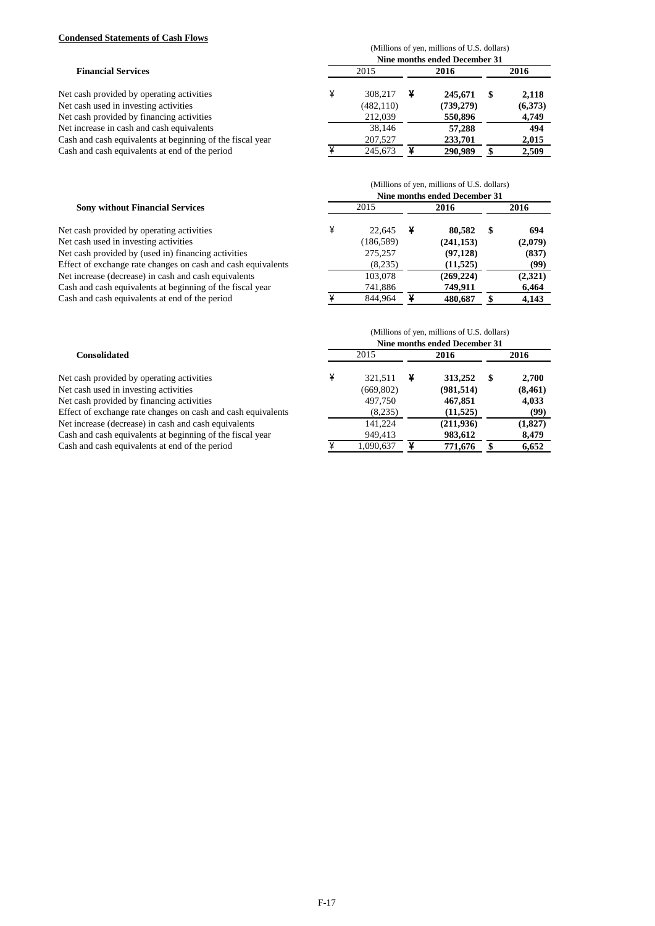#### **Condensed Statements of Cash Flows**

| (Millions of yen, millions of U.S. dollars)<br>Nine months ended December 31 |            |   |            |      |         |  |  |
|------------------------------------------------------------------------------|------------|---|------------|------|---------|--|--|
|                                                                              | 2015       |   | 2016       | 2016 |         |  |  |
| ¥                                                                            | 308,217    | ¥ | 245,671    | \$   | 2,118   |  |  |
|                                                                              | (482, 110) |   | (739, 279) |      | (6,373) |  |  |
|                                                                              | 212,039    |   | 550,896    |      | 4,749   |  |  |
|                                                                              | 38.146     |   | 57,288     |      | 494     |  |  |
|                                                                              | 207,527    |   | 233,701    |      | 2,015   |  |  |
|                                                                              | 245,673    |   | 290,989    |      | 2,509   |  |  |
|                                                                              |            |   |            |      |         |  |  |

#### Net cash provided by operating activities <br>
Net cash used in investing activities <br>
(22,645  $\text{Y}$  **80,582** \$ **694**<br>
(241,153) (2,079) Net cash used in investing activities (186,589) (241,153) (2,079)<br>
Net cash provided by (used in) financing activities (837) (97,128) (837) Net cash provided by (used in) financing activities 275,257<br>Effect of exchange rate changes on cash and cash equivalents (8,235) Effect of exchange rate changes on cash and cash equivalents  $\frac{(8,235)}{103,078}$   $\frac{(11,525)}{(269,224)}$   $\frac{(99)}{(2,321)}$ Net increase (decrease) in cash and cash equivalents 103,078 **(269,224)** (2,321)<br>Cash and cash equivalents at beginning of the fiscal year 141.886 749.911 6.464 Cash and cash equivalents at beginning of the fiscal year  $\frac{741,886}{4} \times \frac{749,911}{8} \times \frac{749,911}{480,687} \times \frac{6,464}{4,143}$ Cash and cash equivalents at end of the period  $\overline{4}$   $\overline{844,964}$   $\overline{4}$   $\overline{844,964}$   $\overline{4}$   $\overline{80,687}$   $\overline{5}$ 2015 **2016 Sony without Financial Services** (Millions of yen, millions of U.S. dollars) **Nine months ended December 31**

#### (Millions of yen, millions of U.S. dollars)

**2016**

|                                                              | Nine months ended December 31 |            |   |            |     |         |  |  |
|--------------------------------------------------------------|-------------------------------|------------|---|------------|-----|---------|--|--|
| Consolidated                                                 |                               | 2015       |   | 2016       |     | 2016    |  |  |
| Net cash provided by operating activities                    | ¥                             | 321.511    | ¥ | 313,252    | -SS | 2,700   |  |  |
| Net cash used in investing activities                        |                               | (669, 802) |   | (981, 514) |     | (8,461) |  |  |
| Net cash provided by financing activities                    |                               | 497.750    |   | 467,851    |     | 4,033   |  |  |
| Effect of exchange rate changes on cash and cash equivalents |                               | (8,235)    |   | (11, 525)  |     | (99)    |  |  |
| Net increase (decrease) in cash and cash equivalents         |                               | 141.224    |   | (211,936)  |     | (1,827) |  |  |
| Cash and cash equivalents at beginning of the fiscal year    |                               | 949,413    |   | 983,612    |     | 8,479   |  |  |
| Cash and cash equivalents at end of the period               |                               | 1.090.637  |   | 771,676    |     | 6.652   |  |  |

| Nine months ended December 31 |      |            |    |          |  |  |  |  |
|-------------------------------|------|------------|----|----------|--|--|--|--|
| 2015                          | 2016 |            |    | 2016     |  |  |  |  |
| 321,511                       | ¥    | 313,252    | \$ | 2,700    |  |  |  |  |
| (669, 802)                    |      | (981, 514) |    | (8, 461) |  |  |  |  |
| 497,750                       |      | 467,851    |    | 4,033    |  |  |  |  |
| (8,235)                       |      | (11, 525)  |    | (99)     |  |  |  |  |
| 141,224                       |      | (211, 936) |    | (1,827)  |  |  |  |  |
| 949,413                       |      | 983,612    |    | 8,479    |  |  |  |  |
| 1,090,637                     |      | 771,676    | \$ | 6,652    |  |  |  |  |
|                               |      |            |    |          |  |  |  |  |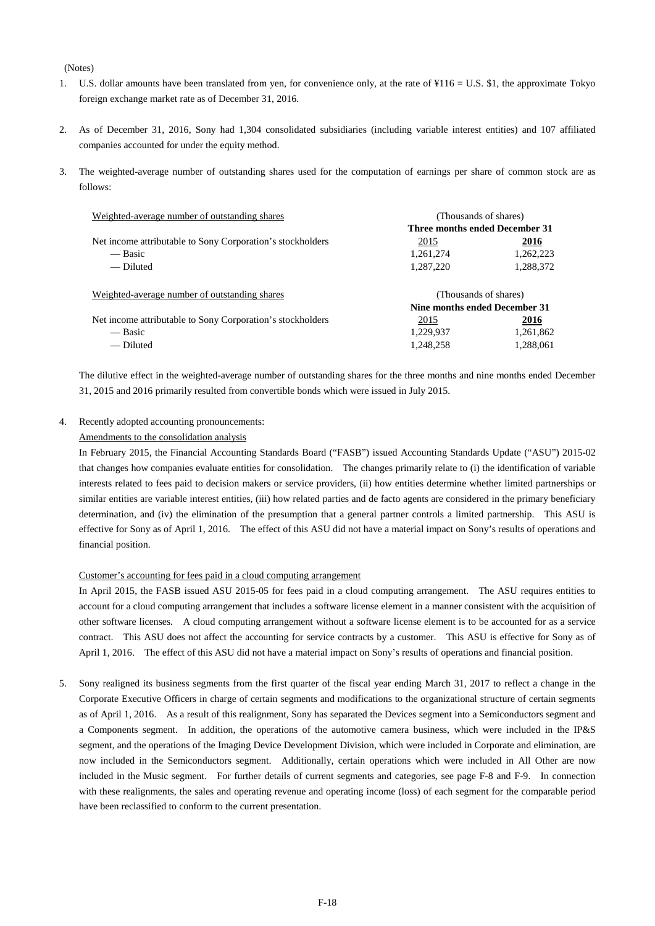#### (Notes)

- 1. U.S. dollar amounts have been translated from yen, for convenience only, at the rate of ¥116 = U.S. \$1, the approximate Tokyo foreign exchange market rate as of December 31, 2016.
- 2. As of December 31, 2016, Sony had 1,304 consolidated subsidiaries (including variable interest entities) and 107 affiliated companies accounted for under the equity method.
- 3. The weighted-average number of outstanding shares used for the computation of earnings per share of common stock are as follows:

| Weighted-average number of outstanding shares              | (Thousands of shares)          |           |  |  |  |  |
|------------------------------------------------------------|--------------------------------|-----------|--|--|--|--|
|                                                            | Three months ended December 31 |           |  |  |  |  |
| Net income attributable to Sony Corporation's stockholders | 2015                           | 2016      |  |  |  |  |
| — Basic                                                    | 1,261,274                      | 1,262,223 |  |  |  |  |
| — Diluted                                                  | 1.287.220                      | 1,288,372 |  |  |  |  |
| Weighted-average number of outstanding shares              | (Thousands of shares)          |           |  |  |  |  |
|                                                            | Nine months ended December 31  |           |  |  |  |  |
| Net income attributable to Sony Corporation's stockholders | 2015                           | 2016      |  |  |  |  |
| — Basic                                                    | 1,229,937                      | 1,261,862 |  |  |  |  |
| — Diluted                                                  | 1.248.258                      | 1,288,061 |  |  |  |  |

The dilutive effect in the weighted-average number of outstanding shares for the three months and nine months ended December 31, 2015 and 2016 primarily resulted from convertible bonds which were issued in July 2015.

#### 4. Recently adopted accounting pronouncements:

#### Amendments to the consolidation analysis

In February 2015, the Financial Accounting Standards Board ("FASB") issued Accounting Standards Update ("ASU") 2015-02 that changes how companies evaluate entities for consolidation. The changes primarily relate to (i) the identification of variable interests related to fees paid to decision makers or service providers, (ii) how entities determine whether limited partnerships or similar entities are variable interest entities, (iii) how related parties and de facto agents are considered in the primary beneficiary determination, and (iv) the elimination of the presumption that a general partner controls a limited partnership. This ASU is effective for Sony as of April 1, 2016. The effect of this ASU did not have a material impact on Sony's results of operations and financial position.

#### Customer's accounting for fees paid in a cloud computing arrangement

In April 2015, the FASB issued ASU 2015-05 for fees paid in a cloud computing arrangement. The ASU requires entities to account for a cloud computing arrangement that includes a software license element in a manner consistent with the acquisition of other software licenses. A cloud computing arrangement without a software license element is to be accounted for as a service contract. This ASU does not affect the accounting for service contracts by a customer. This ASU is effective for Sony as of April 1, 2016. The effect of this ASU did not have a material impact on Sony's results of operations and financial position.

5. Sony realigned its business segments from the first quarter of the fiscal year ending March 31, 2017 to reflect a change in the Corporate Executive Officers in charge of certain segments and modifications to the organizational structure of certain segments as of April 1, 2016. As a result of this realignment, Sony has separated the Devices segment into a Semiconductors segment and a Components segment. In addition, the operations of the automotive camera business, which were included in the IP&S segment, and the operations of the Imaging Device Development Division, which were included in Corporate and elimination, are now included in the Semiconductors segment. Additionally, certain operations which were included in All Other are now included in the Music segment. For further details of current segments and categories, see page F-8 and F-9. In connection with these realignments, the sales and operating revenue and operating income (loss) of each segment for the comparable period have been reclassified to conform to the current presentation.